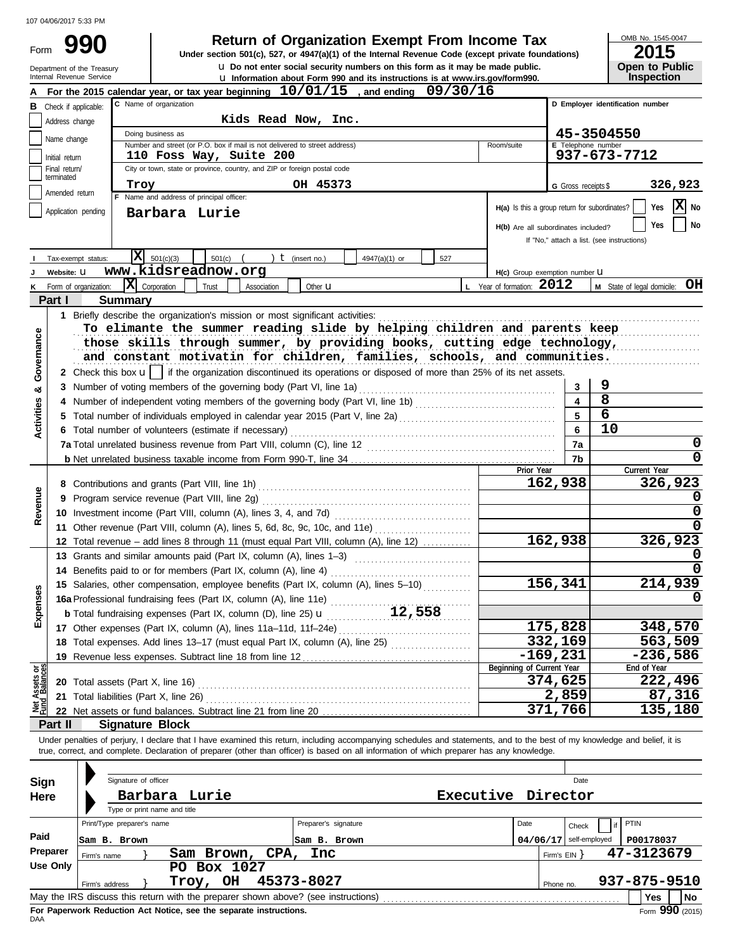Department of the Treasury

**u** Do not enter social security numbers on this form as it may be made public. **990 1990 2015 Depending Solution Solution Solution Script Script Script Script Script Prom Income Tax 1947(a)(1)** of the Internal Revenue Code (except private foundations)

OMB No. 1545-0047

| <b>ZU15</b>           |
|-----------------------|
| <b>Open to Public</b> |
| Inspection            |

|                                |                 | Internal Revenue Service                                                                                                                                                                                                                     |                                          |             |                                                                            |                      | u Information about Form 990 and its instructions is at www.irs.gov/form990. |                          |                                               |            |                     | Inspection                                                                                                                                                                 |
|--------------------------------|-----------------|----------------------------------------------------------------------------------------------------------------------------------------------------------------------------------------------------------------------------------------------|------------------------------------------|-------------|----------------------------------------------------------------------------|----------------------|------------------------------------------------------------------------------|--------------------------|-----------------------------------------------|------------|---------------------|----------------------------------------------------------------------------------------------------------------------------------------------------------------------------|
|                                |                 | For the 2015 calendar year, or tax year beginning $10/01/15$ , and ending 09/30/16                                                                                                                                                           |                                          |             |                                                                            |                      |                                                                              |                          |                                               |            |                     |                                                                                                                                                                            |
| в                              |                 | Check if applicable:                                                                                                                                                                                                                         | C Name of organization                   |             |                                                                            |                      |                                                                              |                          |                                               |            |                     | D Employer identification number                                                                                                                                           |
|                                | Address change  |                                                                                                                                                                                                                                              |                                          |             | Kids Read Now, Inc.                                                        |                      |                                                                              |                          |                                               |            |                     |                                                                                                                                                                            |
|                                |                 |                                                                                                                                                                                                                                              | Doing business as                        |             |                                                                            |                      |                                                                              |                          |                                               |            |                     | 45-3504550                                                                                                                                                                 |
|                                | Name change     |                                                                                                                                                                                                                                              |                                          |             | Number and street (or P.O. box if mail is not delivered to street address) |                      |                                                                              |                          | Room/suite                                    |            | E Telephone number  |                                                                                                                                                                            |
|                                | Initial return  |                                                                                                                                                                                                                                              |                                          |             | 110 Foss Way, Suite 200                                                    |                      |                                                                              |                          |                                               |            |                     | 937-673-7712                                                                                                                                                               |
|                                | Final return/   |                                                                                                                                                                                                                                              |                                          |             | City or town, state or province, country, and ZIP or foreign postal code   |                      |                                                                              |                          |                                               |            |                     |                                                                                                                                                                            |
|                                | terminated      | Troy                                                                                                                                                                                                                                         |                                          |             |                                                                            | OH 45373             |                                                                              |                          |                                               |            | G Gross receipts \$ | 326,923                                                                                                                                                                    |
|                                | Amended return  |                                                                                                                                                                                                                                              | F Name and address of principal officer: |             |                                                                            |                      |                                                                              |                          |                                               |            |                     |                                                                                                                                                                            |
|                                |                 | Application pending                                                                                                                                                                                                                          | Barbara Lurie                            |             |                                                                            |                      |                                                                              |                          | H(a) Is this a group return for subordinates? |            |                     | $ \mathbf{X} $ No<br>Yes                                                                                                                                                   |
|                                |                 |                                                                                                                                                                                                                                              |                                          |             |                                                                            |                      |                                                                              |                          | H(b) Are all subordinates included?           |            |                     | No<br>Yes                                                                                                                                                                  |
|                                |                 |                                                                                                                                                                                                                                              |                                          |             |                                                                            |                      |                                                                              |                          |                                               |            |                     | If "No," attach a list. (see instructions)                                                                                                                                 |
|                                |                 | X                                                                                                                                                                                                                                            |                                          |             |                                                                            |                      |                                                                              |                          |                                               |            |                     |                                                                                                                                                                            |
|                                |                 | Tax-exempt status:<br>www.kidsreadnow.org                                                                                                                                                                                                    | 501(c)(3)                                | 501(c)      |                                                                            | ) $t$ (insert no.)   | 4947(a)(1) or                                                                | 527                      |                                               |            |                     |                                                                                                                                                                            |
|                                | Website: U      |                                                                                                                                                                                                                                              |                                          |             |                                                                            |                      |                                                                              |                          | H(c) Group exemption number U                 |            |                     |                                                                                                                                                                            |
| κ                              |                 | Form of organization:                                                                                                                                                                                                                        | X Corporation                            | Trust       | Association                                                                | Other <b>u</b>       |                                                                              |                          | L Year of formation: 2012                     |            |                     | M State of legal domicile: OH                                                                                                                                              |
|                                | Part I          | <b>Summary</b>                                                                                                                                                                                                                               |                                          |             |                                                                            |                      |                                                                              |                          |                                               |            |                     |                                                                                                                                                                            |
|                                |                 | 1 Briefly describe the organization's mission or most significant activities:                                                                                                                                                                |                                          |             |                                                                            |                      |                                                                              |                          |                                               |            |                     |                                                                                                                                                                            |
|                                |                 |                                                                                                                                                                                                                                              |                                          |             |                                                                            |                      | To elimante the summer reading slide by helping children and parents keep    |                          |                                               |            |                     |                                                                                                                                                                            |
| Governance                     |                 |                                                                                                                                                                                                                                              |                                          |             |                                                                            |                      | those skills through summer, by providing books, cutting edge technology,    |                          |                                               |            |                     |                                                                                                                                                                            |
|                                |                 |                                                                                                                                                                                                                                              |                                          |             |                                                                            |                      | and constant motivatin for children, families, schools, and communities.     |                          |                                               |            |                     |                                                                                                                                                                            |
|                                |                 | 2 Check this box $\mathbf{u}$   if the organization discontinued its operations or disposed of more than 25% of its net assets.                                                                                                              |                                          |             |                                                                            |                      |                                                                              |                          |                                               |            |                     |                                                                                                                                                                            |
| ఱ                              |                 | 3 Number of voting members of the governing body (Part VI, line 1a)                                                                                                                                                                          |                                          |             |                                                                            |                      |                                                                              |                          |                                               |            | 3                   | 9                                                                                                                                                                          |
|                                |                 |                                                                                                                                                                                                                                              |                                          |             |                                                                            |                      |                                                                              |                          |                                               |            | 4                   | 8                                                                                                                                                                          |
| <b>Activities</b>              |                 |                                                                                                                                                                                                                                              |                                          |             |                                                                            |                      |                                                                              |                          |                                               |            | 5                   | 6                                                                                                                                                                          |
|                                |                 | 6 Total number of volunteers (estimate if necessary)                                                                                                                                                                                         |                                          |             |                                                                            |                      |                                                                              |                          |                                               |            | 6                   | 10                                                                                                                                                                         |
|                                |                 |                                                                                                                                                                                                                                              |                                          |             |                                                                            | 7a                   | 0                                                                            |                          |                                               |            |                     |                                                                                                                                                                            |
|                                |                 |                                                                                                                                                                                                                                              |                                          |             | 7b                                                                         | $\Omega$             |                                                                              |                          |                                               |            |                     |                                                                                                                                                                            |
|                                |                 |                                                                                                                                                                                                                                              | Prior Year                               |             |                                                                            | Current Year         |                                                                              |                          |                                               |            |                     |                                                                                                                                                                            |
|                                |                 |                                                                                                                                                                                                                                              |                                          |             |                                                                            |                      |                                                                              |                          |                                               | 162,938    |                     | 326,923                                                                                                                                                                    |
| Revenue                        | 9               | Program service revenue (Part VIII, line 2g)                                                                                                                                                                                                 |                                          |             |                                                                            |                      |                                                                              |                          |                                               |            |                     |                                                                                                                                                                            |
|                                |                 |                                                                                                                                                                                                                                              |                                          |             |                                                                            |                      |                                                                              |                          |                                               | 0          |                     |                                                                                                                                                                            |
|                                |                 | 11 Other revenue (Part VIII, column (A), lines 5, 6d, 8c, 9c, 10c, and 11e)                                                                                                                                                                  |                                          |             |                                                                            |                      |                                                                              |                          |                                               |            |                     |                                                                                                                                                                            |
|                                |                 |                                                                                                                                                                                                                                              |                                          |             |                                                                            |                      |                                                                              |                          |                                               | 162,938    |                     | 326,923                                                                                                                                                                    |
|                                |                 | 12 Total revenue - add lines 8 through 11 (must equal Part VIII, column (A), line 12)                                                                                                                                                        |                                          |             |                                                                            |                      |                                                                              |                          |                                               |            |                     |                                                                                                                                                                            |
|                                |                 | 13 Grants and similar amounts paid (Part IX, column (A), lines 1-3)                                                                                                                                                                          |                                          |             |                                                                            |                      |                                                                              |                          |                                               |            |                     |                                                                                                                                                                            |
|                                |                 | 14 Benefits paid to or for members (Part IX, column (A), line 4)                                                                                                                                                                             |                                          |             |                                                                            |                      |                                                                              |                          |                                               |            |                     |                                                                                                                                                                            |
|                                |                 | 15 Salaries, other compensation, employee benefits (Part IX, column (A), lines 5-10)<br>15 Salaries, outer componentially, and J. Column (A), line 11e)<br>16a Professional fundraising fees (Part IX, column (D). line 25) $\bf{u}$ 12, 558 |                                          |             |                                                                            |                      |                                                                              |                          |                                               | 156,341    |                     | 214,939                                                                                                                                                                    |
| enses                          |                 |                                                                                                                                                                                                                                              |                                          |             |                                                                            |                      |                                                                              |                          |                                               |            |                     |                                                                                                                                                                            |
| Exp                            |                 |                                                                                                                                                                                                                                              |                                          |             |                                                                            |                      |                                                                              |                          |                                               |            |                     |                                                                                                                                                                            |
|                                |                 | 17 Other expenses (Part IX, column (A), lines 11a-11d, 11f-24e)                                                                                                                                                                              |                                          |             |                                                                            |                      |                                                                              |                          |                                               | 175,828    |                     | 348,570                                                                                                                                                                    |
|                                |                 | 18 Total expenses. Add lines 13-17 (must equal Part IX, column (A), line 25)                                                                                                                                                                 |                                          |             |                                                                            |                      |                                                                              |                          |                                               | 332,169    |                     | 563,509                                                                                                                                                                    |
|                                |                 | 19 Revenue less expenses. Subtract line 18 from line 12                                                                                                                                                                                      |                                          |             |                                                                            |                      |                                                                              |                          |                                               | $-169,231$ |                     | $-236,586$                                                                                                                                                                 |
| Net Assets or<br>Fund Balances |                 |                                                                                                                                                                                                                                              |                                          |             |                                                                            |                      |                                                                              |                          | Beginning of Current Year                     |            |                     | End of Year                                                                                                                                                                |
|                                |                 | 20 Total assets (Part X, line 16)                                                                                                                                                                                                            |                                          |             |                                                                            |                      |                                                                              |                          |                                               | 374,625    |                     | 222,496                                                                                                                                                                    |
|                                |                 | 21 Total liabilities (Part X, line 26)                                                                                                                                                                                                       |                                          |             |                                                                            |                      |                                                                              |                          |                                               | 2,859      |                     | 87,316                                                                                                                                                                     |
|                                |                 | 22 Net assets or fund balances. Subtract line 21 from line 20                                                                                                                                                                                |                                          |             |                                                                            |                      |                                                                              |                          |                                               | 371,766    |                     | 135,180                                                                                                                                                                    |
|                                | Part II         | <b>Signature Block</b>                                                                                                                                                                                                                       |                                          |             |                                                                            |                      |                                                                              |                          |                                               |            |                     |                                                                                                                                                                            |
|                                |                 |                                                                                                                                                                                                                                              |                                          |             |                                                                            |                      |                                                                              |                          |                                               |            |                     | Under penalties of perjury, I declare that I have examined this return, including accompanying schedules and statements, and to the best of my knowledge and belief, it is |
|                                |                 | true, correct, and complete. Declaration of preparer (other than officer) is based on all information of which preparer has any knowledge.                                                                                                   |                                          |             |                                                                            |                      |                                                                              |                          |                                               |            |                     |                                                                                                                                                                            |
|                                |                 |                                                                                                                                                                                                                                              |                                          |             |                                                                            |                      |                                                                              |                          |                                               |            |                     |                                                                                                                                                                            |
| Sign                           |                 | Signature of officer                                                                                                                                                                                                                         |                                          |             |                                                                            |                      |                                                                              |                          |                                               |            | Date                |                                                                                                                                                                            |
| Here                           |                 | Barbara                                                                                                                                                                                                                                      |                                          | Lurie       |                                                                            |                      |                                                                              |                          | Executive Director                            |            |                     |                                                                                                                                                                            |
|                                |                 |                                                                                                                                                                                                                                              | Type or print name and title             |             |                                                                            |                      |                                                                              |                          |                                               |            |                     |                                                                                                                                                                            |
|                                |                 | Print/Type preparer's name                                                                                                                                                                                                                   |                                          |             |                                                                            | Preparer's signature |                                                                              |                          | Date                                          |            | Check               | PTIN                                                                                                                                                                       |
| Paid                           |                 | Sam B. Brown                                                                                                                                                                                                                                 |                                          |             |                                                                            | Sam B. Brown         |                                                                              | $04/06/17$ self-employed |                                               | P00178037  |                     |                                                                                                                                                                            |
|                                | <b>Preparer</b> |                                                                                                                                                                                                                                              |                                          |             | Sam Brown, CPA,                                                            | Inc                  |                                                                              |                          |                                               |            |                     | 47-3123679                                                                                                                                                                 |
|                                | <b>Use Only</b> | Firm's name                                                                                                                                                                                                                                  |                                          | PO Box 1027 |                                                                            |                      |                                                                              |                          |                                               | Firm's EIN |                     |                                                                                                                                                                            |
|                                |                 |                                                                                                                                                                                                                                              |                                          | Troy, OH    |                                                                            | 45373-8027           |                                                                              |                          |                                               |            |                     | 937-875-9510                                                                                                                                                               |
|                                |                 | Firm's address                                                                                                                                                                                                                               |                                          |             |                                                                            |                      |                                                                              |                          |                                               | Phone no.  |                     |                                                                                                                                                                            |
|                                |                 | May the IRS discuss this return with the preparer shown above? (see instructions)                                                                                                                                                            |                                          |             |                                                                            |                      |                                                                              |                          |                                               |            |                     | <b>Yes</b><br>No                                                                                                                                                           |

| Sign     | Signature of officer                    |                                                                                   |                      | Date      |              |               |                                     |  |  |
|----------|-----------------------------------------|-----------------------------------------------------------------------------------|----------------------|-----------|--------------|---------------|-------------------------------------|--|--|
| Here     | Barbara<br>Type or print name and title | Lurie                                                                             |                      | Executive | Director     |               |                                     |  |  |
|          | Print/Type preparer's name              |                                                                                   | Preparer's signature | Date      |              |               |                                     |  |  |
| Paid     | Sam B. Brown                            |                                                                                   | Sam B. Brown         |           | 04/06/17     | self-employed | P00178037                           |  |  |
| Preparer | Firm's name                             | Sam Brown, CPA,                                                                   | Inc                  |           | Firm's EIN Y |               | 47-3123679                          |  |  |
| Use Only |                                         | Box 1027<br>PO                                                                    |                      |           |              |               |                                     |  |  |
|          | Firm's address                          | OH<br>Troy,                                                                       | 45373-8027           |           | Phone no.    |               | 937-875-9510                        |  |  |
|          |                                         | May the IRS discuss this return with the preparer shown above? (see instructions) |                      |           |              |               | l No<br><b>Yes</b>                  |  |  |
|          |                                         | For Panerwork Reduction Act Notice, see the senarate instructions                 |                      |           |              |               | $F_{\text{max}}$ QQ $\Omega$ (2015) |  |  |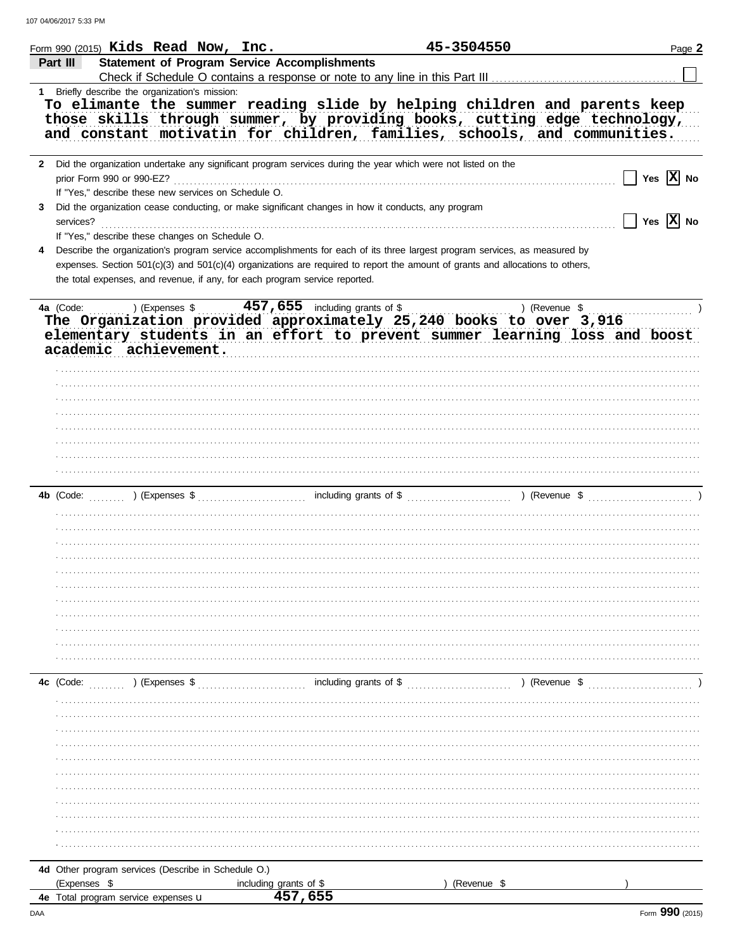|              | Form 990 (2015) $\verb Kids $ $\verb Read Now, Inc.$                                                         |                                                     | 45-3504550                                                                                                                                                                                                                               | Page 2                |
|--------------|--------------------------------------------------------------------------------------------------------------|-----------------------------------------------------|------------------------------------------------------------------------------------------------------------------------------------------------------------------------------------------------------------------------------------------|-----------------------|
|              | Part III                                                                                                     | <b>Statement of Program Service Accomplishments</b> |                                                                                                                                                                                                                                          |                       |
|              |                                                                                                              |                                                     |                                                                                                                                                                                                                                          |                       |
|              | 1 Briefly describe the organization's mission:                                                               |                                                     |                                                                                                                                                                                                                                          |                       |
|              |                                                                                                              |                                                     | To elimante the summer reading slide by helping children and parents keep                                                                                                                                                                |                       |
|              |                                                                                                              |                                                     |                                                                                                                                                                                                                                          |                       |
|              |                                                                                                              |                                                     | those skills through summer, by providing books, cutting edge technology,                                                                                                                                                                |                       |
|              |                                                                                                              |                                                     | and constant motivatin for children, families, schools, and communities.                                                                                                                                                                 |                       |
|              |                                                                                                              |                                                     |                                                                                                                                                                                                                                          |                       |
| $\mathbf{2}$ | Did the organization undertake any significant program services during the year which were not listed on the |                                                     |                                                                                                                                                                                                                                          |                       |
|              | prior Form 990 or 990-EZ?                                                                                    |                                                     |                                                                                                                                                                                                                                          | Yes $\overline{X}$ No |
|              | If "Yes," describe these new services on Schedule O.                                                         |                                                     |                                                                                                                                                                                                                                          |                       |
|              |                                                                                                              |                                                     |                                                                                                                                                                                                                                          |                       |
| 3            | Did the organization cease conducting, or make significant changes in how it conducts, any program           |                                                     |                                                                                                                                                                                                                                          |                       |
|              | services?                                                                                                    |                                                     |                                                                                                                                                                                                                                          | Yes $\overline{X}$ No |
|              | If "Yes," describe these changes on Schedule O.                                                              |                                                     |                                                                                                                                                                                                                                          |                       |
| 4            |                                                                                                              |                                                     | Describe the organization's program service accomplishments for each of its three largest program services, as measured by                                                                                                               |                       |
|              |                                                                                                              |                                                     | expenses. Section 501(c)(3) and 501(c)(4) organizations are required to report the amount of grants and allocations to others,                                                                                                           |                       |
|              |                                                                                                              |                                                     |                                                                                                                                                                                                                                          |                       |
|              | the total expenses, and revenue, if any, for each program service reported.                                  |                                                     |                                                                                                                                                                                                                                          |                       |
|              |                                                                                                              |                                                     |                                                                                                                                                                                                                                          |                       |
|              | 4a (Code:                                                                                                    | ) (Expenses $$457,655$ including grants of \$       | ) (Revenue \$                                                                                                                                                                                                                            | .                     |
|              |                                                                                                              |                                                     | The Organization provided approximately 25,240 books to over 3,916                                                                                                                                                                       |                       |
|              |                                                                                                              |                                                     | elementary students in an effort to prevent summer learning loss and boost                                                                                                                                                               |                       |
|              |                                                                                                              |                                                     |                                                                                                                                                                                                                                          |                       |
|              | academic achievement.                                                                                        |                                                     |                                                                                                                                                                                                                                          |                       |
|              |                                                                                                              |                                                     |                                                                                                                                                                                                                                          |                       |
|              |                                                                                                              |                                                     |                                                                                                                                                                                                                                          |                       |
|              |                                                                                                              |                                                     |                                                                                                                                                                                                                                          |                       |
|              |                                                                                                              |                                                     |                                                                                                                                                                                                                                          |                       |
|              |                                                                                                              |                                                     |                                                                                                                                                                                                                                          |                       |
|              |                                                                                                              |                                                     |                                                                                                                                                                                                                                          |                       |
|              |                                                                                                              |                                                     |                                                                                                                                                                                                                                          |                       |
|              |                                                                                                              |                                                     |                                                                                                                                                                                                                                          |                       |
|              |                                                                                                              |                                                     |                                                                                                                                                                                                                                          |                       |
|              |                                                                                                              |                                                     |                                                                                                                                                                                                                                          |                       |
|              |                                                                                                              |                                                     |                                                                                                                                                                                                                                          |                       |
|              |                                                                                                              |                                                     | 4b (Code: (1, 2, 2) (Expenses \$ (1, 2, 2) (Revenue \$ (2, 2) (Revenue \$ (2, 2) (Revenue \$ (2, 2) (Revenue \$ (2, 2) (Revenue \$ (2, 2) (Revenue \$ (2, 2) (Revenue \$ (2, 2) (Revenue \$ (2, 2) (Revenue \$ (2, 2) (Revenue \$ (2, 2) |                       |
|              |                                                                                                              |                                                     |                                                                                                                                                                                                                                          |                       |
|              |                                                                                                              |                                                     |                                                                                                                                                                                                                                          |                       |
|              |                                                                                                              |                                                     |                                                                                                                                                                                                                                          |                       |
|              |                                                                                                              |                                                     |                                                                                                                                                                                                                                          |                       |
|              |                                                                                                              |                                                     |                                                                                                                                                                                                                                          |                       |
|              |                                                                                                              |                                                     |                                                                                                                                                                                                                                          |                       |
|              |                                                                                                              |                                                     |                                                                                                                                                                                                                                          |                       |
|              |                                                                                                              |                                                     |                                                                                                                                                                                                                                          |                       |
|              |                                                                                                              |                                                     |                                                                                                                                                                                                                                          |                       |
|              |                                                                                                              |                                                     |                                                                                                                                                                                                                                          |                       |
|              |                                                                                                              |                                                     |                                                                                                                                                                                                                                          |                       |
|              |                                                                                                              |                                                     |                                                                                                                                                                                                                                          |                       |
|              |                                                                                                              |                                                     |                                                                                                                                                                                                                                          |                       |
|              |                                                                                                              |                                                     |                                                                                                                                                                                                                                          |                       |
|              |                                                                                                              |                                                     |                                                                                                                                                                                                                                          |                       |
|              |                                                                                                              |                                                     |                                                                                                                                                                                                                                          |                       |
|              | 4c (Code:                                                                                                    |                                                     |                                                                                                                                                                                                                                          |                       |
|              |                                                                                                              |                                                     |                                                                                                                                                                                                                                          |                       |
|              |                                                                                                              |                                                     |                                                                                                                                                                                                                                          |                       |
|              |                                                                                                              |                                                     |                                                                                                                                                                                                                                          |                       |
|              |                                                                                                              |                                                     |                                                                                                                                                                                                                                          |                       |
|              |                                                                                                              |                                                     |                                                                                                                                                                                                                                          |                       |
|              |                                                                                                              |                                                     |                                                                                                                                                                                                                                          |                       |
|              |                                                                                                              |                                                     |                                                                                                                                                                                                                                          |                       |
|              |                                                                                                              |                                                     |                                                                                                                                                                                                                                          |                       |
|              |                                                                                                              |                                                     |                                                                                                                                                                                                                                          |                       |
|              |                                                                                                              |                                                     |                                                                                                                                                                                                                                          |                       |
|              |                                                                                                              |                                                     |                                                                                                                                                                                                                                          |                       |
|              |                                                                                                              |                                                     |                                                                                                                                                                                                                                          |                       |
|              |                                                                                                              |                                                     |                                                                                                                                                                                                                                          |                       |
|              |                                                                                                              |                                                     |                                                                                                                                                                                                                                          |                       |
|              | 4d Other program services (Describe in Schedule O.)                                                          |                                                     |                                                                                                                                                                                                                                          |                       |
|              | (Expenses \$                                                                                                 | including grants of $$$ 457, 655                    | (Revenue \$                                                                                                                                                                                                                              |                       |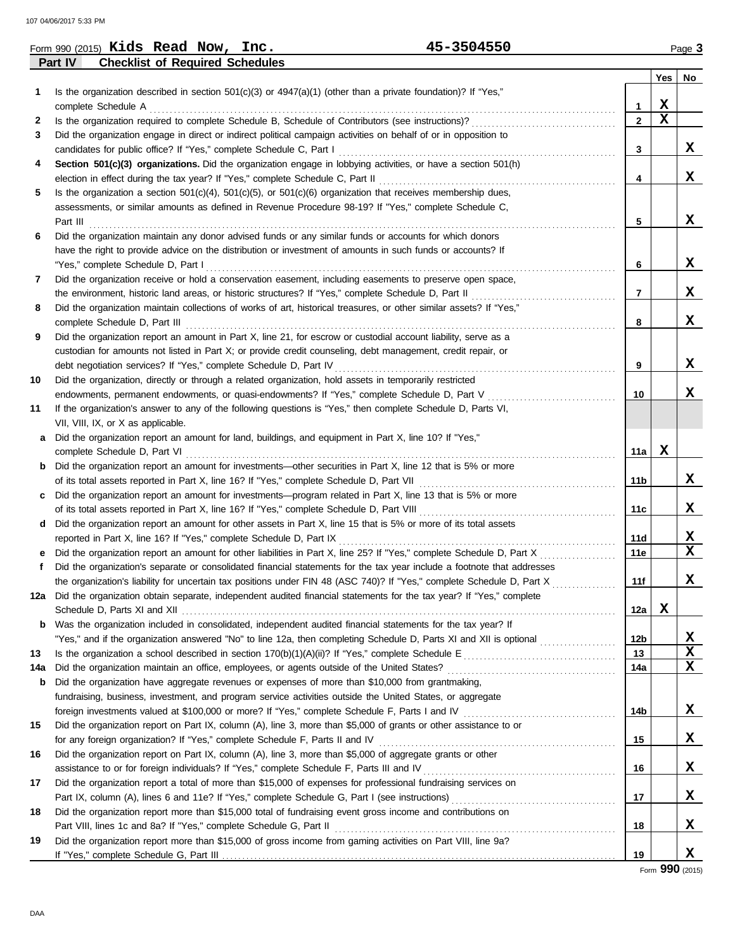|     | Form 990 (2015) Kids Read Now, $Inc.$<br>45-3504550                                                                                                     |              |                         | Page 3      |
|-----|---------------------------------------------------------------------------------------------------------------------------------------------------------|--------------|-------------------------|-------------|
|     | <b>Checklist of Required Schedules</b><br>Part IV                                                                                                       |              |                         |             |
|     |                                                                                                                                                         |              |                         | Yes   $No$  |
| 1   | Is the organization described in section $501(c)(3)$ or $4947(a)(1)$ (other than a private foundation)? If "Yes,"                                       |              |                         |             |
|     | complete Schedule A                                                                                                                                     | $\mathbf{1}$ | X                       |             |
| 2   |                                                                                                                                                         | $\mathbf{2}$ | $\overline{\mathbf{x}}$ |             |
| 3   | Did the organization engage in direct or indirect political campaign activities on behalf of or in opposition to                                        |              |                         |             |
|     | candidates for public office? If "Yes," complete Schedule C, Part I                                                                                     | 3            |                         | X           |
| 4   | Section 501(c)(3) organizations. Did the organization engage in lobbying activities, or have a section 501(h)                                           |              |                         |             |
|     | election in effect during the tax year? If "Yes," complete Schedule C, Part II                                                                          | 4            |                         | x           |
| 5   | Is the organization a section $501(c)(4)$ , $501(c)(5)$ , or $501(c)(6)$ organization that receives membership dues,                                    |              |                         |             |
|     | assessments, or similar amounts as defined in Revenue Procedure 98-19? If "Yes," complete Schedule C,                                                   | 5            |                         | X           |
|     | Part III<br>Did the organization maintain any donor advised funds or any similar funds or accounts for which donors                                     |              |                         |             |
| 6   |                                                                                                                                                         |              |                         |             |
|     | have the right to provide advice on the distribution or investment of amounts in such funds or accounts? If<br>"Yes," complete Schedule D, Part I       | 6            |                         | X           |
| 7   | Did the organization receive or hold a conservation easement, including easements to preserve open space,                                               |              |                         |             |
|     | the environment, historic land areas, or historic structures? If "Yes," complete Schedule D, Part II                                                    | 7            |                         | x           |
| 8   | Did the organization maintain collections of works of art, historical treasures, or other similar assets? If "Yes,"                                     |              |                         |             |
|     | complete Schedule D, Part III                                                                                                                           | 8            |                         | X           |
| 9   | Did the organization report an amount in Part X, line 21, for escrow or custodial account liability, serve as a                                         |              |                         |             |
|     | custodian for amounts not listed in Part X; or provide credit counseling, debt management, credit repair, or                                            |              |                         |             |
|     | debt negotiation services? If "Yes," complete Schedule D, Part IV                                                                                       | 9            |                         | X           |
| 10  | Did the organization, directly or through a related organization, hold assets in temporarily restricted                                                 |              |                         |             |
|     | endowments, permanent endowments, or quasi-endowments? If "Yes," complete Schedule D, Part V                                                            | 10           |                         | x           |
| 11  | If the organization's answer to any of the following questions is "Yes," then complete Schedule D, Parts VI,                                            |              |                         |             |
|     | VII, VIII, IX, or X as applicable.                                                                                                                      |              |                         |             |
| a   | Did the organization report an amount for land, buildings, and equipment in Part X, line 10? If "Yes,"                                                  |              |                         |             |
|     | complete Schedule D, Part VI                                                                                                                            | 11a          | х                       |             |
| b   | Did the organization report an amount for investments—other securities in Part X, line 12 that is 5% or more                                            |              |                         |             |
|     |                                                                                                                                                         | 11b          |                         | X           |
| c   | Did the organization report an amount for investments—program related in Part X, line 13 that is 5% or more                                             |              |                         |             |
|     |                                                                                                                                                         | 11c          |                         | x           |
| d   | Did the organization report an amount for other assets in Part X, line 15 that is 5% or more of its total assets                                        |              |                         |             |
|     | reported in Part X, line 16? If "Yes," complete Schedule D, Part IX                                                                                     | 11d          |                         | X           |
|     | Did the organization report an amount for other liabilities in Part X, line 25? If "Yes," complete Schedule D, Part X                                   | 11e          |                         | $\mathbf x$ |
|     | Did the organization's separate or consolidated financial statements for the tax year include a footnote that addresses                                 |              |                         |             |
|     | the organization's liability for uncertain tax positions under FIN 48 (ASC 740)? If "Yes," complete Schedule D, Part X [[[[[[[[[[[[[[[[[[[[[[[]]]]]]]]] | 11f          |                         | X           |
|     | 12a Did the organization obtain separate, independent audited financial statements for the tax year? If "Yes," complete                                 |              |                         |             |
|     |                                                                                                                                                         | 12a          | X                       |             |
| b   | Was the organization included in consolidated, independent audited financial statements for the tax year? If                                            |              |                         |             |
|     | "Yes," and if the organization answered "No" to line 12a, then completing Schedule D, Parts XI and XII is optional                                      | 12b          |                         | X           |
| 13  |                                                                                                                                                         | 13           |                         | X           |
| 14a |                                                                                                                                                         | 14a          |                         | X           |
| b   | Did the organization have aggregate revenues or expenses of more than \$10,000 from grantmaking,                                                        |              |                         |             |
|     | fundraising, business, investment, and program service activities outside the United States, or aggregate                                               |              |                         |             |
|     |                                                                                                                                                         | 14b          |                         | X           |
| 15  | Did the organization report on Part IX, column (A), line 3, more than \$5,000 of grants or other assistance to or                                       |              |                         |             |
|     | for any foreign organization? If "Yes," complete Schedule F, Parts II and IV                                                                            | 15           |                         | X           |
| 16  | Did the organization report on Part IX, column (A), line 3, more than \$5,000 of aggregate grants or other                                              |              |                         |             |
|     |                                                                                                                                                         | 16           |                         | X           |
| 17  | Did the organization report a total of more than \$15,000 of expenses for professional fundraising services on                                          |              |                         |             |
|     |                                                                                                                                                         | 17           |                         | X           |
| 18  | Did the organization report more than \$15,000 total of fundraising event gross income and contributions on                                             |              |                         |             |
|     | Part VIII, lines 1c and 8a? If "Yes," complete Schedule G, Part II                                                                                      | 18           |                         | X           |
| 19  | Did the organization report more than \$15,000 of gross income from gaming activities on Part VIII, line 9a?                                            |              |                         | x           |
|     |                                                                                                                                                         | 19           |                         |             |

**19** Form **990** (2015) **X**

DAA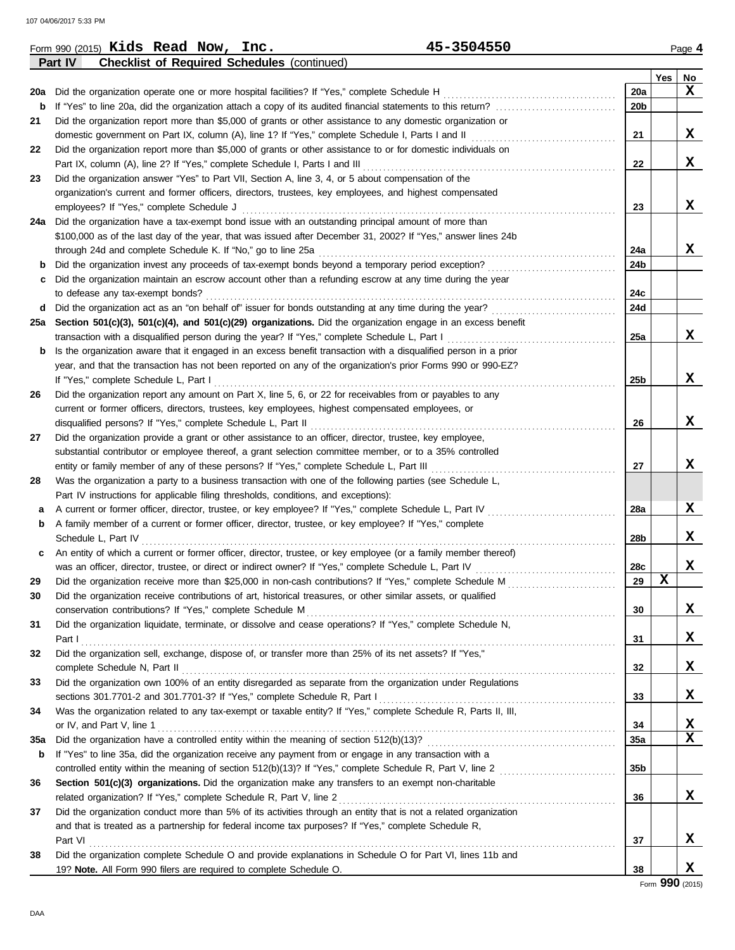|     | 45-3504550<br>Form 990 (2015) Kids Read Now, Inc.                                                                |                 |     | Page 4 |
|-----|------------------------------------------------------------------------------------------------------------------|-----------------|-----|--------|
|     | <b>Checklist of Required Schedules (continued)</b><br>Part IV                                                    |                 |     |        |
|     |                                                                                                                  |                 | Yes | No     |
| 20a | Did the organization operate one or more hospital facilities? If "Yes," complete Schedule H                      | 20a             |     | X      |
| b   | If "Yes" to line 20a, did the organization attach a copy of its audited financial statements to this return?     | 20 <sub>b</sub> |     |        |
| 21  | Did the organization report more than \$5,000 of grants or other assistance to any domestic organization or      |                 |     |        |
|     | domestic government on Part IX, column (A), line 1? If "Yes," complete Schedule I, Parts I and II                | 21              |     | X      |
| 22  | Did the organization report more than \$5,000 of grants or other assistance to or for domestic individuals on    |                 |     |        |
|     | Part IX, column (A), line 2? If "Yes," complete Schedule I, Parts I and III                                      | 22              |     | X      |
| 23  | Did the organization answer "Yes" to Part VII, Section A, line 3, 4, or 5 about compensation of the              |                 |     |        |
|     | organization's current and former officers, directors, trustees, key employees, and highest compensated          |                 |     |        |
|     | employees? If "Yes," complete Schedule J                                                                         | 23              |     | X      |
|     | 24a Did the organization have a tax-exempt bond issue with an outstanding principal amount of more than          |                 |     |        |
|     | \$100,000 as of the last day of the year, that was issued after December 31, 2002? If "Yes," answer lines 24b    |                 |     |        |
|     | through 24d and complete Schedule K. If "No," go to line 25a                                                     | 24a             |     | X      |
| b   | Did the organization invest any proceeds of tax-exempt bonds beyond a temporary period exception?                | 24b             |     |        |
| c   | Did the organization maintain an escrow account other than a refunding escrow at any time during the year        |                 |     |        |
|     | to defease any tax-exempt bonds?                                                                                 | 24c             |     |        |
|     | d Did the organization act as an "on behalf of" issuer for bonds outstanding at any time during the year?        | 24d             |     |        |
|     | 25a Section 501(c)(3), 501(c)(4), and 501(c)(29) organizations. Did the organization engage in an excess benefit |                 |     |        |
|     | transaction with a disqualified person during the year? If "Yes," complete Schedule L, Part I                    | 25a             |     | x      |
| b   | Is the organization aware that it engaged in an excess benefit transaction with a disqualified person in a prior |                 |     |        |
|     | year, and that the transaction has not been reported on any of the organization's prior Forms 990 or 990-EZ?     |                 |     |        |
|     | If "Yes," complete Schedule L, Part I                                                                            | 25b             |     | x      |
| 26  | Did the organization report any amount on Part X, line 5, 6, or 22 for receivables from or payables to any       |                 |     |        |
|     | current or former officers, directors, trustees, key employees, highest compensated employees, or                |                 |     |        |
|     | disqualified persons? If "Yes," complete Schedule L, Part II                                                     | 26              |     | X      |
| 27  | Did the organization provide a grant or other assistance to an officer, director, trustee, key employee,         |                 |     |        |
|     | substantial contributor or employee thereof, a grant selection committee member, or to a 35% controlled          |                 |     |        |
|     | entity or family member of any of these persons? If "Yes," complete Schedule L, Part III                         | 27              |     | x      |
| 28  | Was the organization a party to a business transaction with one of the following parties (see Schedule L,        |                 |     |        |
|     | Part IV instructions for applicable filing thresholds, conditions, and exceptions):                              |                 |     |        |
| а   | A current or former officer, director, trustee, or key employee? If "Yes," complete Schedule L, Part IV          | 28a             |     | x      |
| b   | A family member of a current or former officer, director, trustee, or key employee? If "Yes," complete           |                 |     |        |
|     | Schedule L, Part IV                                                                                              | 28b             |     | x      |
|     | An entity of which a current or former officer, director, trustee, or key employee (or a family member thereof)  |                 |     |        |
|     | was an officer, director, trustee, or direct or indirect owner? If "Yes," complete Schedule L, Part IV           | 28c             |     | X      |
| 29  | Did the organization receive more than \$25,000 in non-cash contributions? If "Yes," complete Schedule M         | 29              | X   |        |
| 30  | Did the organization receive contributions of art, historical treasures, or other similar assets, or qualified   |                 |     |        |
|     | conservation contributions? If "Yes," complete Schedule M                                                        | 30              |     | x      |
| 31  | Did the organization liquidate, terminate, or dissolve and cease operations? If "Yes," complete Schedule N,      |                 |     |        |
|     | Part I                                                                                                           | 31              |     | X      |
| 32  | Did the organization sell, exchange, dispose of, or transfer more than 25% of its net assets? If "Yes,"          |                 |     |        |
|     | complete Schedule N, Part II                                                                                     | 32              |     | X      |
| 33  | Did the organization own 100% of an entity disregarded as separate from the organization under Regulations       |                 |     |        |
|     | sections 301.7701-2 and 301.7701-3? If "Yes," complete Schedule R, Part I                                        | 33              |     | X      |
| 34  | Was the organization related to any tax-exempt or taxable entity? If "Yes," complete Schedule R, Parts II, III,  |                 |     |        |
|     | or IV, and Part V, line 1                                                                                        | 34              |     | X      |
| 35a |                                                                                                                  | 35a             |     | X      |
| b   | If "Yes" to line 35a, did the organization receive any payment from or engage in any transaction with a          |                 |     |        |
|     |                                                                                                                  | 35 <sub>b</sub> |     |        |
| 36  | Section 501(c)(3) organizations. Did the organization make any transfers to an exempt non-charitable             |                 |     |        |
|     | related organization? If "Yes," complete Schedule R, Part V, line 2                                              | 36              |     | x      |
| 37  | Did the organization conduct more than 5% of its activities through an entity that is not a related organization |                 |     |        |
|     | and that is treated as a partnership for federal income tax purposes? If "Yes," complete Schedule R,             |                 |     |        |
|     | Part VI                                                                                                          | 37              |     | x      |
| 38  | Did the organization complete Schedule O and provide explanations in Schedule O for Part VI, lines 11b and       |                 |     |        |
|     | 19? Note. All Form 990 filers are required to complete Schedule O.                                               | 38              |     | X      |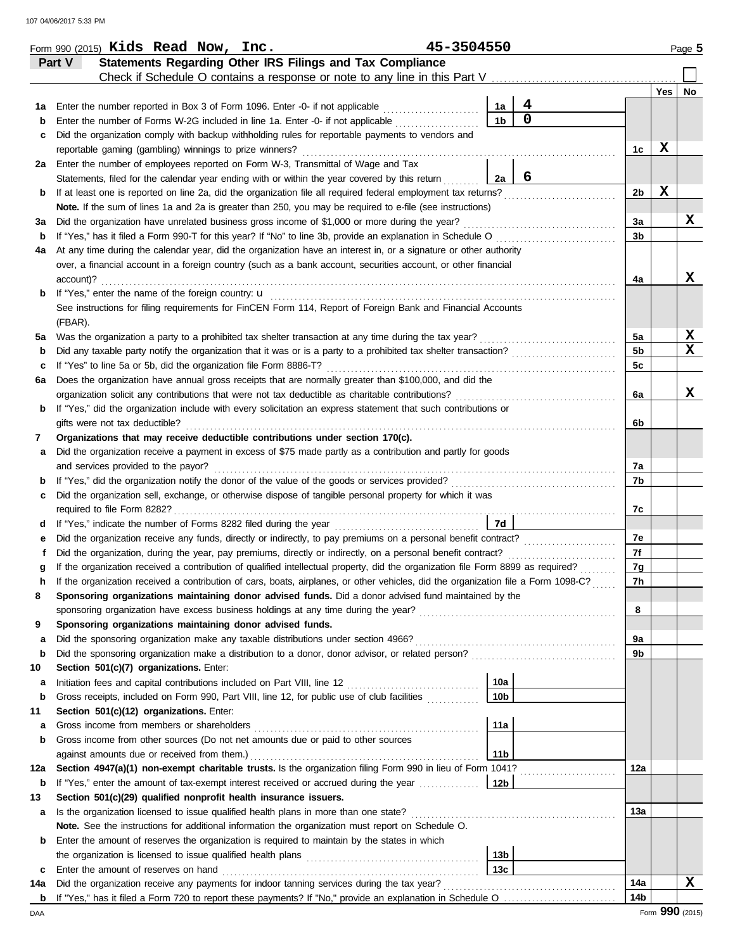|     | Form 990 (2015) Kids Read Now, Inc.                                                                                                | 45-3504550 |                      |                     |                |     | Page 5      |
|-----|------------------------------------------------------------------------------------------------------------------------------------|------------|----------------------|---------------------|----------------|-----|-------------|
|     | Statements Regarding Other IRS Filings and Tax Compliance<br>Part V                                                                |            |                      |                     |                |     |             |
|     | Check if Schedule O contains a response or note to any line in this Part V                                                         |            |                      |                     |                |     |             |
|     |                                                                                                                                    |            |                      |                     |                | Yes | No          |
| 1a  | Enter the number reported in Box 3 of Form 1096. Enter -0- if not applicable                                                       |            | 1а<br>1 <sub>b</sub> | 4<br>$\overline{0}$ |                |     |             |
| b   | Enter the number of Forms W-2G included in line 1a. Enter -0- if not applicable                                                    |            |                      |                     |                |     |             |
| c   | Did the organization comply with backup withholding rules for reportable payments to vendors and                                   |            |                      |                     |                |     |             |
|     | reportable gaming (gambling) winnings to prize winners?                                                                            |            |                      |                     | 1c             | X   |             |
| 2a  | Enter the number of employees reported on Form W-3, Transmittal of Wage and Tax                                                    |            |                      |                     |                |     |             |
|     | Statements, filed for the calendar year ending with or within the year covered by this return                                      |            | 2a                   | 6                   |                |     |             |
| b   | If at least one is reported on line 2a, did the organization file all required federal employment tax returns?                     |            |                      |                     | 2b             | X   |             |
|     | Note. If the sum of lines 1a and 2a is greater than 250, you may be required to e-file (see instructions)                          |            |                      |                     |                |     |             |
| За  | Did the organization have unrelated business gross income of \$1,000 or more during the year?                                      |            |                      |                     | 3a             |     | X           |
| b   | If "Yes," has it filed a Form 990-T for this year? If "No" to line 3b, provide an explanation in Schedule O                        |            |                      |                     | 3b             |     |             |
| 4a  | At any time during the calendar year, did the organization have an interest in, or a signature or other authority                  |            |                      |                     |                |     |             |
|     | over, a financial account in a foreign country (such as a bank account, securities account, or other financial                     |            |                      |                     |                |     |             |
|     | account)?                                                                                                                          |            |                      |                     | 4a             |     | X           |
| b   | If "Yes," enter the name of the foreign country: u                                                                                 |            |                      |                     |                |     |             |
|     | See instructions for filing requirements for FinCEN Form 114, Report of Foreign Bank and Financial Accounts                        |            |                      |                     |                |     |             |
|     | (FBAR).                                                                                                                            |            |                      |                     |                |     |             |
| 5a  | Was the organization a party to a prohibited tax shelter transaction at any time during the tax year?                              |            |                      |                     | 5a             |     | X           |
| b   | Did any taxable party notify the organization that it was or is a party to a prohibited tax shelter transaction?                   |            |                      |                     | 5 <sub>b</sub> |     | $\mathbf x$ |
| c   | If "Yes" to line 5a or 5b, did the organization file Form 8886-T?                                                                  |            |                      |                     | 5c             |     |             |
| 6a  | Does the organization have annual gross receipts that are normally greater than \$100,000, and did the                             |            |                      |                     |                |     |             |
|     | organization solicit any contributions that were not tax deductible as charitable contributions?                                   |            |                      |                     | 6a             |     | X           |
| b   | If "Yes," did the organization include with every solicitation an express statement that such contributions or                     |            |                      |                     |                |     |             |
|     | gifts were not tax deductible?                                                                                                     |            |                      |                     | 6b             |     |             |
| 7   | Organizations that may receive deductible contributions under section 170(c).                                                      |            |                      |                     |                |     |             |
| а   | Did the organization receive a payment in excess of \$75 made partly as a contribution and partly for goods                        |            |                      |                     |                |     |             |
|     | and services provided to the payor?                                                                                                |            |                      |                     | 7а             |     |             |
| b   |                                                                                                                                    |            |                      |                     | 7b             |     |             |
| c   | Did the organization sell, exchange, or otherwise dispose of tangible personal property for which it was                           |            |                      |                     |                |     |             |
|     | required to file Form 8282?                                                                                                        |            |                      |                     | 7с             |     |             |
| d   |                                                                                                                                    |            | 7d                   |                     |                |     |             |
| е   | Did the organization receive any funds, directly or indirectly, to pay premiums on a personal benefit contract?                    |            |                      |                     | 7е             |     |             |
|     | Did the organization, during the year, pay premiums, directly or indirectly, on a personal benefit contract?                       |            |                      |                     | 7f             |     |             |
|     | If the organization received a contribution of qualified intellectual property, did the organization file Form 8899 as required?   |            |                      |                     | 7g             |     |             |
|     | If the organization received a contribution of cars, boats, airplanes, or other vehicles, did the organization file a Form 1098-C? |            |                      |                     | 7 <sub>h</sub> |     |             |
| 8   | Sponsoring organizations maintaining donor advised funds. Did a donor advised fund maintained by the                               |            |                      |                     |                |     |             |
|     |                                                                                                                                    |            |                      |                     | 8              |     |             |
| 9   | Sponsoring organizations maintaining donor advised funds.                                                                          |            |                      |                     |                |     |             |
| a   |                                                                                                                                    |            |                      |                     | 9а             |     |             |
| b   | Did the sponsoring organization make a distribution to a donor, donor advisor, or related person?                                  |            |                      |                     | 9b             |     |             |
| 10  | Section 501(c)(7) organizations. Enter:                                                                                            |            |                      |                     |                |     |             |
| а   | Initiation fees and capital contributions included on Part VIII, line 12 [11][11][11][11][11][11][11][11][11][                     |            | 10a                  |                     |                |     |             |
| b   | Gross receipts, included on Form 990, Part VIII, line 12, for public use of club facilities                                        |            | 10 <sub>b</sub>      |                     |                |     |             |
| 11  | Section 501(c)(12) organizations. Enter:                                                                                           |            |                      |                     |                |     |             |
| а   | Gross income from members or shareholders                                                                                          |            | 11a                  |                     |                |     |             |
| b   | Gross income from other sources (Do not net amounts due or paid to other sources                                                   |            |                      |                     |                |     |             |
|     | against amounts due or received from them.)                                                                                        |            | 11 <sub>b</sub>      |                     |                |     |             |
| 12a | Section 4947(a)(1) non-exempt charitable trusts. Is the organization filing Form 990 in lieu of Form 1041?                         |            |                      |                     | 12a            |     |             |
| b   | If "Yes," enter the amount of tax-exempt interest received or accrued during the year                                              |            | 12 <sub>b</sub>      |                     |                |     |             |
| 13  | Section 501(c)(29) qualified nonprofit health insurance issuers.                                                                   |            |                      |                     |                |     |             |
| а   | Is the organization licensed to issue qualified health plans in more than one state?                                               |            |                      |                     | 13a            |     |             |
|     | Note. See the instructions for additional information the organization must report on Schedule O.                                  |            |                      |                     |                |     |             |
| b   | Enter the amount of reserves the organization is required to maintain by the states in which                                       |            |                      |                     |                |     |             |
|     |                                                                                                                                    |            | 13 <sub>b</sub>      |                     |                |     |             |
| c   | Enter the amount of reserves on hand                                                                                               |            | 13 <sub>c</sub>      |                     |                |     |             |
| 14a | Did the organization receive any payments for indoor tanning services during the tax year?                                         |            |                      |                     | 14a            |     | x           |
| b   |                                                                                                                                    |            |                      |                     | 14b            |     |             |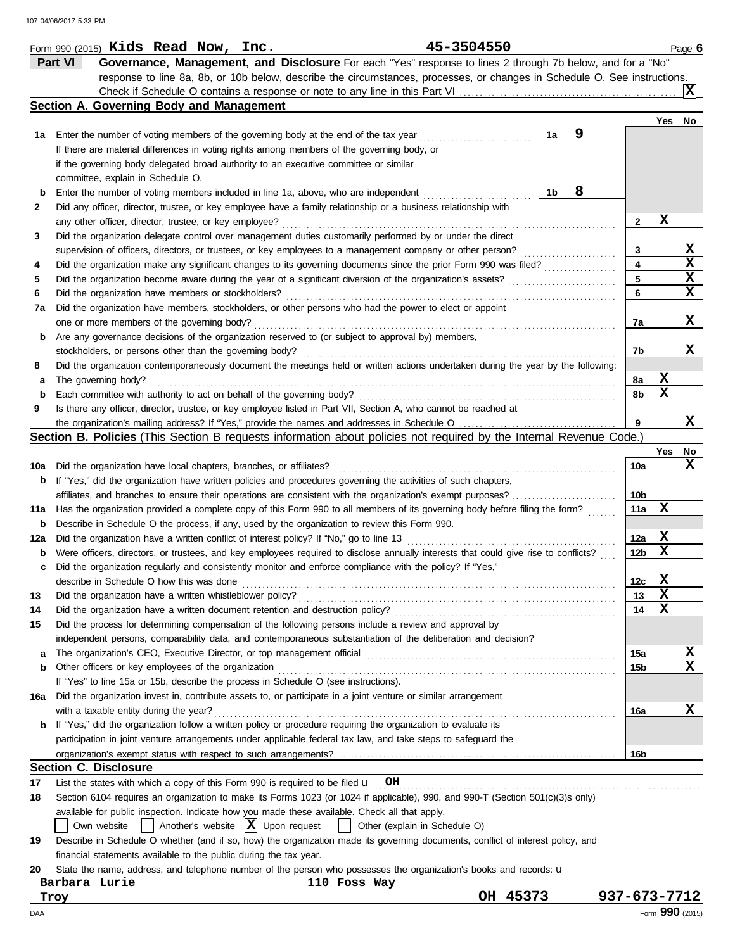|     | 45-3504550<br>Form 990 (2015) $Kids$ Read Now, Inc.                                                                                                |                         |             | Page 6          |
|-----|----------------------------------------------------------------------------------------------------------------------------------------------------|-------------------------|-------------|-----------------|
|     | Part VI<br>Governance, Management, and Disclosure For each "Yes" response to lines 2 through 7b below, and for a "No"                              |                         |             |                 |
|     | response to line 8a, 8b, or 10b below, describe the circumstances, processes, or changes in Schedule O. See instructions.                          |                         |             |                 |
|     |                                                                                                                                                    |                         |             | ΙXΙ             |
|     | Section A. Governing Body and Management                                                                                                           |                         |             |                 |
|     |                                                                                                                                                    |                         | Yes         | No              |
| 1а  | 9<br>1a<br>Enter the number of voting members of the governing body at the end of the tax year                                                     |                         |             |                 |
|     | If there are material differences in voting rights among members of the governing body, or                                                         |                         |             |                 |
|     | if the governing body delegated broad authority to an executive committee or similar                                                               |                         |             |                 |
|     | committee, explain in Schedule O.                                                                                                                  |                         |             |                 |
| b   | 8<br>1 <sub>b</sub><br>Enter the number of voting members included in line 1a, above, who are independent                                          |                         |             |                 |
| 2   | Did any officer, director, trustee, or key employee have a family relationship or a business relationship with                                     |                         |             |                 |
|     | any other officer, director, trustee, or key employee?                                                                                             | $\mathbf{2}$            | X           |                 |
| 3   | Did the organization delegate control over management duties customarily performed by or under the direct                                          |                         |             |                 |
|     | supervision of officers, directors, or trustees, or key employees to a management company or other person?                                         | 3                       |             | X               |
|     | Did the organization make any significant changes to its governing documents since the prior Form 990 was filed?                                   | $\overline{\mathbf{4}}$ |             | $\mathbf x$     |
| 4   |                                                                                                                                                    | 5                       |             | X               |
| 5   | Did the organization become aware during the year of a significant diversion of the organization's assets?                                         | 6                       |             | X               |
| 6   | Did the organization have members or stockholders?                                                                                                 |                         |             |                 |
| 7a  | Did the organization have members, stockholders, or other persons who had the power to elect or appoint                                            |                         |             | X               |
|     | one or more members of the governing body?                                                                                                         | 7a                      |             |                 |
| b   | Are any governance decisions of the organization reserved to (or subject to approval by) members,                                                  |                         |             |                 |
|     | stockholders, or persons other than the governing body?                                                                                            | 7b                      |             | x               |
| 8   | Did the organization contemporaneously document the meetings held or written actions undertaken during the year by the following:                  |                         |             |                 |
| а   | The governing body?                                                                                                                                | 8a                      | х           |                 |
| b   | Each committee with authority to act on behalf of the governing body?                                                                              | 8b                      | $\mathbf x$ |                 |
| 9   | Is there any officer, director, trustee, or key employee listed in Part VII, Section A, who cannot be reached at                                   |                         |             |                 |
|     |                                                                                                                                                    | 9                       |             | X               |
|     | Section B. Policies (This Section B requests information about policies not required by the Internal Revenue Code.)                                |                         |             |                 |
|     |                                                                                                                                                    |                         | Yes         | No              |
| 10a | Did the organization have local chapters, branches, or affiliates?                                                                                 | 10a                     |             | x               |
| b   | If "Yes," did the organization have written policies and procedures governing the activities of such chapters,                                     |                         |             |                 |
|     | affiliates, and branches to ensure their operations are consistent with the organization's exempt purposes?                                        | 10b                     |             |                 |
| 11a | Has the organization provided a complete copy of this Form 990 to all members of its governing body before filing the form?                        | 11a                     | X           |                 |
| b   | Describe in Schedule O the process, if any, used by the organization to review this Form 990.                                                      |                         |             |                 |
| 12a | Did the organization have a written conflict of interest policy? If "No," go to line 13                                                            | 12a                     | X           |                 |
| b   | Were officers, directors, or trustees, and key employees required to disclose annually interests that could give rise to conflicts?                | 12b                     | X           |                 |
| с   | Did the organization regularly and consistently monitor and enforce compliance with the policy? If "Yes,"                                          |                         |             |                 |
|     | describe in Schedule O how this was done                                                                                                           | 12c                     | $\mathbf x$ |                 |
| 13  | Did the organization have a written whistleblower policy?                                                                                          | 13                      | X           |                 |
| 14  | Did the organization have a written document retention and destruction policy?                                                                     | 14                      | х           |                 |
| 15  | Did the process for determining compensation of the following persons include a review and approval by                                             |                         |             |                 |
|     | independent persons, comparability data, and contemporaneous substantiation of the deliberation and decision?                                      |                         |             |                 |
| a   | The organization's CEO, Executive Director, or top management official                                                                             | 15a                     |             | X               |
| b   | Other officers or key employees of the organization                                                                                                | 15b                     |             | X               |
|     | If "Yes" to line 15a or 15b, describe the process in Schedule O (see instructions).                                                                |                         |             |                 |
| 16a | Did the organization invest in, contribute assets to, or participate in a joint venture or similar arrangement                                     |                         |             |                 |
|     | with a taxable entity during the year?                                                                                                             | 16a                     |             | X               |
| b   | If "Yes," did the organization follow a written policy or procedure requiring the organization to evaluate its                                     |                         |             |                 |
|     | participation in joint venture arrangements under applicable federal tax law, and take steps to safeguard the                                      |                         |             |                 |
|     |                                                                                                                                                    | 16 <sub>b</sub>         |             |                 |
|     | <b>Section C. Disclosure</b>                                                                                                                       |                         |             |                 |
| 17  | List the states with which a copy of this Form 990 is required to be filed $\mathbf{u}$ OH                                                         |                         |             |                 |
| 18  | Section 6104 requires an organization to make its Forms 1023 (or 1024 if applicable), 990, and 990-T (Section 501(c)(3)s only)                     |                         |             |                 |
|     | available for public inspection. Indicate how you made these available. Check all that apply.                                                      |                         |             |                 |
|     | Another's website $ \mathbf{X} $ Upon request<br>Own website<br>Other (explain in Schedule O)                                                      |                         |             |                 |
| 19  | Describe in Schedule O whether (and if so, how) the organization made its governing documents, conflict of interest policy, and                    |                         |             |                 |
|     |                                                                                                                                                    |                         |             |                 |
|     | financial statements available to the public during the tax year.                                                                                  |                         |             |                 |
| 20  | State the name, address, and telephone number of the person who possesses the organization's books and records: u<br>Barbara Lurie<br>110 Foss Way |                         |             |                 |
|     | OH 45373<br>Troy                                                                                                                                   | 937-673-7712            |             |                 |
|     |                                                                                                                                                    |                         |             | Form 990 (2015) |
| DAA |                                                                                                                                                    |                         |             |                 |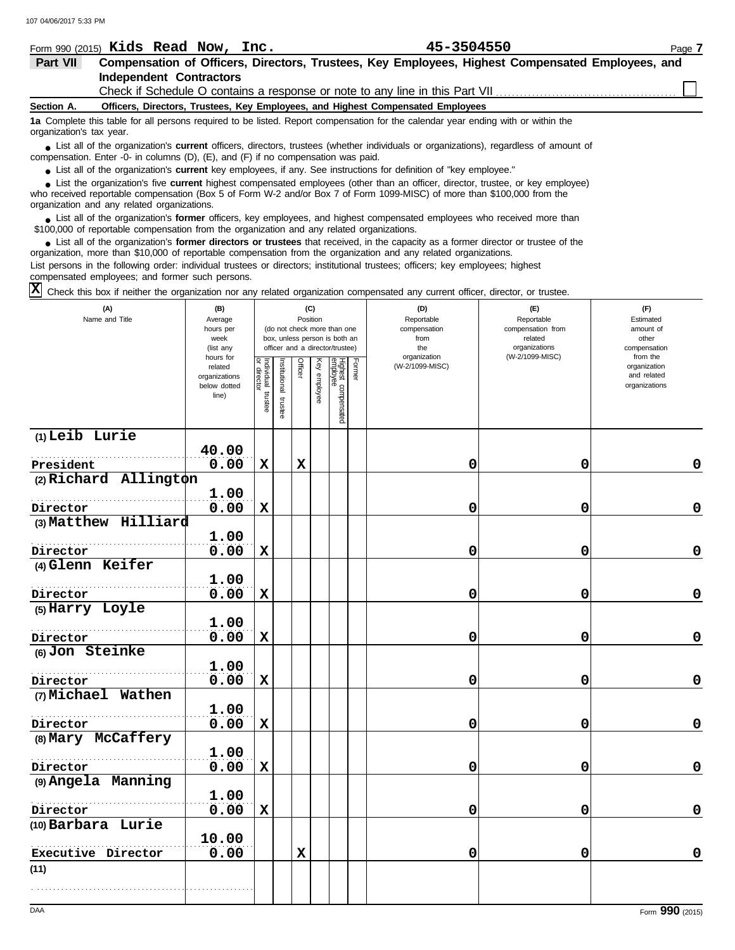|                                                                                               | Form 990 (2015) Kids Read Now, Inc.                                                                                                                           | 45-3504550                                                                                                                             | Page 7 |  |  |  |  |  |  |  |
|-----------------------------------------------------------------------------------------------|---------------------------------------------------------------------------------------------------------------------------------------------------------------|----------------------------------------------------------------------------------------------------------------------------------------|--------|--|--|--|--|--|--|--|
| Part VII                                                                                      |                                                                                                                                                               | Compensation of Officers, Directors, Trustees, Key Employees, Highest Compensated Employees, and                                       |        |  |  |  |  |  |  |  |
|                                                                                               | <b>Independent Contractors</b>                                                                                                                                |                                                                                                                                        |        |  |  |  |  |  |  |  |
|                                                                                               |                                                                                                                                                               |                                                                                                                                        |        |  |  |  |  |  |  |  |
| Section A.<br>Officers, Directors, Trustees, Key Employees, and Highest Compensated Employees |                                                                                                                                                               |                                                                                                                                        |        |  |  |  |  |  |  |  |
|                                                                                               | 1a Complete this table for all persons required to be listed. Report compensation for the calendar year ending with or within the<br>organization's tax year. |                                                                                                                                        |        |  |  |  |  |  |  |  |
|                                                                                               | compensation. Enter -0- in columns $(D)$ , $(E)$ , and $(F)$ if no compensation was paid.                                                                     | • List all of the organization's current officers, directors, trustees (whether individuals or organizations), regardless of amount of |        |  |  |  |  |  |  |  |

● List all of the organization's **current** key employees, if any. See instructions for definition of "key employee."

who received reportable compensation (Box 5 of Form W-2 and/or Box 7 of Form 1099-MISC) of more than \$100,000 from the organization and any related organizations. ■ List the organization's five **current** highest compensated employees (other than an officer, director, trustee, or key employee)<br> **•** Preceived reportable compensation (Box 5 of Form *M, 2 and/or Box 7 of Form 1000 MISC* 

■ List all of the organization's **former** officers, key employees, and highest compensated employees who received more than<br> **•** 00.000 of reportable compensation from the ergonization and any related ergonizations \$100,000 of reportable compensation from the organization and any related organizations.

■ List all of the organization's **former directors or trustees** that received, in the capacity as a former director or trustee of the<br>paization, more than \$10,000 of reportable compensation from the organization and any r organization, more than \$10,000 of reportable compensation from the organization and any related organizations. List persons in the following order: individual trustees or directors; institutional trustees; officers; key employees; highest compensated employees; and former such persons.

 $\overline{X}$  Check this box if neither the organization nor any related organization compensated any current officer, director, or trustee.

| (A)<br>Name and Title   | (B)<br>Average<br>hours per<br>week<br>(list any               |                                   |                          |                | (C)<br>Position | (do not check more than one<br>box, unless person is both an<br>officer and a director/trustee) |        | (D)<br>Reportable<br>compensation<br>from<br>the | (E)<br>Reportable<br>compensation from<br>related<br>organizations | (F)<br>Estimated<br>amount of<br>other<br>compensation<br>from the |  |  |
|-------------------------|----------------------------------------------------------------|-----------------------------------|--------------------------|----------------|-----------------|-------------------------------------------------------------------------------------------------|--------|--------------------------------------------------|--------------------------------------------------------------------|--------------------------------------------------------------------|--|--|
|                         | hours for<br>related<br>organizations<br>below dotted<br>line) | Individual trustee<br>or director | Institutional<br>trustee | <b>Officer</b> | Key employee    | Highest compensated<br>employee                                                                 | Former | organization<br>(W-2/1099-MISC)                  | (W-2/1099-MISC)                                                    | organization<br>and related<br>organizations                       |  |  |
| (1) Leib Lurie          | 40.00                                                          |                                   |                          |                |                 |                                                                                                 |        |                                                  |                                                                    |                                                                    |  |  |
| President               | 0.00                                                           | $\mathbf x$                       |                          | $\mathbf x$    |                 |                                                                                                 |        | 0                                                | 0                                                                  | $\mathbf 0$                                                        |  |  |
| $(2)$ Richard Allington |                                                                |                                   |                          |                |                 |                                                                                                 |        |                                                  |                                                                    |                                                                    |  |  |
|                         | 1.00                                                           |                                   |                          |                |                 |                                                                                                 |        |                                                  |                                                                    |                                                                    |  |  |
| Director                | 0.00                                                           | $\mathbf x$                       |                          |                |                 |                                                                                                 |        | 0                                                | 0                                                                  | $\mathbf 0$                                                        |  |  |
| (3) Matthew Hilliard    |                                                                |                                   |                          |                |                 |                                                                                                 |        |                                                  |                                                                    |                                                                    |  |  |
|                         | 1.00                                                           |                                   |                          |                |                 |                                                                                                 |        |                                                  |                                                                    |                                                                    |  |  |
| Director                | 0.00                                                           | $\mathbf x$                       |                          |                |                 |                                                                                                 |        | 0                                                | 0                                                                  | 0                                                                  |  |  |
| (4) Glenn Keifer        |                                                                |                                   |                          |                |                 |                                                                                                 |        |                                                  |                                                                    |                                                                    |  |  |
|                         | 1.00                                                           |                                   |                          |                |                 |                                                                                                 |        |                                                  |                                                                    |                                                                    |  |  |
| Director                | 0.00                                                           | $\mathbf x$                       |                          |                |                 |                                                                                                 |        | 0                                                | 0                                                                  | 0                                                                  |  |  |
| (5) Harry Loyle         | 1.00                                                           |                                   |                          |                |                 |                                                                                                 |        |                                                  |                                                                    |                                                                    |  |  |
| Director                | 0.00                                                           | $\mathbf x$                       |                          |                |                 |                                                                                                 |        | 0                                                | 0                                                                  | $\mathbf 0$                                                        |  |  |
| (6) Jon Steinke         |                                                                |                                   |                          |                |                 |                                                                                                 |        |                                                  |                                                                    |                                                                    |  |  |
|                         | 1.00                                                           |                                   |                          |                |                 |                                                                                                 |        |                                                  |                                                                    |                                                                    |  |  |
| Director                | 0.00                                                           | $\mathbf x$                       |                          |                |                 |                                                                                                 |        | 0                                                | 0                                                                  | $\mathbf 0$                                                        |  |  |
| (7) Michael Wathen      |                                                                |                                   |                          |                |                 |                                                                                                 |        |                                                  |                                                                    |                                                                    |  |  |
|                         | 1.00                                                           |                                   |                          |                |                 |                                                                                                 |        |                                                  |                                                                    |                                                                    |  |  |
| Director                | 0.00                                                           | $\mathbf x$                       |                          |                |                 |                                                                                                 |        | 0                                                | 0                                                                  | 0                                                                  |  |  |
| (8) Mary McCaffery      |                                                                |                                   |                          |                |                 |                                                                                                 |        |                                                  |                                                                    |                                                                    |  |  |
|                         | 1.00                                                           |                                   |                          |                |                 |                                                                                                 |        |                                                  |                                                                    |                                                                    |  |  |
| Director                | 0.00                                                           | $\mathbf x$                       |                          |                |                 |                                                                                                 |        | 0                                                | 0                                                                  | $\mathbf 0$                                                        |  |  |
| (9) Angela Manning      |                                                                |                                   |                          |                |                 |                                                                                                 |        |                                                  |                                                                    |                                                                    |  |  |
|                         | 1.00                                                           |                                   |                          |                |                 |                                                                                                 |        |                                                  |                                                                    |                                                                    |  |  |
| Director                | 0.00                                                           | $\mathbf x$                       |                          |                |                 |                                                                                                 |        | 0                                                | 0                                                                  | $\pmb{0}$                                                          |  |  |
| (10) Barbara Lurie      |                                                                |                                   |                          |                |                 |                                                                                                 |        |                                                  |                                                                    |                                                                    |  |  |
|                         | 10.00                                                          |                                   |                          |                |                 |                                                                                                 |        |                                                  |                                                                    |                                                                    |  |  |
| Executive Director      | 0.00                                                           |                                   |                          | $\mathbf x$    |                 |                                                                                                 |        | 0                                                | 0                                                                  | 0                                                                  |  |  |
| (11)                    |                                                                |                                   |                          |                |                 |                                                                                                 |        |                                                  |                                                                    |                                                                    |  |  |
|                         |                                                                |                                   |                          |                |                 |                                                                                                 |        |                                                  |                                                                    |                                                                    |  |  |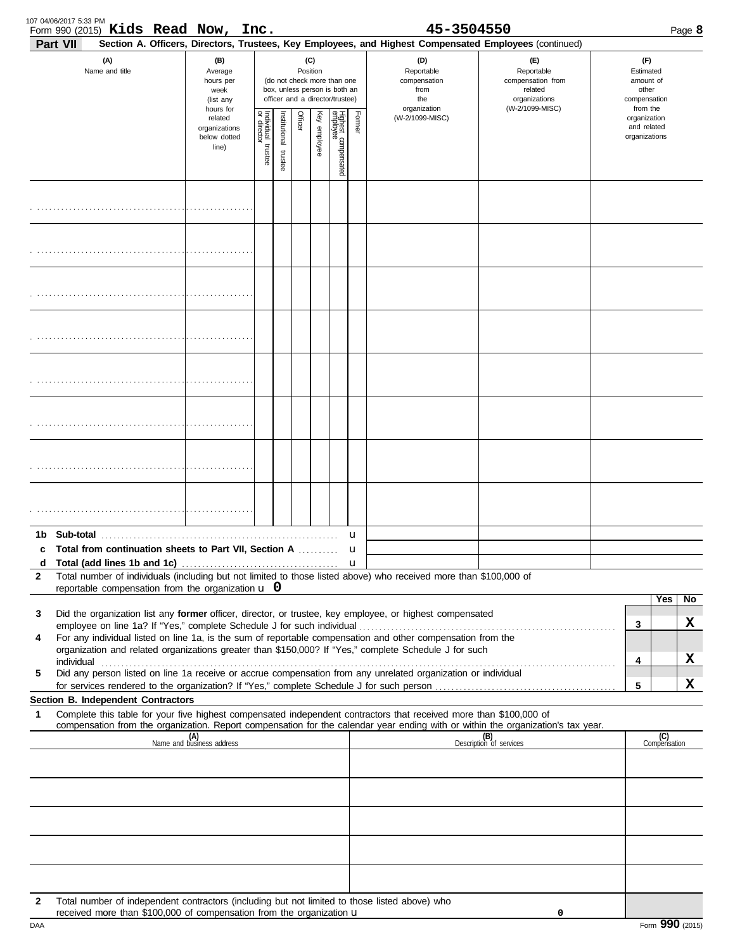| 107 04/06/2017 5:33 PM | Form 990 (2015) Kids Read Now, Inc.                                                                                                                                                                                                                                                                                                                                                                                                                                                                                                                                                                                                                                                        |                                  |                                                          |  |        | 45-3504550                                                                                                                                                                                                           |                                                                                                                                  |   | Page 8              |
|------------------------|--------------------------------------------------------------------------------------------------------------------------------------------------------------------------------------------------------------------------------------------------------------------------------------------------------------------------------------------------------------------------------------------------------------------------------------------------------------------------------------------------------------------------------------------------------------------------------------------------------------------------------------------------------------------------------------------|----------------------------------|----------------------------------------------------------|--|--------|----------------------------------------------------------------------------------------------------------------------------------------------------------------------------------------------------------------------|----------------------------------------------------------------------------------------------------------------------------------|---|---------------------|
| Part VII               | Section A. Officers, Directors, Trustees, Key Employees, and Highest Compensated Employees (continued)<br>(A)<br>(B)<br>(C)<br>(D)<br>(F)<br>Position<br>Reportable<br>Name and title<br>Average<br>Reportable<br>(do not check more than one<br>compensation<br>compensation from<br>hours per<br>box, unless person is both an<br>from<br>related<br>week<br>officer and a director/trustee)<br>the<br>organizations<br>(list any<br>organization<br>(W-2/1099-MISC)<br>hours for<br>Highest compensated<br>employee<br>Individual 1<br>Officer<br>Former<br>Institutional<br>Key employee<br>(W-2/1099-MISC)<br>related<br>organizations<br>below dotted<br>trustee<br>line)<br>trustee |                                  |                                                          |  |        |                                                                                                                                                                                                                      | (F)<br>Estimated<br>amount of<br>other<br>compensation                                                                           |   |                     |
|                        |                                                                                                                                                                                                                                                                                                                                                                                                                                                                                                                                                                                                                                                                                            |                                  | from the<br>organization<br>and related<br>organizations |  |        |                                                                                                                                                                                                                      |                                                                                                                                  |   |                     |
|                        |                                                                                                                                                                                                                                                                                                                                                                                                                                                                                                                                                                                                                                                                                            |                                  |                                                          |  |        |                                                                                                                                                                                                                      |                                                                                                                                  |   |                     |
|                        |                                                                                                                                                                                                                                                                                                                                                                                                                                                                                                                                                                                                                                                                                            |                                  |                                                          |  |        |                                                                                                                                                                                                                      |                                                                                                                                  |   |                     |
|                        |                                                                                                                                                                                                                                                                                                                                                                                                                                                                                                                                                                                                                                                                                            |                                  |                                                          |  |        |                                                                                                                                                                                                                      |                                                                                                                                  |   |                     |
|                        |                                                                                                                                                                                                                                                                                                                                                                                                                                                                                                                                                                                                                                                                                            |                                  |                                                          |  |        |                                                                                                                                                                                                                      |                                                                                                                                  |   |                     |
|                        |                                                                                                                                                                                                                                                                                                                                                                                                                                                                                                                                                                                                                                                                                            |                                  |                                                          |  |        |                                                                                                                                                                                                                      |                                                                                                                                  |   |                     |
|                        |                                                                                                                                                                                                                                                                                                                                                                                                                                                                                                                                                                                                                                                                                            |                                  |                                                          |  |        |                                                                                                                                                                                                                      |                                                                                                                                  |   |                     |
|                        |                                                                                                                                                                                                                                                                                                                                                                                                                                                                                                                                                                                                                                                                                            |                                  |                                                          |  |        |                                                                                                                                                                                                                      |                                                                                                                                  |   |                     |
|                        |                                                                                                                                                                                                                                                                                                                                                                                                                                                                                                                                                                                                                                                                                            |                                  |                                                          |  |        |                                                                                                                                                                                                                      |                                                                                                                                  |   |                     |
| d                      | c Total from continuation sheets to Part VII, Section A                                                                                                                                                                                                                                                                                                                                                                                                                                                                                                                                                                                                                                    |                                  |                                                          |  | u<br>п |                                                                                                                                                                                                                      |                                                                                                                                  |   |                     |
| $\mathbf{2}$           | reportable compensation from the organization $\bf{u}$ 0                                                                                                                                                                                                                                                                                                                                                                                                                                                                                                                                                                                                                                   |                                  |                                                          |  |        | Total number of individuals (including but not limited to those listed above) who received more than \$100,000 of                                                                                                    |                                                                                                                                  |   |                     |
| 3                      | employee on line 1a? If "Yes," complete Schedule J for such individual                                                                                                                                                                                                                                                                                                                                                                                                                                                                                                                                                                                                                     |                                  |                                                          |  |        | Did the organization list any former officer, director, or trustee, key employee, or highest compensated                                                                                                             |                                                                                                                                  | 3 | Yes<br>No<br>x      |
| 4                      |                                                                                                                                                                                                                                                                                                                                                                                                                                                                                                                                                                                                                                                                                            |                                  |                                                          |  |        | For any individual listed on line 1a, is the sum of reportable compensation and other compensation from the<br>organization and related organizations greater than \$150,000? If "Yes," complete Schedule J for such |                                                                                                                                  | 4 | x                   |
| 5                      |                                                                                                                                                                                                                                                                                                                                                                                                                                                                                                                                                                                                                                                                                            |                                  |                                                          |  |        | Did any person listed on line 1a receive or accrue compensation from any unrelated organization or individual                                                                                                        |                                                                                                                                  | 5 | X                   |
| 1                      | Section B. Independent Contractors                                                                                                                                                                                                                                                                                                                                                                                                                                                                                                                                                                                                                                                         |                                  |                                                          |  |        | Complete this table for your five highest compensated independent contractors that received more than \$100,000 of                                                                                                   | compensation from the organization. Report compensation for the calendar year ending with or within the organization's tax year. |   |                     |
|                        |                                                                                                                                                                                                                                                                                                                                                                                                                                                                                                                                                                                                                                                                                            | (A)<br>Name and business address |                                                          |  |        |                                                                                                                                                                                                                      | (B)<br>Description of services                                                                                                   |   | (C)<br>Compensation |
|                        |                                                                                                                                                                                                                                                                                                                                                                                                                                                                                                                                                                                                                                                                                            |                                  |                                                          |  |        |                                                                                                                                                                                                                      |                                                                                                                                  |   |                     |
|                        |                                                                                                                                                                                                                                                                                                                                                                                                                                                                                                                                                                                                                                                                                            |                                  |                                                          |  |        |                                                                                                                                                                                                                      |                                                                                                                                  |   |                     |
|                        |                                                                                                                                                                                                                                                                                                                                                                                                                                                                                                                                                                                                                                                                                            |                                  |                                                          |  |        |                                                                                                                                                                                                                      |                                                                                                                                  |   |                     |
| 2                      | Total number of independent contractors (including but not limited to those listed above) who<br>received more than \$100,000 of compensation from the organization u                                                                                                                                                                                                                                                                                                                                                                                                                                                                                                                      |                                  |                                                          |  |        |                                                                                                                                                                                                                      | 0                                                                                                                                |   |                     |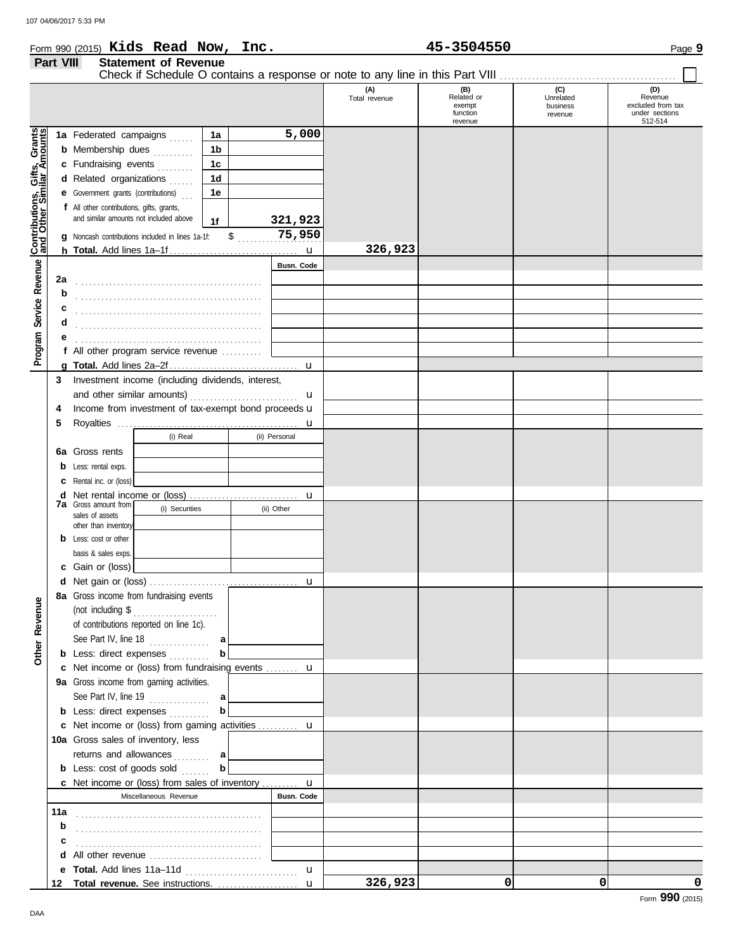#### Form 990 (2015) Page **9 Kids Read Now, Inc. 45-3504550**

| (C)<br>(D)<br>(A)<br>$(B)$<br>Related or<br>Revenue<br>Unrelated<br>Total revenue<br>exempt<br>business<br>under sections<br>function<br>revenue<br>512-514<br>revenue<br>Contributions, Gifts, Grants<br>and Other Similar Amounts<br>5,000<br>1a Federated campaigns<br>1a<br><b>b</b> Membership dues<br>1b<br>1 <sub>c</sub><br>c Fundraising events<br>1 <sub>d</sub><br>d Related organizations<br><b>e</b> Government grants (contributions)<br>1e<br>f All other contributions, gifts, grants,<br>and similar amounts not included above<br>321,923<br>1f<br>75,950<br>\$<br>g Noncash contributions included in lines 1a-1f:<br>326,923<br>u<br>Program Service Revenue<br><b>Busn. Code</b><br>2a<br>b<br>с<br>d<br>f All other program service revenue<br>$\mathbf{u}$<br>a<br>Investment income (including dividends, interest,<br>3<br>u<br>Income from investment of tax-exempt bond proceeds u<br>4<br>5<br>u<br>(i) Real<br>(ii) Personal<br>Gross rents<br>6а<br>Less: rental exps.<br>b<br>Rental inc. or (loss)<br>с<br>d<br>u<br>Gross amount from<br>7a<br>(i) Securities<br>(ii) Other<br>sales of assets<br>other than inventory<br>Less: cost or other<br>b<br>basis & sales exps.<br>Gain or (loss)<br>u<br>8a Gross income from fundraising events<br><b>Other Revenue</b><br>(not including $$$<br>.<br>of contributions reported on line 1c).<br>See Part IV, line $18$<br>a<br>b<br><b>b</b> Less: direct expenses<br>c Net income or (loss) from fundraising events  u<br>9a Gross income from gaming activities.<br>See Part IV, line 19<br>a l<br>b<br><b>b</b> Less: direct expenses<br>c Net income or (loss) from gaming activities  u<br>10a Gross sales of inventory, less<br>returns and allowances  a<br><b>b</b> Less: $cost$ of goods $sol$<br>b<br><b>c</b> Net income or (loss) from sales of inventory $\mathbf{u}$<br>Miscellaneous Revenue<br><b>Busn. Code</b><br>11a<br>b<br>c | Part VIII<br><b>Statement of Revenue</b> |  |  |  |  |                   |  |  |  |  |  |  |
|--------------------------------------------------------------------------------------------------------------------------------------------------------------------------------------------------------------------------------------------------------------------------------------------------------------------------------------------------------------------------------------------------------------------------------------------------------------------------------------------------------------------------------------------------------------------------------------------------------------------------------------------------------------------------------------------------------------------------------------------------------------------------------------------------------------------------------------------------------------------------------------------------------------------------------------------------------------------------------------------------------------------------------------------------------------------------------------------------------------------------------------------------------------------------------------------------------------------------------------------------------------------------------------------------------------------------------------------------------------------------------------------------------------------------------------------------------------------------------------------------------------------------------------------------------------------------------------------------------------------------------------------------------------------------------------------------------------------------------------------------------------------------------------------------------------------------------------------------------------------------------------------------------------------------------|------------------------------------------|--|--|--|--|-------------------|--|--|--|--|--|--|
|                                                                                                                                                                                                                                                                                                                                                                                                                                                                                                                                                                                                                                                                                                                                                                                                                                                                                                                                                                                                                                                                                                                                                                                                                                                                                                                                                                                                                                                                                                                                                                                                                                                                                                                                                                                                                                                                                                                                |                                          |  |  |  |  |                   |  |  |  |  |  |  |
|                                                                                                                                                                                                                                                                                                                                                                                                                                                                                                                                                                                                                                                                                                                                                                                                                                                                                                                                                                                                                                                                                                                                                                                                                                                                                                                                                                                                                                                                                                                                                                                                                                                                                                                                                                                                                                                                                                                                |                                          |  |  |  |  | excluded from tax |  |  |  |  |  |  |
|                                                                                                                                                                                                                                                                                                                                                                                                                                                                                                                                                                                                                                                                                                                                                                                                                                                                                                                                                                                                                                                                                                                                                                                                                                                                                                                                                                                                                                                                                                                                                                                                                                                                                                                                                                                                                                                                                                                                |                                          |  |  |  |  |                   |  |  |  |  |  |  |
|                                                                                                                                                                                                                                                                                                                                                                                                                                                                                                                                                                                                                                                                                                                                                                                                                                                                                                                                                                                                                                                                                                                                                                                                                                                                                                                                                                                                                                                                                                                                                                                                                                                                                                                                                                                                                                                                                                                                |                                          |  |  |  |  |                   |  |  |  |  |  |  |
|                                                                                                                                                                                                                                                                                                                                                                                                                                                                                                                                                                                                                                                                                                                                                                                                                                                                                                                                                                                                                                                                                                                                                                                                                                                                                                                                                                                                                                                                                                                                                                                                                                                                                                                                                                                                                                                                                                                                |                                          |  |  |  |  |                   |  |  |  |  |  |  |
|                                                                                                                                                                                                                                                                                                                                                                                                                                                                                                                                                                                                                                                                                                                                                                                                                                                                                                                                                                                                                                                                                                                                                                                                                                                                                                                                                                                                                                                                                                                                                                                                                                                                                                                                                                                                                                                                                                                                |                                          |  |  |  |  |                   |  |  |  |  |  |  |
|                                                                                                                                                                                                                                                                                                                                                                                                                                                                                                                                                                                                                                                                                                                                                                                                                                                                                                                                                                                                                                                                                                                                                                                                                                                                                                                                                                                                                                                                                                                                                                                                                                                                                                                                                                                                                                                                                                                                |                                          |  |  |  |  |                   |  |  |  |  |  |  |
|                                                                                                                                                                                                                                                                                                                                                                                                                                                                                                                                                                                                                                                                                                                                                                                                                                                                                                                                                                                                                                                                                                                                                                                                                                                                                                                                                                                                                                                                                                                                                                                                                                                                                                                                                                                                                                                                                                                                |                                          |  |  |  |  |                   |  |  |  |  |  |  |
|                                                                                                                                                                                                                                                                                                                                                                                                                                                                                                                                                                                                                                                                                                                                                                                                                                                                                                                                                                                                                                                                                                                                                                                                                                                                                                                                                                                                                                                                                                                                                                                                                                                                                                                                                                                                                                                                                                                                |                                          |  |  |  |  |                   |  |  |  |  |  |  |
|                                                                                                                                                                                                                                                                                                                                                                                                                                                                                                                                                                                                                                                                                                                                                                                                                                                                                                                                                                                                                                                                                                                                                                                                                                                                                                                                                                                                                                                                                                                                                                                                                                                                                                                                                                                                                                                                                                                                |                                          |  |  |  |  |                   |  |  |  |  |  |  |
|                                                                                                                                                                                                                                                                                                                                                                                                                                                                                                                                                                                                                                                                                                                                                                                                                                                                                                                                                                                                                                                                                                                                                                                                                                                                                                                                                                                                                                                                                                                                                                                                                                                                                                                                                                                                                                                                                                                                |                                          |  |  |  |  |                   |  |  |  |  |  |  |
|                                                                                                                                                                                                                                                                                                                                                                                                                                                                                                                                                                                                                                                                                                                                                                                                                                                                                                                                                                                                                                                                                                                                                                                                                                                                                                                                                                                                                                                                                                                                                                                                                                                                                                                                                                                                                                                                                                                                |                                          |  |  |  |  |                   |  |  |  |  |  |  |
|                                                                                                                                                                                                                                                                                                                                                                                                                                                                                                                                                                                                                                                                                                                                                                                                                                                                                                                                                                                                                                                                                                                                                                                                                                                                                                                                                                                                                                                                                                                                                                                                                                                                                                                                                                                                                                                                                                                                |                                          |  |  |  |  |                   |  |  |  |  |  |  |
|                                                                                                                                                                                                                                                                                                                                                                                                                                                                                                                                                                                                                                                                                                                                                                                                                                                                                                                                                                                                                                                                                                                                                                                                                                                                                                                                                                                                                                                                                                                                                                                                                                                                                                                                                                                                                                                                                                                                |                                          |  |  |  |  |                   |  |  |  |  |  |  |
|                                                                                                                                                                                                                                                                                                                                                                                                                                                                                                                                                                                                                                                                                                                                                                                                                                                                                                                                                                                                                                                                                                                                                                                                                                                                                                                                                                                                                                                                                                                                                                                                                                                                                                                                                                                                                                                                                                                                |                                          |  |  |  |  |                   |  |  |  |  |  |  |
|                                                                                                                                                                                                                                                                                                                                                                                                                                                                                                                                                                                                                                                                                                                                                                                                                                                                                                                                                                                                                                                                                                                                                                                                                                                                                                                                                                                                                                                                                                                                                                                                                                                                                                                                                                                                                                                                                                                                |                                          |  |  |  |  |                   |  |  |  |  |  |  |
|                                                                                                                                                                                                                                                                                                                                                                                                                                                                                                                                                                                                                                                                                                                                                                                                                                                                                                                                                                                                                                                                                                                                                                                                                                                                                                                                                                                                                                                                                                                                                                                                                                                                                                                                                                                                                                                                                                                                |                                          |  |  |  |  |                   |  |  |  |  |  |  |
|                                                                                                                                                                                                                                                                                                                                                                                                                                                                                                                                                                                                                                                                                                                                                                                                                                                                                                                                                                                                                                                                                                                                                                                                                                                                                                                                                                                                                                                                                                                                                                                                                                                                                                                                                                                                                                                                                                                                |                                          |  |  |  |  |                   |  |  |  |  |  |  |
|                                                                                                                                                                                                                                                                                                                                                                                                                                                                                                                                                                                                                                                                                                                                                                                                                                                                                                                                                                                                                                                                                                                                                                                                                                                                                                                                                                                                                                                                                                                                                                                                                                                                                                                                                                                                                                                                                                                                |                                          |  |  |  |  |                   |  |  |  |  |  |  |
|                                                                                                                                                                                                                                                                                                                                                                                                                                                                                                                                                                                                                                                                                                                                                                                                                                                                                                                                                                                                                                                                                                                                                                                                                                                                                                                                                                                                                                                                                                                                                                                                                                                                                                                                                                                                                                                                                                                                |                                          |  |  |  |  |                   |  |  |  |  |  |  |
|                                                                                                                                                                                                                                                                                                                                                                                                                                                                                                                                                                                                                                                                                                                                                                                                                                                                                                                                                                                                                                                                                                                                                                                                                                                                                                                                                                                                                                                                                                                                                                                                                                                                                                                                                                                                                                                                                                                                |                                          |  |  |  |  |                   |  |  |  |  |  |  |
|                                                                                                                                                                                                                                                                                                                                                                                                                                                                                                                                                                                                                                                                                                                                                                                                                                                                                                                                                                                                                                                                                                                                                                                                                                                                                                                                                                                                                                                                                                                                                                                                                                                                                                                                                                                                                                                                                                                                |                                          |  |  |  |  |                   |  |  |  |  |  |  |
|                                                                                                                                                                                                                                                                                                                                                                                                                                                                                                                                                                                                                                                                                                                                                                                                                                                                                                                                                                                                                                                                                                                                                                                                                                                                                                                                                                                                                                                                                                                                                                                                                                                                                                                                                                                                                                                                                                                                |                                          |  |  |  |  |                   |  |  |  |  |  |  |
|                                                                                                                                                                                                                                                                                                                                                                                                                                                                                                                                                                                                                                                                                                                                                                                                                                                                                                                                                                                                                                                                                                                                                                                                                                                                                                                                                                                                                                                                                                                                                                                                                                                                                                                                                                                                                                                                                                                                |                                          |  |  |  |  |                   |  |  |  |  |  |  |
|                                                                                                                                                                                                                                                                                                                                                                                                                                                                                                                                                                                                                                                                                                                                                                                                                                                                                                                                                                                                                                                                                                                                                                                                                                                                                                                                                                                                                                                                                                                                                                                                                                                                                                                                                                                                                                                                                                                                |                                          |  |  |  |  |                   |  |  |  |  |  |  |
|                                                                                                                                                                                                                                                                                                                                                                                                                                                                                                                                                                                                                                                                                                                                                                                                                                                                                                                                                                                                                                                                                                                                                                                                                                                                                                                                                                                                                                                                                                                                                                                                                                                                                                                                                                                                                                                                                                                                |                                          |  |  |  |  |                   |  |  |  |  |  |  |
|                                                                                                                                                                                                                                                                                                                                                                                                                                                                                                                                                                                                                                                                                                                                                                                                                                                                                                                                                                                                                                                                                                                                                                                                                                                                                                                                                                                                                                                                                                                                                                                                                                                                                                                                                                                                                                                                                                                                |                                          |  |  |  |  |                   |  |  |  |  |  |  |
|                                                                                                                                                                                                                                                                                                                                                                                                                                                                                                                                                                                                                                                                                                                                                                                                                                                                                                                                                                                                                                                                                                                                                                                                                                                                                                                                                                                                                                                                                                                                                                                                                                                                                                                                                                                                                                                                                                                                |                                          |  |  |  |  |                   |  |  |  |  |  |  |
|                                                                                                                                                                                                                                                                                                                                                                                                                                                                                                                                                                                                                                                                                                                                                                                                                                                                                                                                                                                                                                                                                                                                                                                                                                                                                                                                                                                                                                                                                                                                                                                                                                                                                                                                                                                                                                                                                                                                |                                          |  |  |  |  |                   |  |  |  |  |  |  |
|                                                                                                                                                                                                                                                                                                                                                                                                                                                                                                                                                                                                                                                                                                                                                                                                                                                                                                                                                                                                                                                                                                                                                                                                                                                                                                                                                                                                                                                                                                                                                                                                                                                                                                                                                                                                                                                                                                                                |                                          |  |  |  |  |                   |  |  |  |  |  |  |
|                                                                                                                                                                                                                                                                                                                                                                                                                                                                                                                                                                                                                                                                                                                                                                                                                                                                                                                                                                                                                                                                                                                                                                                                                                                                                                                                                                                                                                                                                                                                                                                                                                                                                                                                                                                                                                                                                                                                |                                          |  |  |  |  |                   |  |  |  |  |  |  |
|                                                                                                                                                                                                                                                                                                                                                                                                                                                                                                                                                                                                                                                                                                                                                                                                                                                                                                                                                                                                                                                                                                                                                                                                                                                                                                                                                                                                                                                                                                                                                                                                                                                                                                                                                                                                                                                                                                                                |                                          |  |  |  |  |                   |  |  |  |  |  |  |
|                                                                                                                                                                                                                                                                                                                                                                                                                                                                                                                                                                                                                                                                                                                                                                                                                                                                                                                                                                                                                                                                                                                                                                                                                                                                                                                                                                                                                                                                                                                                                                                                                                                                                                                                                                                                                                                                                                                                |                                          |  |  |  |  |                   |  |  |  |  |  |  |
|                                                                                                                                                                                                                                                                                                                                                                                                                                                                                                                                                                                                                                                                                                                                                                                                                                                                                                                                                                                                                                                                                                                                                                                                                                                                                                                                                                                                                                                                                                                                                                                                                                                                                                                                                                                                                                                                                                                                |                                          |  |  |  |  |                   |  |  |  |  |  |  |
|                                                                                                                                                                                                                                                                                                                                                                                                                                                                                                                                                                                                                                                                                                                                                                                                                                                                                                                                                                                                                                                                                                                                                                                                                                                                                                                                                                                                                                                                                                                                                                                                                                                                                                                                                                                                                                                                                                                                |                                          |  |  |  |  |                   |  |  |  |  |  |  |
|                                                                                                                                                                                                                                                                                                                                                                                                                                                                                                                                                                                                                                                                                                                                                                                                                                                                                                                                                                                                                                                                                                                                                                                                                                                                                                                                                                                                                                                                                                                                                                                                                                                                                                                                                                                                                                                                                                                                |                                          |  |  |  |  |                   |  |  |  |  |  |  |
|                                                                                                                                                                                                                                                                                                                                                                                                                                                                                                                                                                                                                                                                                                                                                                                                                                                                                                                                                                                                                                                                                                                                                                                                                                                                                                                                                                                                                                                                                                                                                                                                                                                                                                                                                                                                                                                                                                                                |                                          |  |  |  |  |                   |  |  |  |  |  |  |
|                                                                                                                                                                                                                                                                                                                                                                                                                                                                                                                                                                                                                                                                                                                                                                                                                                                                                                                                                                                                                                                                                                                                                                                                                                                                                                                                                                                                                                                                                                                                                                                                                                                                                                                                                                                                                                                                                                                                |                                          |  |  |  |  |                   |  |  |  |  |  |  |
|                                                                                                                                                                                                                                                                                                                                                                                                                                                                                                                                                                                                                                                                                                                                                                                                                                                                                                                                                                                                                                                                                                                                                                                                                                                                                                                                                                                                                                                                                                                                                                                                                                                                                                                                                                                                                                                                                                                                |                                          |  |  |  |  |                   |  |  |  |  |  |  |
|                                                                                                                                                                                                                                                                                                                                                                                                                                                                                                                                                                                                                                                                                                                                                                                                                                                                                                                                                                                                                                                                                                                                                                                                                                                                                                                                                                                                                                                                                                                                                                                                                                                                                                                                                                                                                                                                                                                                |                                          |  |  |  |  |                   |  |  |  |  |  |  |
|                                                                                                                                                                                                                                                                                                                                                                                                                                                                                                                                                                                                                                                                                                                                                                                                                                                                                                                                                                                                                                                                                                                                                                                                                                                                                                                                                                                                                                                                                                                                                                                                                                                                                                                                                                                                                                                                                                                                |                                          |  |  |  |  |                   |  |  |  |  |  |  |
|                                                                                                                                                                                                                                                                                                                                                                                                                                                                                                                                                                                                                                                                                                                                                                                                                                                                                                                                                                                                                                                                                                                                                                                                                                                                                                                                                                                                                                                                                                                                                                                                                                                                                                                                                                                                                                                                                                                                |                                          |  |  |  |  |                   |  |  |  |  |  |  |
|                                                                                                                                                                                                                                                                                                                                                                                                                                                                                                                                                                                                                                                                                                                                                                                                                                                                                                                                                                                                                                                                                                                                                                                                                                                                                                                                                                                                                                                                                                                                                                                                                                                                                                                                                                                                                                                                                                                                |                                          |  |  |  |  |                   |  |  |  |  |  |  |
|                                                                                                                                                                                                                                                                                                                                                                                                                                                                                                                                                                                                                                                                                                                                                                                                                                                                                                                                                                                                                                                                                                                                                                                                                                                                                                                                                                                                                                                                                                                                                                                                                                                                                                                                                                                                                                                                                                                                |                                          |  |  |  |  |                   |  |  |  |  |  |  |
|                                                                                                                                                                                                                                                                                                                                                                                                                                                                                                                                                                                                                                                                                                                                                                                                                                                                                                                                                                                                                                                                                                                                                                                                                                                                                                                                                                                                                                                                                                                                                                                                                                                                                                                                                                                                                                                                                                                                |                                          |  |  |  |  |                   |  |  |  |  |  |  |
|                                                                                                                                                                                                                                                                                                                                                                                                                                                                                                                                                                                                                                                                                                                                                                                                                                                                                                                                                                                                                                                                                                                                                                                                                                                                                                                                                                                                                                                                                                                                                                                                                                                                                                                                                                                                                                                                                                                                |                                          |  |  |  |  |                   |  |  |  |  |  |  |
|                                                                                                                                                                                                                                                                                                                                                                                                                                                                                                                                                                                                                                                                                                                                                                                                                                                                                                                                                                                                                                                                                                                                                                                                                                                                                                                                                                                                                                                                                                                                                                                                                                                                                                                                                                                                                                                                                                                                |                                          |  |  |  |  |                   |  |  |  |  |  |  |
|                                                                                                                                                                                                                                                                                                                                                                                                                                                                                                                                                                                                                                                                                                                                                                                                                                                                                                                                                                                                                                                                                                                                                                                                                                                                                                                                                                                                                                                                                                                                                                                                                                                                                                                                                                                                                                                                                                                                |                                          |  |  |  |  |                   |  |  |  |  |  |  |
|                                                                                                                                                                                                                                                                                                                                                                                                                                                                                                                                                                                                                                                                                                                                                                                                                                                                                                                                                                                                                                                                                                                                                                                                                                                                                                                                                                                                                                                                                                                                                                                                                                                                                                                                                                                                                                                                                                                                |                                          |  |  |  |  |                   |  |  |  |  |  |  |
|                                                                                                                                                                                                                                                                                                                                                                                                                                                                                                                                                                                                                                                                                                                                                                                                                                                                                                                                                                                                                                                                                                                                                                                                                                                                                                                                                                                                                                                                                                                                                                                                                                                                                                                                                                                                                                                                                                                                |                                          |  |  |  |  |                   |  |  |  |  |  |  |
|                                                                                                                                                                                                                                                                                                                                                                                                                                                                                                                                                                                                                                                                                                                                                                                                                                                                                                                                                                                                                                                                                                                                                                                                                                                                                                                                                                                                                                                                                                                                                                                                                                                                                                                                                                                                                                                                                                                                |                                          |  |  |  |  |                   |  |  |  |  |  |  |
| All other revenue<br>d<br>$\mathbf{u}$                                                                                                                                                                                                                                                                                                                                                                                                                                                                                                                                                                                                                                                                                                                                                                                                                                                                                                                                                                                                                                                                                                                                                                                                                                                                                                                                                                                                                                                                                                                                                                                                                                                                                                                                                                                                                                                                                         |                                          |  |  |  |  |                   |  |  |  |  |  |  |
| е<br>326,923<br>0<br>0<br>Total revenue. See instructions.<br>12<br>$\mathbf{u}$                                                                                                                                                                                                                                                                                                                                                                                                                                                                                                                                                                                                                                                                                                                                                                                                                                                                                                                                                                                                                                                                                                                                                                                                                                                                                                                                                                                                                                                                                                                                                                                                                                                                                                                                                                                                                                               |                                          |  |  |  |  | 0                 |  |  |  |  |  |  |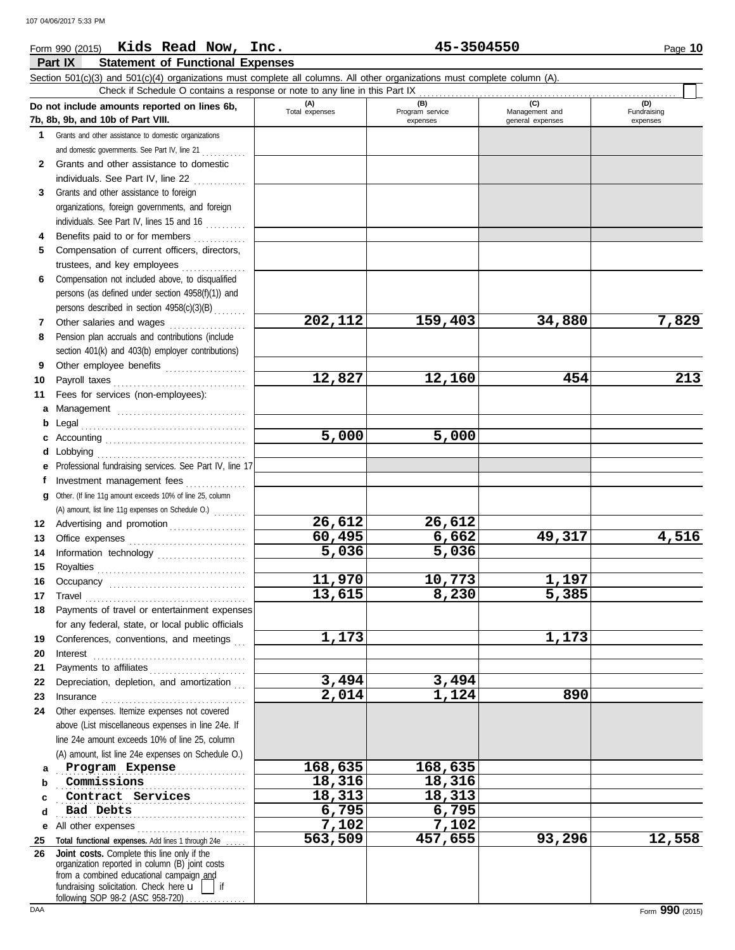#### **Part IX Statement of Functional Expenses** Form 990 (2015) Page **10 Kids Read Now, Inc. 45-3504550** Section 501(c)(3) and 501(c)(4) organizations must complete all columns. All other organizations must complete column (A). **Do not include amounts reported on lines 6b, 7b, 8b, 9b, and 10b of Part VIII. 1 2 3** Grants and other assistance to foreign **4 5 6 7 8 9 10** Payroll taxes . . . . . . . . . . . . . . . . . . . . . . . . . . . . . . . . . **11 a** Management ................................ **b** Legal . . . . . . . . . . . . . . . . . . . . . . . . . . . . . . . . . . . . . . . . . **c** Accounting . . . . . . . . . . . . . . . . . . . . . . . . . . . . . . . . . . . Grants and other assistance to domestic organizations and domestic governments. See Part IV, line 21 . . . . . . . . . . Grants and other assistance to domestic individuals. See Part IV, line 22 organizations, foreign governments, and foreign individuals. See Part IV, lines 15 and 16 Benefits paid to or for members ............. Compensation of current officers, directors, trustees, and key employees ................ Compensation not included above, to disqualified persons (as defined under section 4958(f)(1)) and persons described in section 4958(c)(3)(B) . . . . . . . . Other salaries and wages ................... Pension plan accruals and contributions (include section 401(k) and 403(b) employer contributions) Other employee benefits .................... Fees for services (non-employees): **(A) (B) (C) (D)** Total expenses Program service Management and expenses and general expenses (D)<br>Fundraising expenses Check if Schedule O contains a response or note to any line in this Part IX **202,112 159,403 34,880 7,829 12,827 12,160 454 213 5,000 5,000** 107 04/06/2017 5:33 PM

|    | <b>d</b> Lobbying                                         |         |         |        |        |
|----|-----------------------------------------------------------|---------|---------|--------|--------|
| е  | Professional fundraising services. See Part IV, line 17   |         |         |        |        |
|    | Investment management fees                                |         |         |        |        |
| a  | Other. (If line 11g amount exceeds 10% of line 25, column |         |         |        |        |
|    | (A) amount, list line 11g expenses on Schedule O.)        |         |         |        |        |
| 12 | Advertising and promotion                                 | 26,612  | 26,612  |        |        |
| 13 |                                                           | 60,495  | 6,662   | 49,317 | 4,516  |
| 14 | Information technology                                    | 5,036   | 5,036   |        |        |
| 15 |                                                           |         |         |        |        |
| 16 |                                                           | 11,970  | 10,773  | 1,197  |        |
| 17 |                                                           | 13,615  | 8,230   | 5,385  |        |
| 18 | Payments of travel or entertainment expenses              |         |         |        |        |
|    | for any federal, state, or local public officials         |         |         |        |        |
| 19 | Conferences, conventions, and meetings                    | 1,173   |         | 1,173  |        |
| 20 | Interest                                                  |         |         |        |        |
| 21 |                                                           |         |         |        |        |
| 22 | Depreciation, depletion, and amortization                 | 3,494   | 3,494   |        |        |
| 23 |                                                           | 2,014   | 1,124   | 890    |        |
| 24 | Other expenses. Itemize expenses not covered              |         |         |        |        |
|    | above (List miscellaneous expenses in line 24e. If        |         |         |        |        |
|    | line 24e amount exceeds 10% of line 25, column            |         |         |        |        |
|    | (A) amount, list line 24e expenses on Schedule O.)        |         |         |        |        |
| a  | Program Expense                                           | 168,635 | 168,635 |        |        |
| b  | Commissions<br>.                                          | 18,316  | 18,316  |        |        |
| c  | Contract Services                                         | 18,313  | 18,313  |        |        |
|    | Bad Debts                                                 | 6,795   | 6,795   |        |        |
|    | All other expenses                                        | 7,102   | 7,102   |        |        |
| 25 | Total functional expenses. Add lines 1 through 24e        | 563,509 | 457,655 | 93,296 | 12,558 |

**25 Total functional expenses.** Add lines 1 through 24e . . . . . **26** fundraising solicitation. Check here  $\mathbf{u}$  | if organization reported in column (B) joint costs from a combined educational campaign and following SOP 98-2 (ASC 958-720) **Joint costs.** Complete this line only if the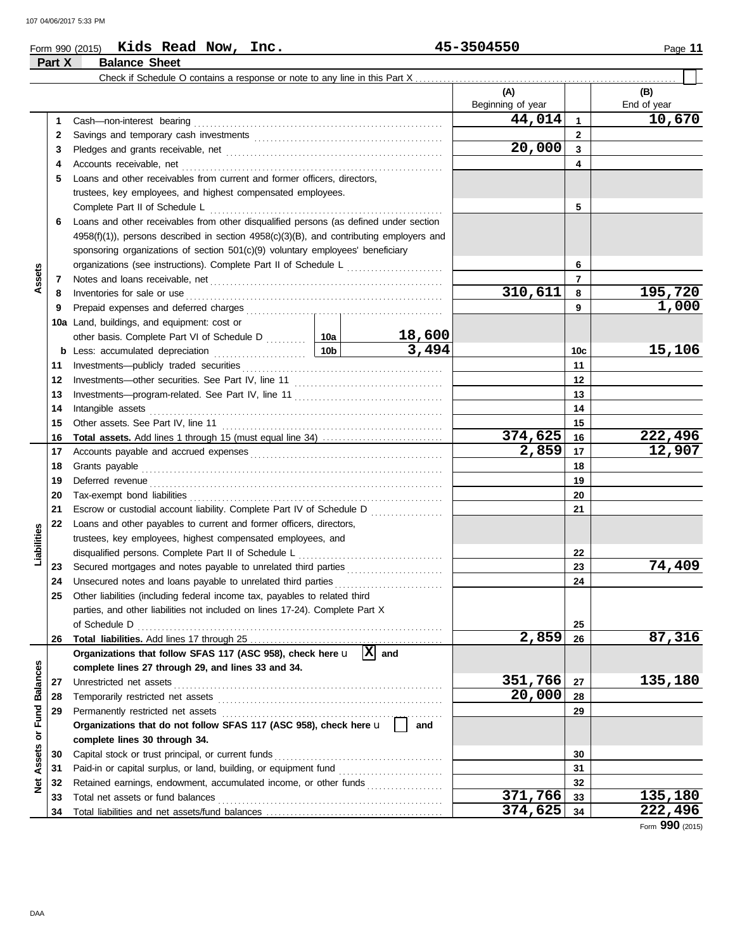#### Form 990 (2015) Page **11 Kids Read Now, Inc. 45-3504550 Part X Balance Sheet**

|                 |     |                                                                                                                                                                                                                                     |         |        | (A)               |              | (B)         |
|-----------------|-----|-------------------------------------------------------------------------------------------------------------------------------------------------------------------------------------------------------------------------------------|---------|--------|-------------------|--------------|-------------|
|                 |     |                                                                                                                                                                                                                                     |         |        | Beginning of year |              | End of year |
|                 | 1   | Cash-non-interest bearing                                                                                                                                                                                                           |         |        | 44,014            | $\mathbf{1}$ | 10,670      |
|                 | 2   |                                                                                                                                                                                                                                     |         |        |                   | $\mathbf{2}$ |             |
|                 | 3   |                                                                                                                                                                                                                                     |         |        | 20,000            | 3            |             |
|                 | 4   | Accounts receivable, net                                                                                                                                                                                                            |         |        |                   | 4            |             |
|                 | 5   | Loans and other receivables from current and former officers, directors,                                                                                                                                                            |         |        |                   |              |             |
|                 |     | trustees, key employees, and highest compensated employees.                                                                                                                                                                         |         |        |                   |              |             |
|                 |     |                                                                                                                                                                                                                                     |         | 5      |                   |              |             |
|                 | 6   | Loans and other receivables from other disqualified persons (as defined under section                                                                                                                                               |         |        |                   |              |             |
|                 |     | $4958(f)(1)$ ), persons described in section $4958(c)(3)(B)$ , and contributing employers and                                                                                                                                       |         |        |                   |              |             |
|                 |     | sponsoring organizations of section 501(c)(9) voluntary employees' beneficiary                                                                                                                                                      |         |        |                   |              |             |
|                 |     | organizations (see instructions). Complete Part II of Schedule L                                                                                                                                                                    |         |        |                   | 6            |             |
| Assets          | 7   |                                                                                                                                                                                                                                     |         |        |                   | 7            |             |
|                 | 8   | Inventories for sale or use <i>communication</i> and the state or use of the contract of the state or use of the state or the state or the state or the state or the state or the state of the state or the state or the state or t |         |        | 310,611           | 8            | 195,720     |
|                 | 9   |                                                                                                                                                                                                                                     |         |        |                   | 9            | 1,000       |
|                 | 10a | Land, buildings, and equipment: cost or                                                                                                                                                                                             |         |        |                   |              |             |
|                 |     | other basis. Complete Part VI of Schedule D  10a                                                                                                                                                                                    |         | 18,600 |                   |              |             |
|                 |     |                                                                                                                                                                                                                                     |         | 3,494  |                   | 10c          | 15,106      |
|                 | 11  |                                                                                                                                                                                                                                     |         |        |                   | 11           |             |
|                 | 12  |                                                                                                                                                                                                                                     |         |        |                   | 12           |             |
|                 | 13  |                                                                                                                                                                                                                                     |         |        | 13                |              |             |
|                 | 14  | Intangible assets                                                                                                                                                                                                                   |         |        | 14                |              |             |
|                 | 15  |                                                                                                                                                                                                                                     |         | 15     |                   |              |             |
|                 | 16  | Total assets. Add lines 1 through 15 (must equal line 34)                                                                                                                                                                           | 374,625 | 16     | 222,496           |              |             |
|                 | 17  |                                                                                                                                                                                                                                     |         | 2,859  | 17                | 12,907       |             |
|                 | 18  | Grants payable                                                                                                                                                                                                                      |         |        | 18                |              |             |
|                 | 19  |                                                                                                                                                                                                                                     |         |        | 19                |              |             |
|                 | 20  |                                                                                                                                                                                                                                     |         |        |                   | 20           |             |
|                 | 21  | Escrow or custodial account liability. Complete Part IV of Schedule D                                                                                                                                                               |         |        |                   | 21           |             |
|                 | 22  | Loans and other payables to current and former officers, directors,                                                                                                                                                                 |         |        |                   |              |             |
| Liabilities     |     | trustees, key employees, highest compensated employees, and                                                                                                                                                                         |         |        |                   |              |             |
|                 |     |                                                                                                                                                                                                                                     |         |        |                   | 22           |             |
|                 | 23  |                                                                                                                                                                                                                                     |         |        |                   | 23           | 74,409      |
|                 | 24  | Unsecured notes and loans payable to unrelated third parties                                                                                                                                                                        |         |        |                   | 24           |             |
|                 | 25  | Other liabilities (including federal income tax, payables to related third                                                                                                                                                          |         |        |                   |              |             |
|                 |     | parties, and other liabilities not included on lines 17-24). Complete Part X                                                                                                                                                        |         |        |                   |              |             |
|                 |     | of Schedule D                                                                                                                                                                                                                       |         |        |                   | 25           |             |
|                 | 26  |                                                                                                                                                                                                                                     |         |        | 2,859             | 26           | 87,316      |
|                 |     | Organizations that follow SFAS 117 (ASC 958), check here $\mathbf{u}$   $\overline{\mathbf{X}}$ and                                                                                                                                 |         |        |                   |              |             |
|                 |     | complete lines 27 through 29, and lines 33 and 34.                                                                                                                                                                                  |         |        |                   |              |             |
| <b>Balances</b> | 27  | Unrestricted net assets                                                                                                                                                                                                             |         |        | 351,766           | 27           | 135,180     |
|                 | 28  |                                                                                                                                                                                                                                     |         |        | 20,000            | 28           |             |
| or Fund         | 29  | Permanently restricted net assets                                                                                                                                                                                                   |         |        |                   | 29           |             |
|                 |     | Organizations that do not follow SFAS 117 (ASC 958), check here u                                                                                                                                                                   |         | and    |                   |              |             |
|                 |     | complete lines 30 through 34.                                                                                                                                                                                                       |         |        |                   |              |             |
| Assets          | 30  | Capital stock or trust principal, or current funds                                                                                                                                                                                  |         |        |                   | 30           |             |
|                 | 31  | Paid-in or capital surplus, or land, building, or equipment fund                                                                                                                                                                    |         |        |                   | 31           |             |
| ğ               | 32  | Retained earnings, endowment, accumulated income, or other funds                                                                                                                                                                    |         |        | 371,766           | 32           | 135,180     |
|                 | 33  | Total net assets or fund balances                                                                                                                                                                                                   |         |        | 374,625           | 33<br>34     | 222,496     |
|                 | 34  |                                                                                                                                                                                                                                     |         |        |                   |              |             |

Form **990** (2015)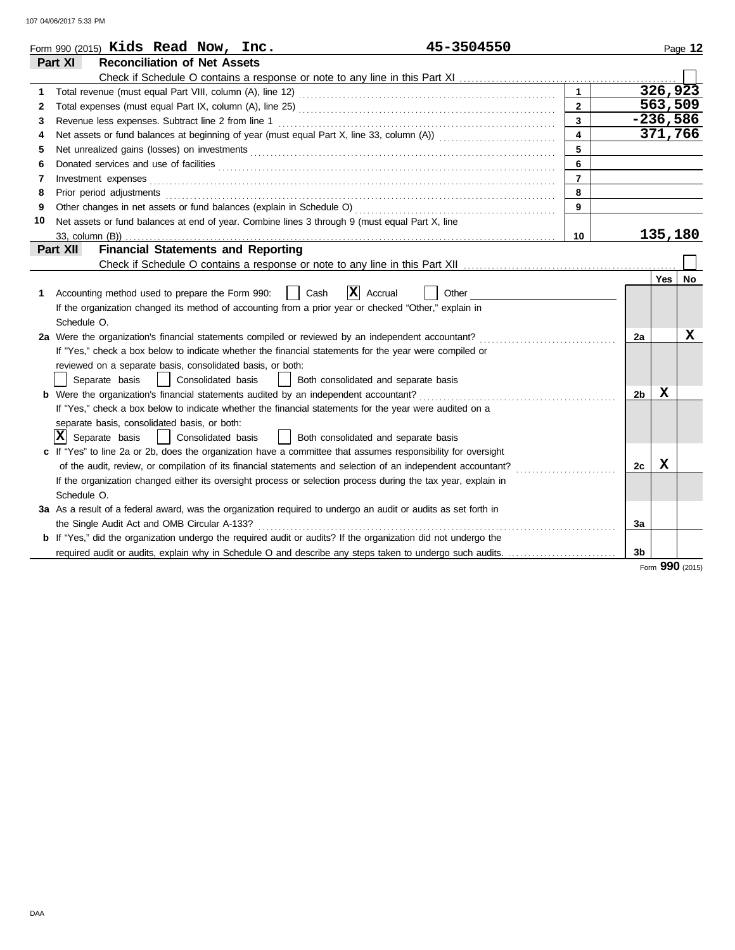|    | 45-3504550<br>Form 990 (2015) Kids Read Now, Inc.                                                                                                                                                                              |                         |    |                     | Page 12    |
|----|--------------------------------------------------------------------------------------------------------------------------------------------------------------------------------------------------------------------------------|-------------------------|----|---------------------|------------|
|    | Part XI<br><b>Reconciliation of Net Assets</b>                                                                                                                                                                                 |                         |    |                     |            |
|    |                                                                                                                                                                                                                                |                         |    |                     |            |
| 1  |                                                                                                                                                                                                                                | $\mathbf{1}$            |    |                     | 326, 923   |
| 2  |                                                                                                                                                                                                                                | $\overline{2}$          |    |                     | 563,509    |
| 3  | Revenue less expenses. Subtract line 2 from line 1                                                                                                                                                                             | $\overline{\mathbf{3}}$ |    |                     | $-236,586$ |
| 4  | Net assets or fund balances at beginning of year (must equal Part X, line 33, column (A)) [[[[[[[[[[[[[[[[[[[                                                                                                                  | $\overline{\mathbf{4}}$ |    |                     | 371,766    |
| 5  |                                                                                                                                                                                                                                | 5                       |    |                     |            |
| 6  | Donated services and use of facilities <b>constructs</b> and the construction of the service of facilities <b>constructs</b>                                                                                                   | $6\phantom{a}$          |    |                     |            |
| 7  |                                                                                                                                                                                                                                | $\overline{7}$          |    |                     |            |
| 8  | Prior period adjustments entertainments and adjustments and account of the contract of the contract of the contract of the contract of the contract of the contract of the contract of the contract of the contract of the con | 8                       |    |                     |            |
| 9  |                                                                                                                                                                                                                                | $\mathbf{9}$            |    |                     |            |
| 10 | Net assets or fund balances at end of year. Combine lines 3 through 9 (must equal Part X, line                                                                                                                                 |                         |    |                     |            |
|    |                                                                                                                                                                                                                                | 10                      |    | 135,180             |            |
|    | <b>Financial Statements and Reporting</b><br>Part XII                                                                                                                                                                          |                         |    |                     |            |
|    |                                                                                                                                                                                                                                |                         |    |                     |            |
|    |                                                                                                                                                                                                                                |                         |    | Yes                 | <b>No</b>  |
| 1  | $ \mathbf{X} $ Accrual<br>Accounting method used to prepare the Form 990:<br>Cash<br>Other                                                                                                                                     |                         |    |                     |            |
|    | If the organization changed its method of accounting from a prior year or checked "Other," explain in                                                                                                                          |                         |    |                     |            |
|    | Schedule O.                                                                                                                                                                                                                    |                         |    |                     |            |
|    | 2a Were the organization's financial statements compiled or reviewed by an independent accountant?                                                                                                                             |                         |    | 2a                  | x          |
|    | If "Yes," check a box below to indicate whether the financial statements for the year were compiled or                                                                                                                         |                         |    |                     |            |
|    | reviewed on a separate basis, consolidated basis, or both:                                                                                                                                                                     |                         |    |                     |            |
|    | Separate basis<br>  Consolidated basis<br>  Both consolidated and separate basis                                                                                                                                               |                         |    |                     |            |
|    | <b>b</b> Were the organization's financial statements audited by an independent accountant?                                                                                                                                    |                         |    | X<br>2 <sub>b</sub> |            |
|    | If "Yes," check a box below to indicate whether the financial statements for the year were audited on a                                                                                                                        |                         |    |                     |            |
|    | separate basis, consolidated basis, or both:                                                                                                                                                                                   |                         |    |                     |            |
|    | X<br>Separate basis<br>Consolidated basis<br>    Both consolidated and separate basis                                                                                                                                          |                         |    |                     |            |
|    | c If "Yes" to line 2a or 2b, does the organization have a committee that assumes responsibility for oversight                                                                                                                  |                         |    |                     |            |
|    | of the audit, review, or compilation of its financial statements and selection of an independent accountant?                                                                                                                   |                         | 2c | x                   |            |
|    | If the organization changed either its oversight process or selection process during the tax year, explain in                                                                                                                  |                         |    |                     |            |
|    | Schedule O.                                                                                                                                                                                                                    |                         |    |                     |            |
|    | 3a As a result of a federal award, was the organization required to undergo an audit or audits as set forth in                                                                                                                 |                         |    |                     |            |
|    |                                                                                                                                                                                                                                |                         |    | 3a                  |            |
|    | <b>b</b> If "Yes," did the organization undergo the required audit or audits? If the organization did not undergo the                                                                                                          |                         |    |                     |            |
|    | required audit or audits, explain why in Schedule O and describe any steps taken to undergo such audits.                                                                                                                       |                         |    | 3 <sub>b</sub>      |            |

Form **990** (2015)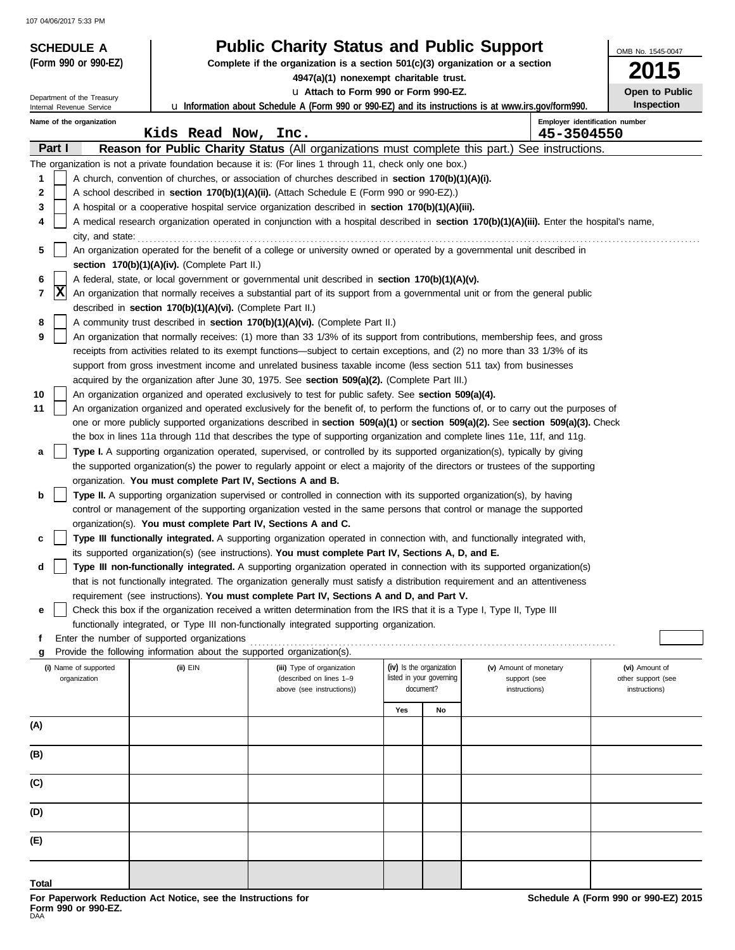| <b>SCHEDULE A</b>                                      |                                                                        | <b>Public Charity Status and Public Support</b>                                                                                                                                                                                                                |           |                                                      |                                        | OMB No. 1545-0047                    |
|--------------------------------------------------------|------------------------------------------------------------------------|----------------------------------------------------------------------------------------------------------------------------------------------------------------------------------------------------------------------------------------------------------------|-----------|------------------------------------------------------|----------------------------------------|--------------------------------------|
| (Form 990 or 990-EZ)                                   |                                                                        | Complete if the organization is a section 501(c)(3) organization or a section                                                                                                                                                                                  |           |                                                      |                                        | 15                                   |
|                                                        |                                                                        | 4947(a)(1) nonexempt charitable trust.<br>u Attach to Form 990 or Form 990-EZ.                                                                                                                                                                                 |           |                                                      |                                        | Open to Public                       |
| Department of the Treasury<br>Internal Revenue Service |                                                                        | <b>u</b> Information about Schedule A (Form 990 or 990-EZ) and its instructions is at www.irs.gov/form990.                                                                                                                                                     |           |                                                      |                                        | Inspection                           |
| Name of the organization                               |                                                                        |                                                                                                                                                                                                                                                                |           |                                                      |                                        | Employer identification number       |
| Part I                                                 | Kids Read Now, Inc.                                                    | Reason for Public Charity Status (All organizations must complete this part.) See instructions.                                                                                                                                                                |           |                                                      | 45-3504550                             |                                      |
|                                                        |                                                                        | The organization is not a private foundation because it is: (For lines 1 through 11, check only one box.)                                                                                                                                                      |           |                                                      |                                        |                                      |
| 1                                                      |                                                                        | A church, convention of churches, or association of churches described in <b>section 170(b)(1)(A)(i).</b>                                                                                                                                                      |           |                                                      |                                        |                                      |
| 2                                                      |                                                                        | A school described in section 170(b)(1)(A)(ii). (Attach Schedule E (Form 990 or 990-EZ).)                                                                                                                                                                      |           |                                                      |                                        |                                      |
| 3                                                      |                                                                        | A hospital or a cooperative hospital service organization described in section 170(b)(1)(A)(iii).                                                                                                                                                              |           |                                                      |                                        |                                      |
| 4                                                      |                                                                        | A medical research organization operated in conjunction with a hospital described in section 170(b)(1)(A)(iii). Enter the hospital's name,                                                                                                                     |           |                                                      |                                        |                                      |
| city, and state:<br>5                                  |                                                                        | An organization operated for the benefit of a college or university owned or operated by a governmental unit described in                                                                                                                                      |           |                                                      |                                        |                                      |
|                                                        | section 170(b)(1)(A)(iv). (Complete Part II.)                          |                                                                                                                                                                                                                                                                |           |                                                      |                                        |                                      |
| 6<br> X<br>7                                           |                                                                        | A federal, state, or local government or governmental unit described in section 170(b)(1)(A)(v).<br>An organization that normally receives a substantial part of its support from a governmental unit or from the general public                               |           |                                                      |                                        |                                      |
|                                                        | described in section 170(b)(1)(A)(vi). (Complete Part II.)             |                                                                                                                                                                                                                                                                |           |                                                      |                                        |                                      |
| 8                                                      |                                                                        | A community trust described in section 170(b)(1)(A)(vi). (Complete Part II.)                                                                                                                                                                                   |           |                                                      |                                        |                                      |
| 9                                                      |                                                                        | An organization that normally receives: (1) more than 33 1/3% of its support from contributions, membership fees, and gross                                                                                                                                    |           |                                                      |                                        |                                      |
|                                                        |                                                                        | receipts from activities related to its exempt functions—subject to certain exceptions, and (2) no more than 33 1/3% of its                                                                                                                                    |           |                                                      |                                        |                                      |
|                                                        |                                                                        | support from gross investment income and unrelated business taxable income (less section 511 tax) from businesses<br>acquired by the organization after June 30, 1975. See section 509(a)(2). (Complete Part III.)                                             |           |                                                      |                                        |                                      |
| 10                                                     |                                                                        | An organization organized and operated exclusively to test for public safety. See section 509(a)(4).                                                                                                                                                           |           |                                                      |                                        |                                      |
| 11                                                     |                                                                        | An organization organized and operated exclusively for the benefit of, to perform the functions of, or to carry out the purposes of                                                                                                                            |           |                                                      |                                        |                                      |
|                                                        |                                                                        | one or more publicly supported organizations described in section 509(a)(1) or section 509(a)(2). See section 509(a)(3). Check                                                                                                                                 |           |                                                      |                                        |                                      |
|                                                        |                                                                        | the box in lines 11a through 11d that describes the type of supporting organization and complete lines 11e, 11f, and 11g.                                                                                                                                      |           |                                                      |                                        |                                      |
| a                                                      |                                                                        | Type I. A supporting organization operated, supervised, or controlled by its supported organization(s), typically by giving<br>the supported organization(s) the power to regularly appoint or elect a majority of the directors or trustees of the supporting |           |                                                      |                                        |                                      |
|                                                        | organization. You must complete Part IV, Sections A and B.             |                                                                                                                                                                                                                                                                |           |                                                      |                                        |                                      |
| b                                                      |                                                                        | Type II. A supporting organization supervised or controlled in connection with its supported organization(s), by having                                                                                                                                        |           |                                                      |                                        |                                      |
|                                                        |                                                                        | control or management of the supporting organization vested in the same persons that control or manage the supported                                                                                                                                           |           |                                                      |                                        |                                      |
|                                                        | organization(s). You must complete Part IV, Sections A and C.          | Type III functionally integrated. A supporting organization operated in connection with, and functionally integrated with,                                                                                                                                     |           |                                                      |                                        |                                      |
| с                                                      |                                                                        | its supported organization(s) (see instructions). You must complete Part IV, Sections A, D, and E.                                                                                                                                                             |           |                                                      |                                        |                                      |
| d                                                      |                                                                        | <b>Type III non-functionally integrated.</b> A supporting organization operated in connection with its supported organization(s)                                                                                                                               |           |                                                      |                                        |                                      |
|                                                        |                                                                        | that is not functionally integrated. The organization generally must satisfy a distribution requirement and an attentiveness                                                                                                                                   |           |                                                      |                                        |                                      |
|                                                        |                                                                        | requirement (see instructions). You must complete Part IV, Sections A and D, and Part V.                                                                                                                                                                       |           |                                                      |                                        |                                      |
| е                                                      |                                                                        | Check this box if the organization received a written determination from the IRS that it is a Type I, Type II, Type III<br>functionally integrated, or Type III non-functionally integrated supporting organization.                                           |           |                                                      |                                        |                                      |
|                                                        | Enter the number of supported organizations                            |                                                                                                                                                                                                                                                                |           |                                                      |                                        |                                      |
|                                                        | Provide the following information about the supported organization(s). |                                                                                                                                                                                                                                                                |           |                                                      |                                        |                                      |
| (i) Name of supported<br>organization                  | (ii) EIN                                                               | (iii) Type of organization<br>(described on lines 1-9                                                                                                                                                                                                          |           | (iv) Is the organization<br>listed in your governing | (v) Amount of monetary<br>support (see | (vi) Amount of<br>other support (see |
|                                                        |                                                                        | above (see instructions))                                                                                                                                                                                                                                      | document? |                                                      | instructions)                          | instructions)                        |
| (A)                                                    |                                                                        |                                                                                                                                                                                                                                                                | Yes       | No                                                   |                                        |                                      |
| (B)                                                    |                                                                        |                                                                                                                                                                                                                                                                |           |                                                      |                                        |                                      |
|                                                        |                                                                        |                                                                                                                                                                                                                                                                |           |                                                      |                                        |                                      |
| (C)                                                    |                                                                        |                                                                                                                                                                                                                                                                |           |                                                      |                                        |                                      |
| (D)                                                    |                                                                        |                                                                                                                                                                                                                                                                |           |                                                      |                                        |                                      |
| (E)                                                    |                                                                        |                                                                                                                                                                                                                                                                |           |                                                      |                                        |                                      |
| Total                                                  |                                                                        |                                                                                                                                                                                                                                                                |           |                                                      |                                        |                                      |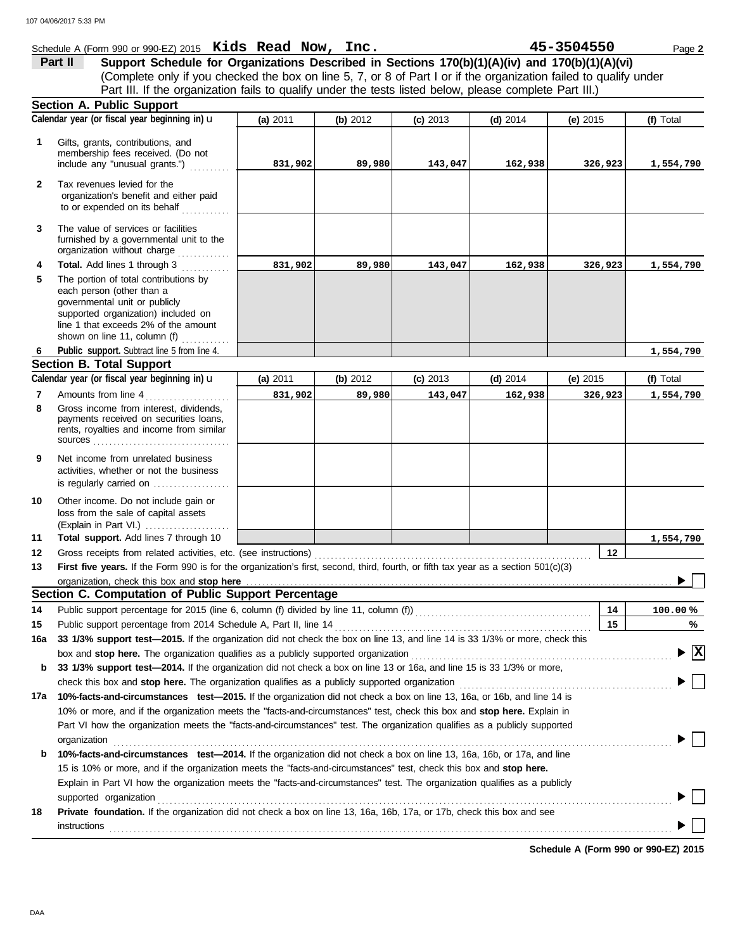|              | Schedule A (Form 990 or 990-EZ) 2015 Kids Read Now, Inc.                                                                                                                                                                    |          |          |            |            | 45-3504550 | Page 2                  |
|--------------|-----------------------------------------------------------------------------------------------------------------------------------------------------------------------------------------------------------------------------|----------|----------|------------|------------|------------|-------------------------|
|              | Part II<br>Support Schedule for Organizations Described in Sections 170(b)(1)(A)(iv) and 170(b)(1)(A)(vi)                                                                                                                   |          |          |            |            |            |                         |
|              | (Complete only if you checked the box on line 5, 7, or 8 of Part I or if the organization failed to qualify under                                                                                                           |          |          |            |            |            |                         |
|              | Part III. If the organization fails to qualify under the tests listed below, please complete Part III.)                                                                                                                     |          |          |            |            |            |                         |
|              | <b>Section A. Public Support</b>                                                                                                                                                                                            |          |          |            |            |            |                         |
|              | Calendar year (or fiscal year beginning in) u                                                                                                                                                                               | (a) 2011 | (b) 2012 | $(c)$ 2013 | (d) $2014$ | (e) $2015$ | (f) Total               |
| 1            | Gifts, grants, contributions, and<br>membership fees received. (Do not                                                                                                                                                      |          |          |            |            |            |                         |
|              | include any "unusual grants.")                                                                                                                                                                                              | 831,902  | 89,980   | 143,047    | 162,938    | 326,923    | 1,554,790               |
| $\mathbf{2}$ | Tax revenues levied for the<br>organization's benefit and either paid<br>to or expended on its behalf                                                                                                                       |          |          |            |            |            |                         |
| 3            | The value of services or facilities<br>furnished by a governmental unit to the<br>organization without charge                                                                                                               |          |          |            |            |            |                         |
| 4            | Total. Add lines 1 through 3                                                                                                                                                                                                | 831,902  | 89,980   | 143,047    | 162,938    | 326,923    | 1,554,790               |
| 5            | The portion of total contributions by<br>each person (other than a<br>governmental unit or publicly<br>supported organization) included on<br>line 1 that exceeds 2% of the amount<br>shown on line 11, column (f) $\ldots$ |          |          |            |            |            |                         |
| 6            | Public support. Subtract line 5 from line 4.                                                                                                                                                                                |          |          |            |            |            | 1,554,790               |
|              | <b>Section B. Total Support</b>                                                                                                                                                                                             |          |          |            |            |            |                         |
|              | Calendar year (or fiscal year beginning in) u                                                                                                                                                                               | (a) 2011 | (b) 2012 | $(c)$ 2013 | (d) $2014$ | (e) $2015$ | (f) Total               |
| 7            | Amounts from line 4<br>.                                                                                                                                                                                                    | 831,902  | 89,980   | 143,047    | 162,938    | 326,923    | 1,554,790               |
| 8            | Gross income from interest, dividends,<br>payments received on securities loans,<br>rents, royalties and income from similar                                                                                                |          |          |            |            |            |                         |
| 9            | Net income from unrelated business<br>activities, whether or not the business<br>is regularly carried on                                                                                                                    |          |          |            |            |            |                         |
| 10           | Other income. Do not include gain or<br>loss from the sale of capital assets                                                                                                                                                |          |          |            |            |            |                         |
| 11           | Total support. Add lines 7 through 10                                                                                                                                                                                       |          |          |            |            |            | 1,554,790               |
| 12           |                                                                                                                                                                                                                             |          |          |            |            | $12 \,$    |                         |
| 13           | First five years. If the Form 990 is for the organization's first, second, third, fourth, or fifth tax year as a section 501(c)(3)                                                                                          |          |          |            |            |            |                         |
|              | organization, check this box and stop here<br>Section C. Computation of Public Support Percentage                                                                                                                           |          |          |            |            |            |                         |
|              |                                                                                                                                                                                                                             |          |          |            |            | 14         |                         |
| 14           |                                                                                                                                                                                                                             |          |          |            |            | 15         | 100.00%                 |
| 15           | Public support percentage from 2014 Schedule A, Part II, line 14<br>33 1/3% support test-2015. If the organization did not check the box on line 13, and line 14 is 33 1/3% or more, check this                             |          |          |            |            |            | %                       |
| 16a          |                                                                                                                                                                                                                             |          |          |            |            |            | $\overline{\mathbf{x}}$ |
|              | box and stop here. The organization qualifies as a publicly supported organization<br>33 1/3% support test-2014. If the organization did not check a box on line 13 or 16a, and line 15 is 33 1/3% or more,                 |          |          |            |            |            |                         |
| b            |                                                                                                                                                                                                                             |          |          |            |            |            |                         |
|              | check this box and stop here. The organization qualifies as a publicly supported organization                                                                                                                               |          |          |            |            |            |                         |
| 17a          | 10%-facts-and-circumstances test-2015. If the organization did not check a box on line 13, 16a, or 16b, and line 14 is                                                                                                      |          |          |            |            |            |                         |
|              | 10% or more, and if the organization meets the "facts-and-circumstances" test, check this box and stop here. Explain in                                                                                                     |          |          |            |            |            |                         |
|              | Part VI how the organization meets the "facts-and-circumstances" test. The organization qualifies as a publicly supported                                                                                                   |          |          |            |            |            |                         |
|              | organization                                                                                                                                                                                                                |          |          |            |            |            |                         |
| b            | 10%-facts-and-circumstances test-2014. If the organization did not check a box on line 13, 16a, 16b, or 17a, and line                                                                                                       |          |          |            |            |            |                         |
|              | 15 is 10% or more, and if the organization meets the "facts-and-circumstances" test, check this box and stop here.                                                                                                          |          |          |            |            |            |                         |
|              | Explain in Part VI how the organization meets the "facts-and-circumstances" test. The organization qualifies as a publicly                                                                                                  |          |          |            |            |            |                         |
| 18           | supported organization<br>Private foundation. If the organization did not check a box on line 13, 16a, 16b, 17a, or 17b, check this box and see                                                                             |          |          |            |            |            |                         |
|              | instructions                                                                                                                                                                                                                |          |          |            |            |            |                         |

**Schedule A (Form 990 or 990-EZ) 2015**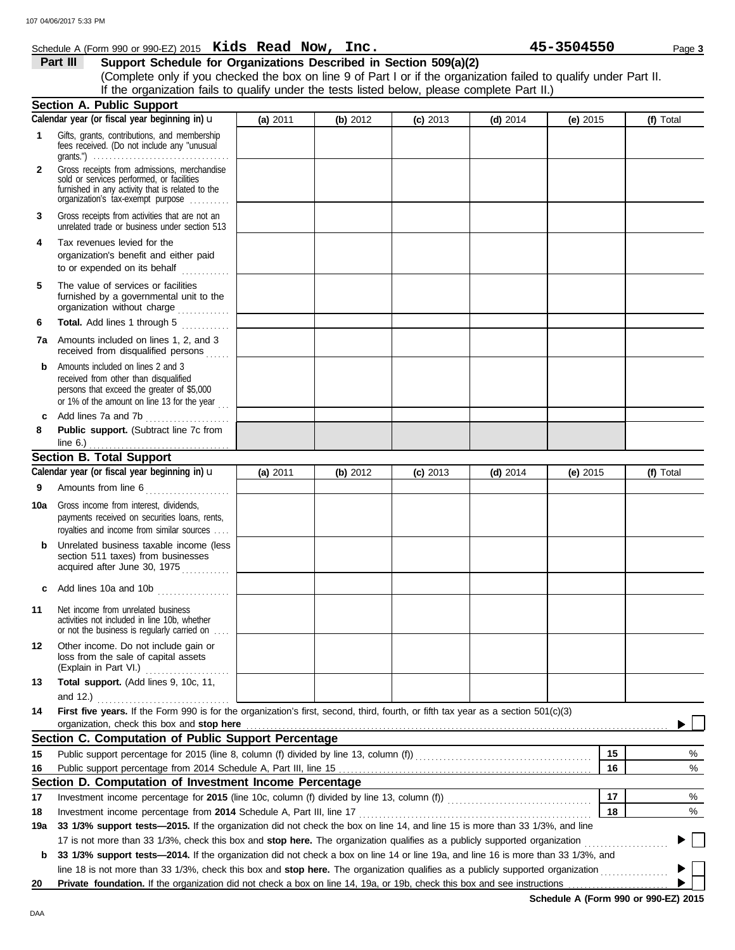### Schedule A (Form 990 or 990-EZ) 2015 Page **3 Kids Read Now, Inc. 45-3504550**

**Part III** Support Schedule for Organizations Described in Section 509(a)(2)

|              | If the organization fails to qualify under the tests listed below, please complete Part II.)                                                                                                   |          |          |            |            |            |    |                                      |  |
|--------------|------------------------------------------------------------------------------------------------------------------------------------------------------------------------------------------------|----------|----------|------------|------------|------------|----|--------------------------------------|--|
|              | Section A. Public Support                                                                                                                                                                      |          |          |            |            |            |    |                                      |  |
|              | Calendar year (or fiscal year beginning in) $\mathbf u$                                                                                                                                        | (a) 2011 | (b) 2012 | $(c)$ 2013 | $(d)$ 2014 | (e) $2015$ |    | (f) Total                            |  |
| 1            | Gifts, grants, contributions, and membership<br>fees received. (Do not include any "unusual<br>grants.") $\ldots \ldots \ldots \ldots \ldots \ldots \ldots \ldots \ldots \ldots \ldots \ldots$ |          |          |            |            |            |    |                                      |  |
| $\mathbf{2}$ | Gross receipts from admissions, merchandise<br>sold or services performed, or facilities<br>furnished in any activity that is related to the<br>organization's tax-exempt purpose              |          |          |            |            |            |    |                                      |  |
| 3            | Gross receipts from activities that are not an<br>unrelated trade or business under section 513                                                                                                |          |          |            |            |            |    |                                      |  |
| 4            | Tax revenues levied for the<br>organization's benefit and either paid<br>to or expended on its behalf<br>.                                                                                     |          |          |            |            |            |    |                                      |  |
| 5            | The value of services or facilities<br>furnished by a governmental unit to the<br>organization without charge                                                                                  |          |          |            |            |            |    |                                      |  |
| 6            | Total. Add lines 1 through 5                                                                                                                                                                   |          |          |            |            |            |    |                                      |  |
| 7a           | Amounts included on lines 1, 2, and 3<br>received from disqualified persons                                                                                                                    |          |          |            |            |            |    |                                      |  |
|              | Amounts included on lines 2 and 3<br>received from other than disqualified<br>persons that exceed the greater of \$5,000<br>or 1% of the amount on line 13 for the year $\ldots$               |          |          |            |            |            |    |                                      |  |
|              | c Add lines 7a and 7b                                                                                                                                                                          |          |          |            |            |            |    |                                      |  |
| 8            | Public support. (Subtract line 7c from                                                                                                                                                         |          |          |            |            |            |    |                                      |  |
|              | <u>line 6.)</u><br><b>Section B. Total Support</b>                                                                                                                                             |          |          |            |            |            |    |                                      |  |
|              | Calendar year (or fiscal year beginning in) $\mathbf u$                                                                                                                                        | (a) 2011 | (b) 2012 | $(c)$ 2013 | $(d)$ 2014 | $(e)$ 2015 |    | (f) Total                            |  |
| 9            | Amounts from line 6                                                                                                                                                                            |          |          |            |            |            |    |                                      |  |
|              |                                                                                                                                                                                                |          |          |            |            |            |    |                                      |  |
| 10a          | Gross income from interest, dividends,<br>payments received on securities loans, rents,<br>royalties and income from similar sources                                                           |          |          |            |            |            |    |                                      |  |
|              | <b>b</b> Unrelated business taxable income (less<br>section 511 taxes) from businesses<br>acquired after June 30, 1975                                                                         |          |          |            |            |            |    |                                      |  |
|              | <b>c</b> Add lines 10a and 10b $\ldots$                                                                                                                                                        |          |          |            |            |            |    |                                      |  |
| 11           | Net income from unrelated business<br>activities not included in line 10b, whether<br>or not the business is regularly carried on                                                              |          |          |            |            |            |    |                                      |  |
| 12           | Other income. Do not include gain or<br>loss from the sale of capital assets<br>(Explain in Part VI.)                                                                                          |          |          |            |            |            |    |                                      |  |
| 13           | Total support. (Add lines 9, 10c, 11,<br>and $12.$ )                                                                                                                                           |          |          |            |            |            |    |                                      |  |
| 14           | First five years. If the Form 990 is for the organization's first, second, third, fourth, or fifth tax year as a section 501(c)(3)                                                             |          |          |            |            |            |    |                                      |  |
|              | organization, check this box and stop here                                                                                                                                                     |          |          |            |            |            |    |                                      |  |
|              | Section C. Computation of Public Support Percentage                                                                                                                                            |          |          |            |            |            |    |                                      |  |
| 15           | Public support percentage for 2015 (line 8, column (f) divided by line 13, column (f)) [[[[[[[[[[[[[[[[[[[[[[                                                                                  |          |          |            |            |            | 15 | %                                    |  |
| 16           |                                                                                                                                                                                                |          |          |            |            |            | 16 | %                                    |  |
|              | Section D. Computation of Investment Income Percentage                                                                                                                                         |          |          |            |            |            |    |                                      |  |
| 17           |                                                                                                                                                                                                |          |          |            |            |            | 17 | %                                    |  |
| 18           | Investment income percentage from 2014 Schedule A, Part III, line 17                                                                                                                           |          |          |            |            |            | 18 | %                                    |  |
| 19a          | 33 1/3% support tests-2015. If the organization did not check the box on line 14, and line 15 is more than 33 1/3%, and line                                                                   |          |          |            |            |            |    |                                      |  |
|              | 17 is not more than 33 1/3%, check this box and stop here. The organization qualifies as a publicly supported organization                                                                     |          |          |            |            |            |    |                                      |  |
| b            | 33 1/3% support tests-2014. If the organization did not check a box on line 14 or line 19a, and line 16 is more than 33 1/3%, and                                                              |          |          |            |            |            |    |                                      |  |
|              |                                                                                                                                                                                                |          |          |            |            |            |    |                                      |  |
| 20           | Private foundation. If the organization did not check a box on line 14, 19a, or 19b, check this box and see instructions                                                                       |          |          |            |            |            |    |                                      |  |
|              |                                                                                                                                                                                                |          |          |            |            |            |    | Schedule A (Form 990 or 990-EZ) 2015 |  |

(Complete only if you checked the box on line 9 of Part I or if the organization failed to qualify under Part II.

**16**

**18**

**17**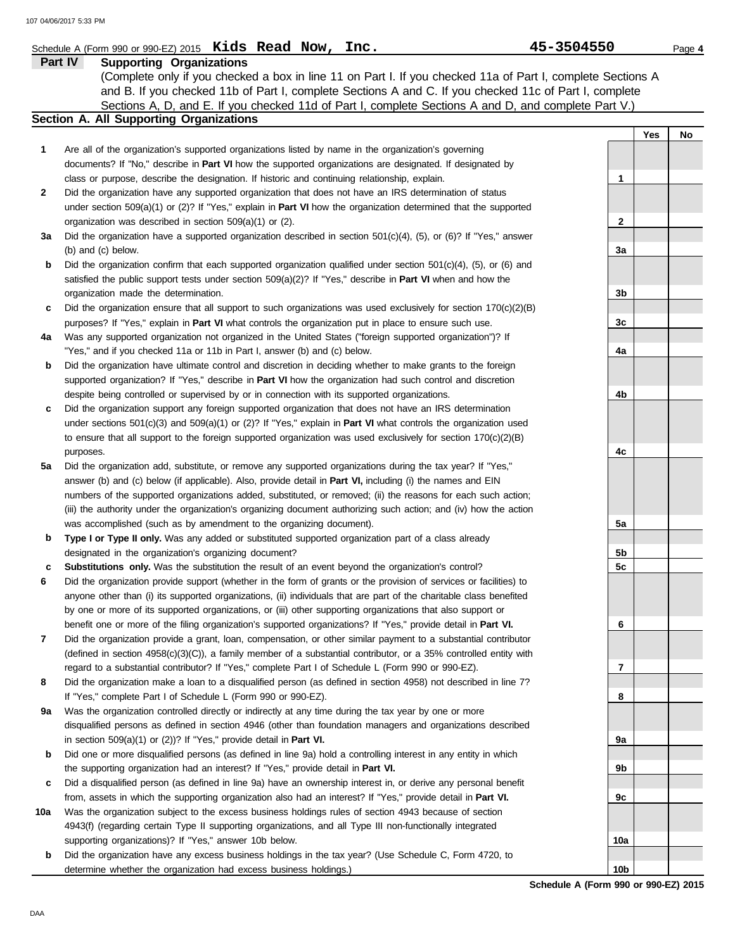|     | Schedule A (Form 990 or 990-EZ) 2015 Kids Read Now, Inc.                                                                                                                                                                    | 45-3504550   |     | Page 4 |
|-----|-----------------------------------------------------------------------------------------------------------------------------------------------------------------------------------------------------------------------------|--------------|-----|--------|
|     | Part IV<br><b>Supporting Organizations</b>                                                                                                                                                                                  |              |     |        |
|     | (Complete only if you checked a box in line 11 on Part I. If you checked 11a of Part I, complete Sections A                                                                                                                 |              |     |        |
|     | and B. If you checked 11b of Part I, complete Sections A and C. If you checked 11c of Part I, complete                                                                                                                      |              |     |        |
|     | Sections A, D, and E. If you checked 11d of Part I, complete Sections A and D, and complete Part V.)                                                                                                                        |              |     |        |
|     | <b>Section A. All Supporting Organizations</b>                                                                                                                                                                              |              |     |        |
|     |                                                                                                                                                                                                                             |              | Yes | No     |
| 1   | Are all of the organization's supported organizations listed by name in the organization's governing                                                                                                                        |              |     |        |
|     | documents? If "No," describe in Part VI how the supported organizations are designated. If designated by                                                                                                                    | 1            |     |        |
| 2   | class or purpose, describe the designation. If historic and continuing relationship, explain.<br>Did the organization have any supported organization that does not have an IRS determination of status                     |              |     |        |
|     | under section $509(a)(1)$ or (2)? If "Yes," explain in <b>Part VI</b> how the organization determined that the supported                                                                                                    |              |     |        |
|     | organization was described in section 509(a)(1) or (2).                                                                                                                                                                     | $\mathbf{2}$ |     |        |
| За  | Did the organization have a supported organization described in section $501(c)(4)$ , $(5)$ , or $(6)$ ? If "Yes," answer                                                                                                   |              |     |        |
|     | (b) and (c) below.                                                                                                                                                                                                          | За           |     |        |
| b   | Did the organization confirm that each supported organization qualified under section $501(c)(4)$ , $(5)$ , or $(6)$ and                                                                                                    |              |     |        |
|     | satisfied the public support tests under section $509(a)(2)?$ If "Yes," describe in <b>Part VI</b> when and how the                                                                                                         |              |     |        |
|     | organization made the determination.                                                                                                                                                                                        | 3b           |     |        |
| c   | Did the organization ensure that all support to such organizations was used exclusively for section $170(c)(2)(B)$                                                                                                          |              |     |        |
|     | purposes? If "Yes," explain in Part VI what controls the organization put in place to ensure such use.                                                                                                                      | 3c           |     |        |
| 4a  | Was any supported organization not organized in the United States ("foreign supported organization")? If                                                                                                                    |              |     |        |
|     | "Yes," and if you checked 11a or 11b in Part I, answer (b) and (c) below.                                                                                                                                                   | 4a           |     |        |
| b   | Did the organization have ultimate control and discretion in deciding whether to make grants to the foreign                                                                                                                 |              |     |        |
|     | supported organization? If "Yes," describe in Part VI how the organization had such control and discretion                                                                                                                  |              |     |        |
|     | despite being controlled or supervised by or in connection with its supported organizations.                                                                                                                                | 4b           |     |        |
| c   | Did the organization support any foreign supported organization that does not have an IRS determination                                                                                                                     |              |     |        |
|     | under sections $501(c)(3)$ and $509(a)(1)$ or (2)? If "Yes," explain in <b>Part VI</b> what controls the organization used                                                                                                  |              |     |        |
|     | to ensure that all support to the foreign supported organization was used exclusively for section $170(c)(2)(B)$                                                                                                            |              |     |        |
|     | purposes.                                                                                                                                                                                                                   | 4с           |     |        |
| 5a  | Did the organization add, substitute, or remove any supported organizations during the tax year? If "Yes,"                                                                                                                  |              |     |        |
|     | answer (b) and (c) below (if applicable). Also, provide detail in Part VI, including (i) the names and EIN<br>numbers of the supported organizations added, substituted, or removed; (ii) the reasons for each such action; |              |     |        |
|     | (iii) the authority under the organization's organizing document authorizing such action; and (iv) how the action                                                                                                           |              |     |        |
|     | was accomplished (such as by amendment to the organizing document).                                                                                                                                                         | 5a           |     |        |
| b   | Type I or Type II only. Was any added or substituted supported organization part of a class already                                                                                                                         |              |     |        |
|     | designated in the organization's organizing document?                                                                                                                                                                       | 5b           |     |        |
| с   | Substitutions only. Was the substitution the result of an event beyond the organization's control?                                                                                                                          | 5c           |     |        |
| 6   | Did the organization provide support (whether in the form of grants or the provision of services or facilities) to                                                                                                          |              |     |        |
|     | anyone other than (i) its supported organizations, (ii) individuals that are part of the charitable class benefited                                                                                                         |              |     |        |
|     | by one or more of its supported organizations, or (iii) other supporting organizations that also support or                                                                                                                 |              |     |        |
|     | benefit one or more of the filing organization's supported organizations? If "Yes," provide detail in Part VI.                                                                                                              | 6            |     |        |
| 7   | Did the organization provide a grant, loan, compensation, or other similar payment to a substantial contributor                                                                                                             |              |     |        |
|     | (defined in section $4958(c)(3)(C)$ ), a family member of a substantial contributor, or a 35% controlled entity with                                                                                                        |              |     |        |
|     | regard to a substantial contributor? If "Yes," complete Part I of Schedule L (Form 990 or 990-EZ).                                                                                                                          | 7            |     |        |
| 8   | Did the organization make a loan to a disqualified person (as defined in section 4958) not described in line 7?                                                                                                             |              |     |        |
|     | If "Yes," complete Part I of Schedule L (Form 990 or 990-EZ).                                                                                                                                                               | 8            |     |        |
| 9a  | Was the organization controlled directly or indirectly at any time during the tax year by one or more                                                                                                                       |              |     |        |
|     | disqualified persons as defined in section 4946 (other than foundation managers and organizations described                                                                                                                 |              |     |        |
|     | in section $509(a)(1)$ or (2))? If "Yes," provide detail in Part VI.                                                                                                                                                        | 9a           |     |        |
| b   | Did one or more disqualified persons (as defined in line 9a) hold a controlling interest in any entity in which<br>the supporting organization had an interest? If "Yes," provide detail in Part VI.                        | 9b           |     |        |
| c   | Did a disqualified person (as defined in line 9a) have an ownership interest in, or derive any personal benefit                                                                                                             |              |     |        |
|     | from, assets in which the supporting organization also had an interest? If "Yes," provide detail in Part VI.                                                                                                                | 9с           |     |        |
| 10a | Was the organization subject to the excess business holdings rules of section 4943 because of section                                                                                                                       |              |     |        |
|     | 4943(f) (regarding certain Type II supporting organizations, and all Type III non-functionally integrated                                                                                                                   |              |     |        |
|     | supporting organizations)? If "Yes," answer 10b below.                                                                                                                                                                      | 10a          |     |        |
| b   | Did the organization have any excess business holdings in the tax year? (Use Schedule C, Form 4720, to                                                                                                                      |              |     |        |

**Schedule A (Form 990 or 990-EZ) 2015 10b**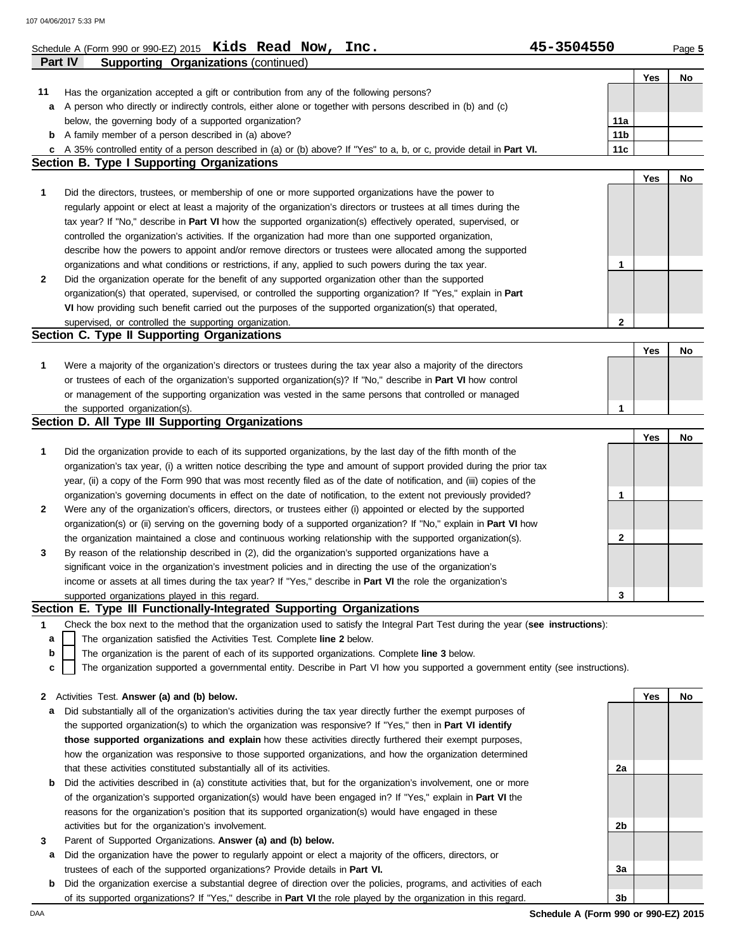## **Part IV Supporting Organizations** (continued) Schedule A (Form 990 or 990-EZ) 2015 Page **5 Kids Read Now, Inc. 45-3504550**

| .  .         | oupporting organizations (continued                                                                                                                                      |                 |     |    |
|--------------|--------------------------------------------------------------------------------------------------------------------------------------------------------------------------|-----------------|-----|----|
|              |                                                                                                                                                                          |                 | Yes | No |
| 11           | Has the organization accepted a gift or contribution from any of the following persons?                                                                                  |                 |     |    |
|              | a A person who directly or indirectly controls, either alone or together with persons described in (b) and (c)<br>below, the governing body of a supported organization? | 11a             |     |    |
|              | <b>b</b> A family member of a person described in (a) above?                                                                                                             | 11 <sub>b</sub> |     |    |
|              | c A 35% controlled entity of a person described in (a) or (b) above? If "Yes" to a, b, or c, provide detail in Part VI.                                                  | 11c             |     |    |
|              | <b>Section B. Type I Supporting Organizations</b>                                                                                                                        |                 |     |    |
|              |                                                                                                                                                                          |                 | Yes | No |
| 1            | Did the directors, trustees, or membership of one or more supported organizations have the power to                                                                      |                 |     |    |
|              | regularly appoint or elect at least a majority of the organization's directors or trustees at all times during the                                                       |                 |     |    |
|              | tax year? If "No," describe in Part VI how the supported organization(s) effectively operated, supervised, or                                                            |                 |     |    |
|              | controlled the organization's activities. If the organization had more than one supported organization,                                                                  |                 |     |    |
|              | describe how the powers to appoint and/or remove directors or trustees were allocated among the supported                                                                |                 |     |    |
|              | organizations and what conditions or restrictions, if any, applied to such powers during the tax year.                                                                   | 1               |     |    |
| 2            | Did the organization operate for the benefit of any supported organization other than the supported                                                                      |                 |     |    |
|              | organization(s) that operated, supervised, or controlled the supporting organization? If "Yes," explain in Part                                                          |                 |     |    |
|              | VI how providing such benefit carried out the purposes of the supported organization(s) that operated,                                                                   |                 |     |    |
|              | supervised, or controlled the supporting organization.                                                                                                                   | $\mathbf{2}$    |     |    |
|              | Section C. Type II Supporting Organizations                                                                                                                              |                 |     |    |
|              |                                                                                                                                                                          |                 | Yes | No |
| 1            | Were a majority of the organization's directors or trustees during the tax year also a majority of the directors                                                         |                 |     |    |
|              | or trustees of each of the organization's supported organization(s)? If "No," describe in Part VI how control                                                            |                 |     |    |
|              | or management of the supporting organization was vested in the same persons that controlled or managed                                                                   |                 |     |    |
|              | the supported organization(s).                                                                                                                                           | 1               |     |    |
|              | Section D. All Type III Supporting Organizations                                                                                                                         |                 |     |    |
|              |                                                                                                                                                                          |                 | Yes | No |
| 1            | Did the organization provide to each of its supported organizations, by the last day of the fifth month of the                                                           |                 |     |    |
|              | organization's tax year, (i) a written notice describing the type and amount of support provided during the prior tax                                                    |                 |     |    |
|              | year, (ii) a copy of the Form 990 that was most recently filed as of the date of notification, and (iii) copies of the                                                   |                 |     |    |
|              | organization's governing documents in effect on the date of notification, to the extent not previously provided?                                                         | 1               |     |    |
| 2            | Were any of the organization's officers, directors, or trustees either (i) appointed or elected by the supported                                                         |                 |     |    |
|              | organization(s) or (ii) serving on the governing body of a supported organization? If "No," explain in <b>Part VI</b> how                                                |                 |     |    |
|              | the organization maintained a close and continuous working relationship with the supported organization(s).                                                              | 2               |     |    |
| 3            | By reason of the relationship described in (2), did the organization's supported organizations have a                                                                    |                 |     |    |
|              | significant voice in the organization's investment policies and in directing the use of the organization's                                                               |                 |     |    |
|              | income or assets at all times during the tax year? If "Yes," describe in Part VI the role the organization's                                                             |                 |     |    |
|              | supported organizations played in this regard.                                                                                                                           | 3               |     |    |
|              | Section E. Type III Functionally-Integrated Supporting Organizations                                                                                                     |                 |     |    |
| 1            | Check the box next to the method that the organization used to satisfy the Integral Part Test during the year (see instructions):                                        |                 |     |    |
| a            | The organization satisfied the Activities Test. Complete line 2 below.                                                                                                   |                 |     |    |
| b            | The organization is the parent of each of its supported organizations. Complete line 3 below.                                                                            |                 |     |    |
| c            | The organization supported a governmental entity. Describe in Part VI how you supported a government entity (see instructions).                                          |                 |     |    |
| $\mathbf{z}$ | Activities Test. Answer (a) and (b) below.                                                                                                                               |                 | Yes | No |
| а            | Did substantially all of the organization's activities during the tax year directly further the exempt purposes of                                                       |                 |     |    |
|              | the supported organization(s) to which the organization was responsive? If "Yes," then in Part VI identify                                                               |                 |     |    |
|              | those supported organizations and explain how these activities directly furthered their exempt purposes,                                                                 |                 |     |    |
|              | how the organization was responsive to those supported organizations, and how the organization determined                                                                |                 |     |    |
|              | that these activities constituted substantially all of its activities.                                                                                                   | 2a              |     |    |
| b            | Did the activities described in (a) constitute activities that, but for the organization's involvement, one or more                                                      |                 |     |    |
|              | of the organization's supported organization(s) would have been engaged in? If "Yes," explain in Part VI the                                                             |                 |     |    |
|              | reasons for the organization's position that its supported organization(s) would have engaged in these                                                                   |                 |     |    |
|              | activities but for the organization's involvement.                                                                                                                       | 2b              |     |    |
| 3            | Parent of Supported Organizations. Answer (a) and (b) below.                                                                                                             |                 |     |    |
| а            | Did the organization have the power to regularly appoint or elect a majority of the officers, directors, or                                                              |                 |     |    |
|              | trustees of each of the supported organizations? Provide details in Part VI.                                                                                             | За              |     |    |
| b            | Did the organization exercise a substantial degree of direction over the policies, programs, and activities of each                                                      |                 |     |    |
|              | of its supported organizations? If "Yes," describe in <b>Part VI</b> the role played by the organization in this regard.                                                 | 3b              |     |    |
| DAA          | Schedule A (Form 990 or 990-EZ) 2015                                                                                                                                     |                 |     |    |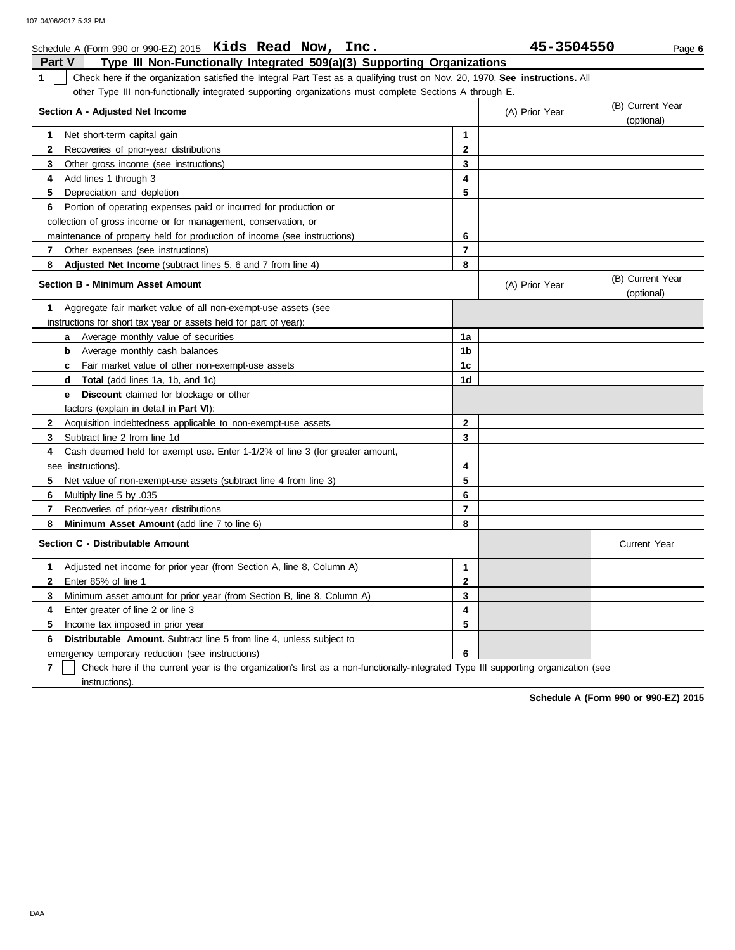|              | Schedule A (Form 990 or 990-EZ) 2015 Kids Read Now, Inc.                                                                      |                         | 45-3504550     | Page 6                         |
|--------------|-------------------------------------------------------------------------------------------------------------------------------|-------------------------|----------------|--------------------------------|
| Part V       | Type III Non-Functionally Integrated 509(a)(3) Supporting Organizations                                                       |                         |                |                                |
| $\mathbf{1}$ | Check here if the organization satisfied the Integral Part Test as a qualifying trust on Nov. 20, 1970. See instructions. All |                         |                |                                |
|              | other Type III non-functionally integrated supporting organizations must complete Sections A through E.                       |                         |                |                                |
|              | Section A - Adjusted Net Income                                                                                               |                         | (A) Prior Year | (B) Current Year<br>(optional) |
| 1            | Net short-term capital gain                                                                                                   | $\mathbf{1}$            |                |                                |
| 2            | Recoveries of prior-year distributions                                                                                        | $\mathbf{2}$            |                |                                |
| 3            | Other gross income (see instructions)                                                                                         | 3                       |                |                                |
| 4            | Add lines 1 through 3                                                                                                         | 4                       |                |                                |
| 5            | Depreciation and depletion                                                                                                    | 5                       |                |                                |
| 6.           | Portion of operating expenses paid or incurred for production or                                                              |                         |                |                                |
|              | collection of gross income or for management, conservation, or                                                                |                         |                |                                |
|              | maintenance of property held for production of income (see instructions)                                                      | 6                       |                |                                |
| 7            | Other expenses (see instructions)                                                                                             | 7                       |                |                                |
| 8            | Adjusted Net Income (subtract lines 5, 6 and 7 from line 4)                                                                   | 8                       |                |                                |
|              | <b>Section B - Minimum Asset Amount</b>                                                                                       |                         | (A) Prior Year | (B) Current Year<br>(optional) |
| 1            | Aggregate fair market value of all non-exempt-use assets (see                                                                 |                         |                |                                |
|              | instructions for short tax year or assets held for part of year):                                                             |                         |                |                                |
|              | Average monthly value of securities<br>a                                                                                      | 1a                      |                |                                |
|              | Average monthly cash balances<br>b                                                                                            | 1 <sub>b</sub>          |                |                                |
|              | Fair market value of other non-exempt-use assets<br>C                                                                         | 1 <sub>c</sub>          |                |                                |
|              | <b>d Total</b> (add lines 1a, 1b, and 1c)                                                                                     | 1d                      |                |                                |
|              | <b>Discount</b> claimed for blockage or other<br>е                                                                            |                         |                |                                |
|              | factors (explain in detail in Part VI):                                                                                       |                         |                |                                |
| $\mathbf{2}$ | Acquisition indebtedness applicable to non-exempt-use assets                                                                  | $\mathbf{2}$            |                |                                |
| 3            | Subtract line 2 from line 1d                                                                                                  | 3                       |                |                                |
| 4            | Cash deemed held for exempt use. Enter 1-1/2% of line 3 (for greater amount,                                                  |                         |                |                                |
|              | see instructions).                                                                                                            | 4                       |                |                                |
| 5.           | Net value of non-exempt-use assets (subtract line 4 from line 3)                                                              | 5                       |                |                                |
| 6            | Multiply line 5 by .035                                                                                                       | 6                       |                |                                |
| 7            | Recoveries of prior-year distributions                                                                                        | $\overline{7}$          |                |                                |
| 8            | Minimum Asset Amount (add line 7 to line 6)                                                                                   | 8                       |                |                                |
|              | Section C - Distributable Amount                                                                                              |                         |                | <b>Current Year</b>            |
| 1            | Adjusted net income for prior year (from Section A, line 8, Column A)                                                         | $\mathbf 1$             |                |                                |
| $\mathbf{2}$ | Enter 85% of line 1                                                                                                           | $\overline{2}$          |                |                                |
| 3            | Minimum asset amount for prior year (from Section B, line 8, Column A)                                                        | 3                       |                |                                |
| 4            | Enter greater of line 2 or line 3                                                                                             | $\overline{\mathbf{4}}$ |                |                                |
| 5            | Income tax imposed in prior year                                                                                              | 5                       |                |                                |
| 6            | <b>Distributable Amount.</b> Subtract line 5 from line 4, unless subject to                                                   |                         |                |                                |
|              | emergency temporary reduction (see instructions)                                                                              | 6                       |                |                                |

**7** Check here if the current year is the organization's first as a non-functionally-integrated Type III supporting organization (see instructions).

**Schedule A (Form 990 or 990-EZ) 2015**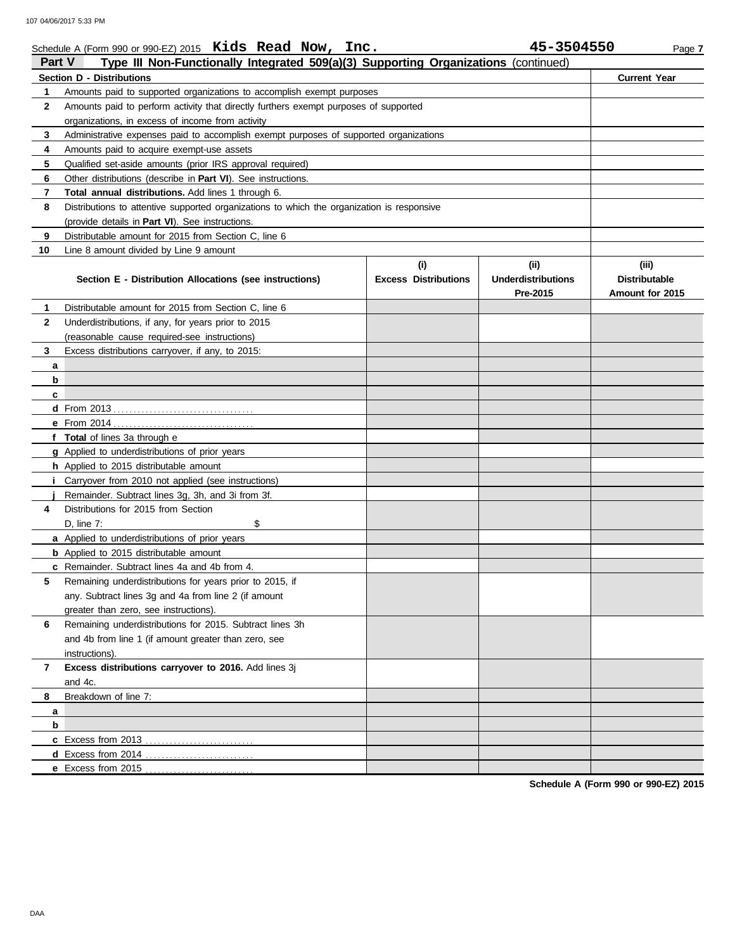|              | Schedule A (Form 990 or 990-EZ) 2015 Kids Read Now, Inc.                                   |                             | 45-3504550                | Page 7               |
|--------------|--------------------------------------------------------------------------------------------|-----------------------------|---------------------------|----------------------|
| Part V       | Type III Non-Functionally Integrated 509(a)(3) Supporting Organizations (continued)        |                             |                           |                      |
|              | Section D - Distributions                                                                  |                             |                           | <b>Current Year</b>  |
| 1            | Amounts paid to supported organizations to accomplish exempt purposes                      |                             |                           |                      |
| $\mathbf{2}$ | Amounts paid to perform activity that directly furthers exempt purposes of supported       |                             |                           |                      |
|              | organizations, in excess of income from activity                                           |                             |                           |                      |
| 3            | Administrative expenses paid to accomplish exempt purposes of supported organizations      |                             |                           |                      |
| 4            | Amounts paid to acquire exempt-use assets                                                  |                             |                           |                      |
| 5            | Qualified set-aside amounts (prior IRS approval required)                                  |                             |                           |                      |
| 6            | Other distributions (describe in Part VI). See instructions.                               |                             |                           |                      |
| 7            | Total annual distributions. Add lines 1 through 6.                                         |                             |                           |                      |
| 8            | Distributions to attentive supported organizations to which the organization is responsive |                             |                           |                      |
|              | (provide details in Part VI). See instructions.                                            |                             |                           |                      |
| 9            | Distributable amount for 2015 from Section C, line 6                                       |                             |                           |                      |
| 10           | Line 8 amount divided by Line 9 amount                                                     |                             |                           |                      |
|              |                                                                                            | (i)                         | (ii)                      | (iii)                |
|              | Section E - Distribution Allocations (see instructions)                                    | <b>Excess Distributions</b> | <b>Underdistributions</b> | <b>Distributable</b> |
|              |                                                                                            |                             | Pre-2015                  | Amount for 2015      |
| 1            | Distributable amount for 2015 from Section C, line 6                                       |                             |                           |                      |
| $\mathbf{2}$ | Underdistributions, if any, for years prior to 2015                                        |                             |                           |                      |
|              | (reasonable cause required-see instructions)                                               |                             |                           |                      |
| 3            | Excess distributions carryover, if any, to 2015:                                           |                             |                           |                      |
| а            |                                                                                            |                             |                           |                      |
| b            |                                                                                            |                             |                           |                      |
| c            |                                                                                            |                             |                           |                      |
|              |                                                                                            |                             |                           |                      |
|              |                                                                                            |                             |                           |                      |
|              | f Total of lines 3a through e                                                              |                             |                           |                      |
|              | g Applied to underdistributions of prior years                                             |                             |                           |                      |
|              | h Applied to 2015 distributable amount                                                     |                             |                           |                      |
|              | <i>i</i> Carryover from 2010 not applied (see instructions)                                |                             |                           |                      |
|              | Remainder. Subtract lines 3g, 3h, and 3i from 3f.                                          |                             |                           |                      |
| 4            | Distributions for 2015 from Section                                                        |                             |                           |                      |
|              | \$<br>D, line $7$ :                                                                        |                             |                           |                      |
|              | a Applied to underdistributions of prior years                                             |                             |                           |                      |
|              | <b>b</b> Applied to 2015 distributable amount                                              |                             |                           |                      |
|              | c Remainder. Subtract lines 4a and 4b from 4.                                              |                             |                           |                      |
|              | Remaining underdistributions for years prior to 2015, if                                   |                             |                           |                      |
|              | any. Subtract lines 3g and 4a from line 2 (if amount                                       |                             |                           |                      |
|              | greater than zero, see instructions).                                                      |                             |                           |                      |
| 6            | Remaining underdistributions for 2015. Subtract lines 3h                                   |                             |                           |                      |
|              | and 4b from line 1 (if amount greater than zero, see                                       |                             |                           |                      |
|              | instructions).                                                                             |                             |                           |                      |
| 7            | Excess distributions carryover to 2016. Add lines 3j                                       |                             |                           |                      |
|              | and 4c.                                                                                    |                             |                           |                      |
| 8            | Breakdown of line 7:                                                                       |                             |                           |                      |
|              |                                                                                            |                             |                           |                      |
| a<br>b       |                                                                                            |                             |                           |                      |
|              |                                                                                            |                             |                           |                      |
|              | <b>c</b> Excess from 2013                                                                  |                             |                           |                      |
|              | d Excess from 2014<br>.                                                                    |                             |                           |                      |
|              | e Excess from 2015                                                                         |                             |                           |                      |

**Schedule A (Form 990 or 990-EZ) 2015**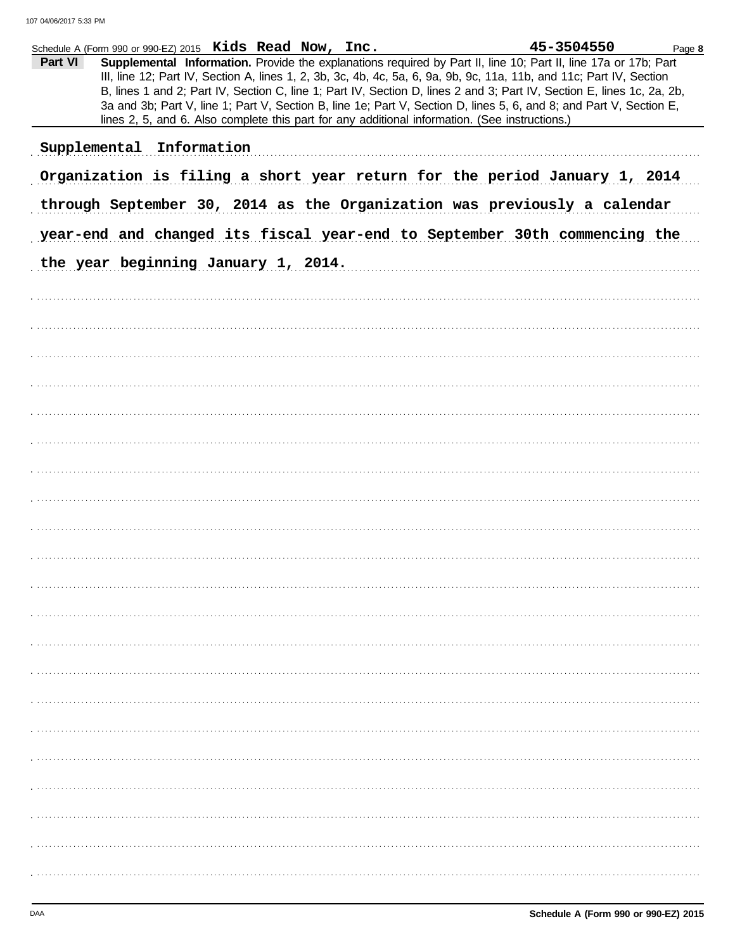|         | Schedule A (Form 990 or 990-EZ) 2015 Kids Read Now, $Inc.$                                                                                                                                                                                    |  | 45-3504550 | Page 8 |
|---------|-----------------------------------------------------------------------------------------------------------------------------------------------------------------------------------------------------------------------------------------------|--|------------|--------|
| Part VI | Supplemental Information. Provide the explanations required by Part II, line 10; Part II, line 17a or 17b; Part                                                                                                                               |  |            |        |
|         | III, line 12; Part IV, Section A, lines 1, 2, 3b, 3c, 4b, 4c, 5a, 6, 9a, 9b, 9c, 11a, 11b, and 11c; Part IV, Section                                                                                                                          |  |            |        |
|         | B, lines 1 and 2; Part IV, Section C, line 1; Part IV, Section D, lines 2 and 3; Part IV, Section E, lines 1c, 2a, 2b,<br>3a and 3b; Part V, line 1; Part V, Section B, line 1e; Part V, Section D, lines 5, 6, and 8; and Part V, Section E, |  |            |        |
|         | lines 2, 5, and 6. Also complete this part for any additional information. (See instructions.)                                                                                                                                                |  |            |        |
|         |                                                                                                                                                                                                                                               |  |            |        |
|         | Supplemental Information                                                                                                                                                                                                                      |  |            |        |
|         | Organization is filing a short year return for the period January 1, 2014                                                                                                                                                                     |  |            |        |
|         |                                                                                                                                                                                                                                               |  |            |        |
|         | through September 30, 2014 as the Organization was previously a calendar                                                                                                                                                                      |  |            |        |
|         |                                                                                                                                                                                                                                               |  |            |        |
|         | year-end and changed its fiscal year-end to September 30th commencing the                                                                                                                                                                     |  |            |        |
|         | the year beginning January 1, 2014.                                                                                                                                                                                                           |  |            |        |
|         |                                                                                                                                                                                                                                               |  |            |        |
|         |                                                                                                                                                                                                                                               |  |            |        |
|         |                                                                                                                                                                                                                                               |  |            |        |
|         |                                                                                                                                                                                                                                               |  |            |        |
|         |                                                                                                                                                                                                                                               |  |            |        |
|         |                                                                                                                                                                                                                                               |  |            |        |
|         |                                                                                                                                                                                                                                               |  |            |        |
|         |                                                                                                                                                                                                                                               |  |            |        |
|         |                                                                                                                                                                                                                                               |  |            |        |
|         |                                                                                                                                                                                                                                               |  |            |        |
|         |                                                                                                                                                                                                                                               |  |            |        |
|         |                                                                                                                                                                                                                                               |  |            |        |
|         |                                                                                                                                                                                                                                               |  |            |        |
|         |                                                                                                                                                                                                                                               |  |            |        |
|         |                                                                                                                                                                                                                                               |  |            |        |
|         |                                                                                                                                                                                                                                               |  |            |        |
|         |                                                                                                                                                                                                                                               |  |            |        |
|         |                                                                                                                                                                                                                                               |  |            |        |
|         |                                                                                                                                                                                                                                               |  |            |        |
|         |                                                                                                                                                                                                                                               |  |            |        |
|         |                                                                                                                                                                                                                                               |  |            |        |
|         |                                                                                                                                                                                                                                               |  |            |        |
|         |                                                                                                                                                                                                                                               |  |            |        |
|         |                                                                                                                                                                                                                                               |  |            |        |
|         |                                                                                                                                                                                                                                               |  |            |        |
|         |                                                                                                                                                                                                                                               |  |            |        |
|         |                                                                                                                                                                                                                                               |  |            |        |
|         |                                                                                                                                                                                                                                               |  |            |        |
|         |                                                                                                                                                                                                                                               |  |            |        |
|         |                                                                                                                                                                                                                                               |  |            |        |
|         |                                                                                                                                                                                                                                               |  |            |        |
|         |                                                                                                                                                                                                                                               |  |            |        |
|         |                                                                                                                                                                                                                                               |  |            |        |
|         |                                                                                                                                                                                                                                               |  |            |        |
|         |                                                                                                                                                                                                                                               |  |            |        |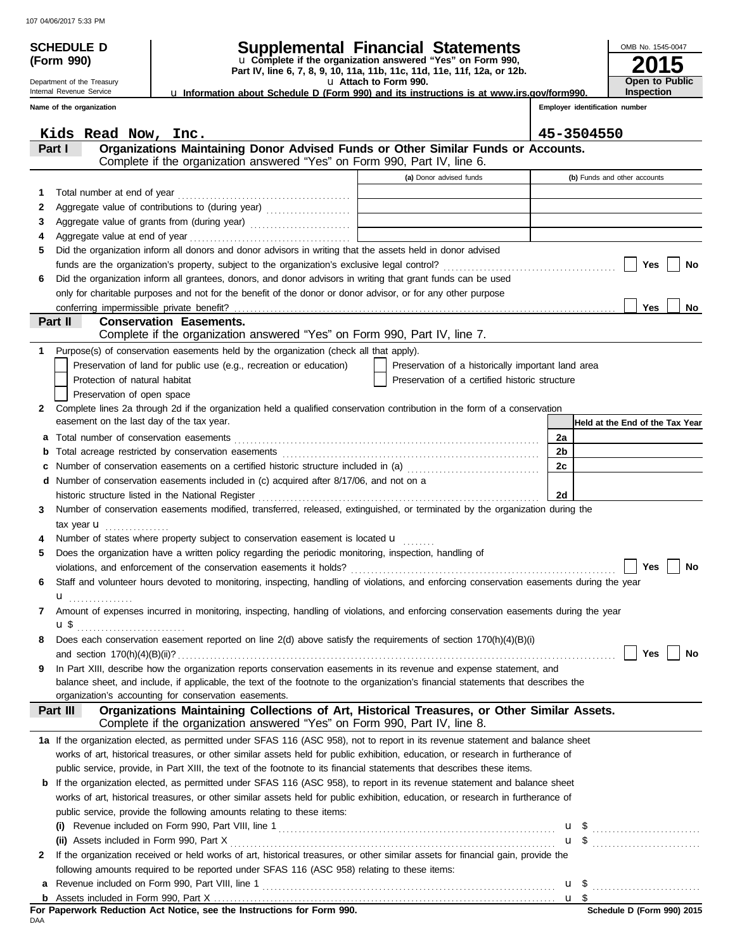**(Form 990)**

Department of the Treasury Internal Revenue Service

## **SCHEDULE D Supplemental Financial Statements**

**Part IV, line 6, 7, 8, 9, 10, 11a, 11b, 11c, 11d, 11e, 11f, 12a, or 12b.** u **Complete if the organization answered "Yes" on Form 990,**

u **Attach to Form 990.**  u **Information about Schedule D (Form 990) and its instructions is at www.irs.gov/form990.**

**Employer identification number Open to Public Inspection**

**2015**

OMB No. 1545-0047

|    | Name of the organization |                                                                                                                                                                |                                                                                                                       |                | Employer identification number  |
|----|--------------------------|----------------------------------------------------------------------------------------------------------------------------------------------------------------|-----------------------------------------------------------------------------------------------------------------------|----------------|---------------------------------|
|    |                          | Kids Read Now, Inc.                                                                                                                                            |                                                                                                                       |                | 45-3504550                      |
|    | Part I                   | Organizations Maintaining Donor Advised Funds or Other Similar Funds or Accounts.<br>Complete if the organization answered "Yes" on Form 990, Part IV, line 6. |                                                                                                                       |                |                                 |
|    |                          |                                                                                                                                                                | (a) Donor advised funds                                                                                               |                | (b) Funds and other accounts    |
| 1. |                          |                                                                                                                                                                | <u> 1980 - Johann Barbara, martxa a</u>                                                                               |                |                                 |
| 2  |                          | Aggregate value of contributions to (during year)                                                                                                              | the control of the control of the control of the control of the control of the control of                             |                |                                 |
| 3  |                          |                                                                                                                                                                | <u> 1980 - Johann Barbara, martin amerikan basal dan berasal dalam basal dalam basal dalam basal dalam basal dala</u> |                |                                 |
| 4  |                          | Aggregate value at end of year                                                                                                                                 |                                                                                                                       |                |                                 |
| 5. |                          | Did the organization inform all donors and donor advisors in writing that the assets held in donor advised                                                     |                                                                                                                       |                |                                 |
|    |                          |                                                                                                                                                                |                                                                                                                       |                | Yes<br>No                       |
| 6  |                          | Did the organization inform all grantees, donors, and donor advisors in writing that grant funds can be used                                                   |                                                                                                                       |                |                                 |
|    |                          | only for charitable purposes and not for the benefit of the donor or donor advisor, or for any other purpose                                                   |                                                                                                                       |                |                                 |
|    |                          |                                                                                                                                                                |                                                                                                                       |                | <b>Yes</b><br>No                |
|    | Part II                  | <b>Conservation Easements.</b><br>Complete if the organization answered "Yes" on Form 990, Part IV, line 7.                                                    |                                                                                                                       |                |                                 |
| 1. |                          | Purpose(s) of conservation easements held by the organization (check all that apply).                                                                          |                                                                                                                       |                |                                 |
|    |                          | Preservation of land for public use (e.g., recreation or education)                                                                                            | Preservation of a historically important land area                                                                    |                |                                 |
|    |                          | Protection of natural habitat                                                                                                                                  | Preservation of a certified historic structure                                                                        |                |                                 |
|    |                          | Preservation of open space                                                                                                                                     |                                                                                                                       |                |                                 |
| 2  |                          | Complete lines 2a through 2d if the organization held a qualified conservation contribution in the form of a conservation                                      |                                                                                                                       |                |                                 |
|    |                          | easement on the last day of the tax year.                                                                                                                      |                                                                                                                       |                | Held at the End of the Tax Year |
| a  |                          |                                                                                                                                                                |                                                                                                                       | 2a             |                                 |
| b  |                          |                                                                                                                                                                |                                                                                                                       | 2 <sub>b</sub> |                                 |
| с  |                          | Number of conservation easements on a certified historic structure included in (a) [[[[[[[[[[[[[[[[[[[[[[[[[]]]]]]]                                            |                                                                                                                       | 2c             |                                 |
| d  |                          | Number of conservation easements included in (c) acquired after 8/17/06, and not on a                                                                          |                                                                                                                       |                |                                 |
|    |                          | historic structure listed in the National Register                                                                                                             |                                                                                                                       | 2d             |                                 |
| 3. |                          | Number of conservation easements modified, transferred, released, extinguished, or terminated by the organization during the                                   |                                                                                                                       |                |                                 |
|    |                          | tax year $\mathbf u$<br>Number of states where property subject to conservation easement is located u                                                          |                                                                                                                       |                |                                 |
| 5. |                          | Does the organization have a written policy regarding the periodic monitoring, inspection, handling of                                                         |                                                                                                                       |                |                                 |
|    |                          |                                                                                                                                                                |                                                                                                                       |                | <b>Yes</b><br>No                |
| 6  |                          | Staff and volunteer hours devoted to monitoring, inspecting, handling of violations, and enforcing conservation easements during the year                      |                                                                                                                       |                |                                 |
|    | u                        |                                                                                                                                                                |                                                                                                                       |                |                                 |
|    |                          | Amount of expenses incurred in monitoring, inspecting, handling of violations, and enforcing conservation easements during the year                            |                                                                                                                       |                |                                 |
|    |                          |                                                                                                                                                                |                                                                                                                       |                |                                 |
|    |                          | Does each conservation easement reported on line 2(d) above satisfy the requirements of section 170(h)(4)(B)(i)                                                |                                                                                                                       |                |                                 |
|    |                          | and section $170(h)(4)(B)(ii)?$                                                                                                                                |                                                                                                                       |                | Yes<br>No                       |
| 9  |                          | In Part XIII, describe how the organization reports conservation easements in its revenue and expense statement, and                                           |                                                                                                                       |                |                                 |
|    |                          | balance sheet, and include, if applicable, the text of the footnote to the organization's financial statements that describes the                              |                                                                                                                       |                |                                 |
|    | Part III                 | organization's accounting for conservation easements.<br>Organizations Maintaining Collections of Art, Historical Treasures, or Other Similar Assets.          |                                                                                                                       |                |                                 |
|    |                          | Complete if the organization answered "Yes" on Form 990, Part IV, line 8.                                                                                      |                                                                                                                       |                |                                 |
|    |                          | 1a If the organization elected, as permitted under SFAS 116 (ASC 958), not to report in its revenue statement and balance sheet                                |                                                                                                                       |                |                                 |
|    |                          | works of art, historical treasures, or other similar assets held for public exhibition, education, or research in furtherance of                               |                                                                                                                       |                |                                 |
|    |                          | public service, provide, in Part XIII, the text of the footnote to its financial statements that describes these items.                                        |                                                                                                                       |                |                                 |
| b  |                          | If the organization elected, as permitted under SFAS 116 (ASC 958), to report in its revenue statement and balance sheet                                       |                                                                                                                       |                |                                 |
|    |                          | works of art, historical treasures, or other similar assets held for public exhibition, education, or research in furtherance of                               |                                                                                                                       |                |                                 |
|    |                          | public service, provide the following amounts relating to these items:                                                                                         |                                                                                                                       |                |                                 |
|    |                          |                                                                                                                                                                |                                                                                                                       |                |                                 |
|    |                          | (ii) Assets included in Form 990, Part X                                                                                                                       |                                                                                                                       |                | $\mathbf{u}$ \$ $\ldots$        |
| 2  |                          | If the organization received or held works of art, historical treasures, or other similar assets for financial gain, provide the                               |                                                                                                                       |                |                                 |
|    |                          | following amounts required to be reported under SFAS 116 (ASC 958) relating to these items:                                                                    |                                                                                                                       |                |                                 |
| a  |                          |                                                                                                                                                                |                                                                                                                       |                | u \$                            |
|    |                          |                                                                                                                                                                |                                                                                                                       |                |                                 |

DAA **For Paperwork Reduction Act Notice, see the Instructions for Form 990.**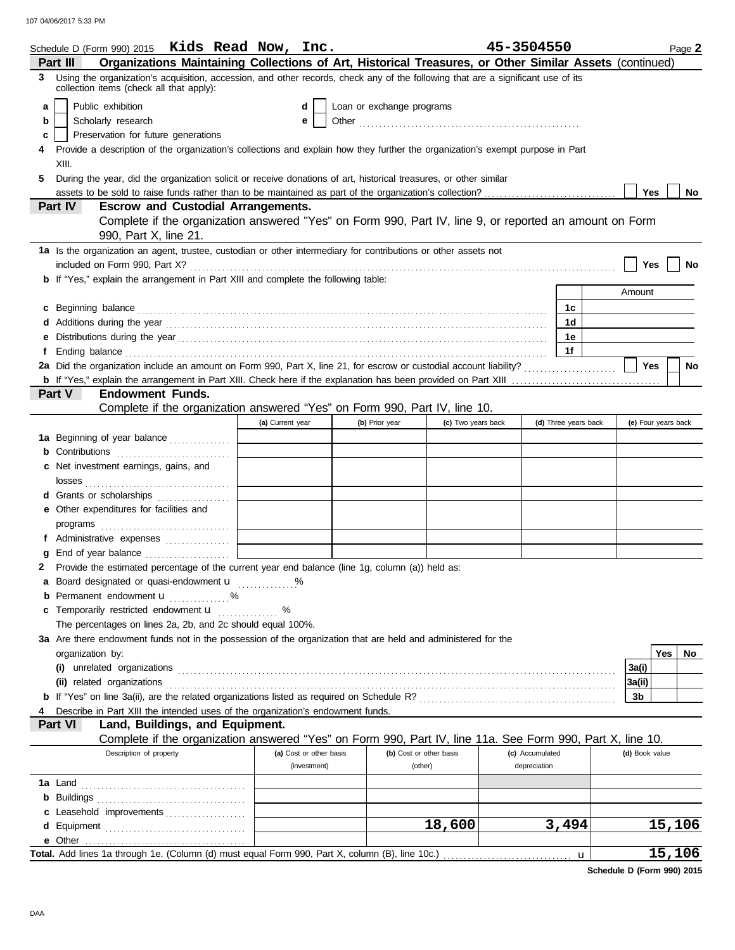|   | Schedule D (Form 990) 2015 Kids Read Now, $Inc.$                                                                                                                                                                               |                         |                           |                         | 45-3504550      |                      |                | Page 2              |  |
|---|--------------------------------------------------------------------------------------------------------------------------------------------------------------------------------------------------------------------------------|-------------------------|---------------------------|-------------------------|-----------------|----------------------|----------------|---------------------|--|
|   | Organizations Maintaining Collections of Art, Historical Treasures, or Other Similar Assets (continued)<br>Part III                                                                                                            |                         |                           |                         |                 |                      |                |                     |  |
|   | 3 Using the organization's acquisition, accession, and other records, check any of the following that are a significant use of its<br>collection items (check all that apply):                                                 |                         |                           |                         |                 |                      |                |                     |  |
| a | Public exhibition                                                                                                                                                                                                              | d                       | Loan or exchange programs |                         |                 |                      |                |                     |  |
| b | Scholarly research                                                                                                                                                                                                             | е                       |                           |                         |                 |                      |                |                     |  |
| c | Preservation for future generations                                                                                                                                                                                            |                         |                           |                         |                 |                      |                |                     |  |
|   | Provide a description of the organization's collections and explain how they further the organization's exempt purpose in Part<br>XIII.                                                                                        |                         |                           |                         |                 |                      |                |                     |  |
| 5 | During the year, did the organization solicit or receive donations of art, historical treasures, or other similar                                                                                                              |                         |                           |                         |                 |                      |                |                     |  |
|   | assets to be sold to raise funds rather than to be maintained as part of the organization's collection?                                                                                                                        |                         |                           |                         |                 |                      | Yes            | No                  |  |
|   | Part IV<br><b>Escrow and Custodial Arrangements.</b>                                                                                                                                                                           |                         |                           |                         |                 |                      |                |                     |  |
|   | Complete if the organization answered "Yes" on Form 990, Part IV, line 9, or reported an amount on Form<br>990, Part X, line 21.                                                                                               |                         |                           |                         |                 |                      |                |                     |  |
|   | 1a Is the organization an agent, trustee, custodian or other intermediary for contributions or other assets not                                                                                                                |                         |                           |                         |                 |                      | Yes            |                     |  |
|   | <b>b</b> If "Yes," explain the arrangement in Part XIII and complete the following table:                                                                                                                                      |                         |                           |                         |                 |                      |                |                     |  |
|   |                                                                                                                                                                                                                                |                         |                           |                         |                 |                      | Amount         |                     |  |
|   | c Beginning balance encourance and all the contract of the contract of the contract of the contract of the contract of the contract of the contract of the contract of the contract of the contract of the contract of the con |                         |                           |                         |                 | 1с                   |                |                     |  |
|   |                                                                                                                                                                                                                                |                         |                           |                         |                 | 1d                   |                |                     |  |
| е |                                                                                                                                                                                                                                |                         |                           |                         |                 | 1е                   |                |                     |  |
| f |                                                                                                                                                                                                                                |                         |                           |                         |                 | 1f                   |                |                     |  |
|   | 2a Did the organization include an amount on Form 990, Part X, line 21, for escrow or custodial account liability?                                                                                                             |                         |                           |                         |                 |                      | Yes            | No                  |  |
|   |                                                                                                                                                                                                                                |                         |                           |                         |                 |                      |                |                     |  |
|   | Part V<br><b>Endowment Funds.</b>                                                                                                                                                                                              |                         |                           |                         |                 |                      |                |                     |  |
|   | Complete if the organization answered "Yes" on Form 990, Part IV, line 10.                                                                                                                                                     |                         |                           |                         |                 |                      |                |                     |  |
|   |                                                                                                                                                                                                                                | (a) Current year        | (b) Prior year            | (c) Two years back      |                 | (d) Three years back |                | (e) Four years back |  |
|   | 1a Beginning of year balance                                                                                                                                                                                                   |                         |                           |                         |                 |                      |                |                     |  |
|   | <b>b</b> Contributions                                                                                                                                                                                                         |                         |                           |                         |                 |                      |                |                     |  |
|   | c Net investment earnings, gains, and                                                                                                                                                                                          |                         |                           |                         |                 |                      |                |                     |  |
|   | d Grants or scholarships                                                                                                                                                                                                       |                         |                           |                         |                 |                      |                |                     |  |
|   | e Other expenditures for facilities and                                                                                                                                                                                        |                         |                           |                         |                 |                      |                |                     |  |
|   | f Administrative expenses                                                                                                                                                                                                      |                         |                           |                         |                 |                      |                |                     |  |
| g | End of year balance                                                                                                                                                                                                            |                         |                           |                         |                 |                      |                |                     |  |
|   | 2 Provide the estimated percentage of the current year end balance (line 1g, column (a)) held as:                                                                                                                              |                         |                           |                         |                 |                      |                |                     |  |
|   | a Board designated or quasi-endowment u                                                                                                                                                                                        |                         |                           |                         |                 |                      |                |                     |  |
|   | <b>b</b> Permanent endowment $\mathbf{u}$ %                                                                                                                                                                                    |                         |                           |                         |                 |                      |                |                     |  |
|   | c Temporarily restricted endowment <b>u</b>                                                                                                                                                                                    | %                       |                           |                         |                 |                      |                |                     |  |
|   | The percentages on lines 2a, 2b, and 2c should equal 100%.                                                                                                                                                                     |                         |                           |                         |                 |                      |                |                     |  |
|   | 3a Are there endowment funds not in the possession of the organization that are held and administered for the                                                                                                                  |                         |                           |                         |                 |                      |                |                     |  |
|   | organization by:                                                                                                                                                                                                               |                         |                           |                         |                 |                      |                | Yes<br>No           |  |
|   |                                                                                                                                                                                                                                |                         |                           |                         |                 |                      | 3a(i)          |                     |  |
|   |                                                                                                                                                                                                                                |                         |                           |                         |                 |                      | 3a(ii)         |                     |  |
|   |                                                                                                                                                                                                                                |                         |                           |                         |                 |                      | 3b             |                     |  |
|   | Describe in Part XIII the intended uses of the organization's endowment funds.                                                                                                                                                 |                         |                           |                         |                 |                      |                |                     |  |
|   | Land, Buildings, and Equipment.<br><b>Part VI</b>                                                                                                                                                                              |                         |                           |                         |                 |                      |                |                     |  |
|   | Complete if the organization answered "Yes" on Form 990, Part IV, line 11a. See Form 990, Part X, line 10.                                                                                                                     |                         |                           |                         |                 |                      |                |                     |  |
|   | Description of property                                                                                                                                                                                                        | (a) Cost or other basis |                           | (b) Cost or other basis | (c) Accumulated |                      | (d) Book value |                     |  |
|   |                                                                                                                                                                                                                                | (investment)            |                           | (other)                 | depreciation    |                      |                |                     |  |
|   |                                                                                                                                                                                                                                |                         |                           |                         |                 |                      |                |                     |  |
|   |                                                                                                                                                                                                                                |                         |                           |                         |                 |                      |                |                     |  |
|   | c Leasehold improvements                                                                                                                                                                                                       |                         |                           |                         |                 |                      |                |                     |  |
| d |                                                                                                                                                                                                                                |                         |                           | 18,600                  |                 | 3,494                |                | 15,106              |  |
|   |                                                                                                                                                                                                                                |                         |                           |                         |                 |                      |                |                     |  |
|   |                                                                                                                                                                                                                                |                         |                           |                         |                 | u                    |                | 15,106              |  |

**Schedule D (Form 990) 2015**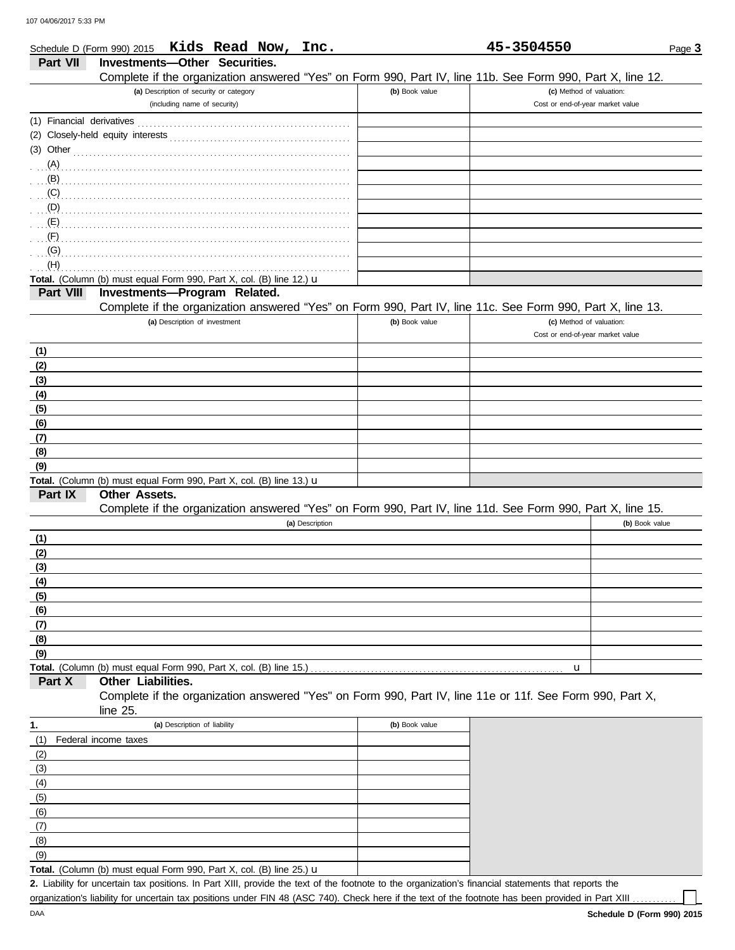|                           | Schedule D (Form 990) 2015 $Kids$ Read Now, Inc.                                                           |                | 45-3504550                       | Page 3         |
|---------------------------|------------------------------------------------------------------------------------------------------------|----------------|----------------------------------|----------------|
| Part VII                  | Investments-Other Securities.                                                                              |                |                                  |                |
|                           | Complete if the organization answered "Yes" on Form 990, Part IV, line 11b. See Form 990, Part X, line 12. |                |                                  |                |
|                           | (a) Description of security or category                                                                    | (b) Book value | (c) Method of valuation:         |                |
|                           | (including name of security)                                                                               |                | Cost or end-of-year market value |                |
| (1) Financial derivatives |                                                                                                            |                |                                  |                |
|                           |                                                                                                            |                |                                  |                |
| $(3)$ Other               |                                                                                                            |                |                                  |                |
| (A)                       |                                                                                                            |                |                                  |                |
| (B)                       |                                                                                                            |                |                                  |                |
| (C)                       |                                                                                                            |                |                                  |                |
| (D)                       |                                                                                                            |                |                                  |                |
| $\mathbf{E}(\mathsf{E})$  |                                                                                                            |                |                                  |                |
| (F)                       |                                                                                                            |                |                                  |                |
| (G)                       |                                                                                                            |                |                                  |                |
| (H)                       |                                                                                                            |                |                                  |                |
|                           | Total. (Column (b) must equal Form 990, Part X, col. (B) line 12.) u                                       |                |                                  |                |
| Part VIII                 | Investments-Program Related.                                                                               |                |                                  |                |
|                           | Complete if the organization answered "Yes" on Form 990, Part IV, line 11c. See Form 990, Part X, line 13. |                |                                  |                |
|                           | (a) Description of investment                                                                              | (b) Book value | (c) Method of valuation:         |                |
|                           |                                                                                                            |                | Cost or end-of-year market value |                |
| (1)                       |                                                                                                            |                |                                  |                |
| (2)                       |                                                                                                            |                |                                  |                |
| (3)                       |                                                                                                            |                |                                  |                |
| (4)                       |                                                                                                            |                |                                  |                |
| (5)                       |                                                                                                            |                |                                  |                |
| (6)                       |                                                                                                            |                |                                  |                |
| (7)                       |                                                                                                            |                |                                  |                |
| (8)                       |                                                                                                            |                |                                  |                |
| (9)                       |                                                                                                            |                |                                  |                |
|                           | Total. (Column (b) must equal Form 990, Part X, col. (B) line 13.) u                                       |                |                                  |                |
| Part IX                   | Other Assets.                                                                                              |                |                                  |                |
|                           | Complete if the organization answered "Yes" on Form 990, Part IV, line 11d. See Form 990, Part X, line 15. |                |                                  |                |
|                           | (a) Description                                                                                            |                |                                  | (b) Book value |
| (1)                       |                                                                                                            |                |                                  |                |
| (2)                       |                                                                                                            |                |                                  |                |
| (3)                       |                                                                                                            |                |                                  |                |
| (4)                       |                                                                                                            |                |                                  |                |
| (5)                       |                                                                                                            |                |                                  |                |
| (6)                       |                                                                                                            |                |                                  |                |
| (7)                       |                                                                                                            |                |                                  |                |
| (8)                       |                                                                                                            |                |                                  |                |
| (9)                       |                                                                                                            |                |                                  |                |
|                           | Total. (Column (b) must equal Form 990, Part X, col. (B) line 15.)                                         |                | u                                |                |
| Part X                    | Other Liabilities.                                                                                         |                |                                  |                |
|                           | Complete if the organization answered "Yes" on Form 990, Part IV, line 11e or 11f. See Form 990, Part X,   |                |                                  |                |
|                           | line 25.                                                                                                   |                |                                  |                |
| 1.                        | (a) Description of liability                                                                               | (b) Book value |                                  |                |
| (1)                       | Federal income taxes                                                                                       |                |                                  |                |
| (2)                       |                                                                                                            |                |                                  |                |
| (3)                       |                                                                                                            |                |                                  |                |
| (4)                       |                                                                                                            |                |                                  |                |
| (5)                       |                                                                                                            |                |                                  |                |
| (6)                       |                                                                                                            |                |                                  |                |
| (7)                       |                                                                                                            |                |                                  |                |
| (8)                       |                                                                                                            |                |                                  |                |
| (9)                       |                                                                                                            |                |                                  |                |

Total. (Column (b) must equal Form 990, Part X, col. (B) line 25.) u

Liability for uncertain tax positions. In Part XIII, provide the text of the footnote to the organization's financial statements that reports the **2.** organization's liability for uncertain tax positions under FIN 48 (ASC 740). Check here if the text of the footnote has been provided in Part XIII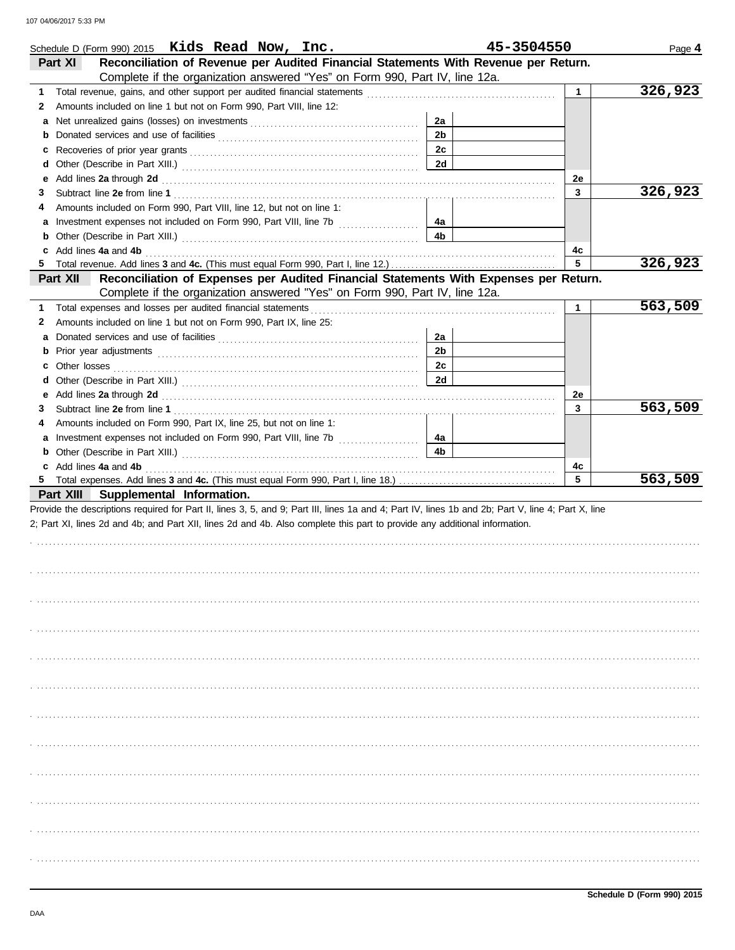| Schedule D (Form 990) 2015 Kids Read Now, Inc.                                                                                                                                                                                           |                | 45-3504550   | Page 4  |
|------------------------------------------------------------------------------------------------------------------------------------------------------------------------------------------------------------------------------------------|----------------|--------------|---------|
| Reconciliation of Revenue per Audited Financial Statements With Revenue per Return.<br>Part XI                                                                                                                                           |                |              |         |
| Complete if the organization answered "Yes" on Form 990, Part IV, line 12a.                                                                                                                                                              |                |              |         |
| 1                                                                                                                                                                                                                                        |                | 1            | 326,923 |
| Amounts included on line 1 but not on Form 990, Part VIII, line 12:<br>2                                                                                                                                                                 |                |              |         |
| а                                                                                                                                                                                                                                        | 2a             |              |         |
|                                                                                                                                                                                                                                          | 2 <sub>b</sub> |              |         |
| c                                                                                                                                                                                                                                        | 2c             |              |         |
|                                                                                                                                                                                                                                          | 2d             |              |         |
| Add lines 2a through 2d [11] Additional Contract of the Additional Contract of the Additional Contract of the Additional Contract of the Additional Contract of the Additional Contract of the Additional Contract of the Addi<br>е      |                | 2e           |         |
| 3                                                                                                                                                                                                                                        |                | 3            | 326,923 |
| Amounts included on Form 990, Part VIII, line 12, but not on line 1:<br>4                                                                                                                                                                |                |              |         |
| a Investment expenses not included on Form 990, Part VIII, line 7b                                                                                                                                                                       | 4a             |              |         |
|                                                                                                                                                                                                                                          | 4b             |              |         |
| Add lines 4a and 4b <b>contract and 4b</b> and 4b and 4b and 4b and 4b and 4b and 4b and 4b and 4b and 4b and 4b and 4b and 4b and 4b and 4b and 4b and 4b and 4b and 4b and 4b and 4b and 4b and 4b and 4b and 4b and 4b and 4b an<br>c |                | 4c           |         |
| 5.                                                                                                                                                                                                                                       |                | 5            | 326,923 |
| Reconciliation of Expenses per Audited Financial Statements With Expenses per Return.<br>Part XII                                                                                                                                        |                |              |         |
| Complete if the organization answered "Yes" on Form 990, Part IV, line 12a.                                                                                                                                                              |                |              |         |
| Total expenses and losses per audited financial statements [11] contain the container and statements and the statements and statements and the statements and the statements and statements are statements and statements are<br>1       |                | $\mathbf{1}$ | 563,509 |
| Amounts included on line 1 but not on Form 990, Part IX, line 25:<br>2                                                                                                                                                                   |                |              |         |
| а                                                                                                                                                                                                                                        | 2a             |              |         |
|                                                                                                                                                                                                                                          | 2 <sub>b</sub> |              |         |
| Other losses <b>contracts Other losses</b><br>c                                                                                                                                                                                          | 2c             |              |         |
| d                                                                                                                                                                                                                                        | 2d             |              |         |
|                                                                                                                                                                                                                                          |                | 2e           |         |
| 3                                                                                                                                                                                                                                        |                | 3            | 563,509 |
| Amounts included on Form 990, Part IX, line 25, but not on line 1:<br>4                                                                                                                                                                  |                |              |         |
|                                                                                                                                                                                                                                          | 4a             |              |         |
| <b>b</b> Other (Describe in Part XIII.) <b>CONSIDENT</b> 1                                                                                                                                                                               | 4b             |              |         |
| c Add lines 4a and 4b (a) and the contract of the contract of the contract of the contract of the contract of the contract of the contract of the contract of the contract of the contract of the contract of the contract of            |                | 4c           |         |
|                                                                                                                                                                                                                                          |                | 5            | 563,509 |
| Part XIII Supplemental Information.                                                                                                                                                                                                      |                |              |         |
| Provide the descriptions required for Part II, lines 3, 5, and 9; Part III, lines 1a and 4; Part IV, lines 1b and 2b; Part V, line 4; Part X, line                                                                                       |                |              |         |
| 2; Part XI, lines 2d and 4b; and Part XII, lines 2d and 4b. Also complete this part to provide any additional information.                                                                                                               |                |              |         |
|                                                                                                                                                                                                                                          |                |              |         |
|                                                                                                                                                                                                                                          |                |              |         |
|                                                                                                                                                                                                                                          |                |              |         |
|                                                                                                                                                                                                                                          |                |              |         |
|                                                                                                                                                                                                                                          |                |              |         |
|                                                                                                                                                                                                                                          |                |              |         |
|                                                                                                                                                                                                                                          |                |              |         |
|                                                                                                                                                                                                                                          |                |              |         |
|                                                                                                                                                                                                                                          |                |              |         |
|                                                                                                                                                                                                                                          |                |              |         |
|                                                                                                                                                                                                                                          |                |              |         |
|                                                                                                                                                                                                                                          |                |              |         |
|                                                                                                                                                                                                                                          |                |              |         |
|                                                                                                                                                                                                                                          |                |              |         |
|                                                                                                                                                                                                                                          |                |              |         |
|                                                                                                                                                                                                                                          |                |              |         |
|                                                                                                                                                                                                                                          |                |              |         |
|                                                                                                                                                                                                                                          |                |              |         |
|                                                                                                                                                                                                                                          |                |              |         |
|                                                                                                                                                                                                                                          |                |              |         |
|                                                                                                                                                                                                                                          |                |              |         |
|                                                                                                                                                                                                                                          |                |              |         |
|                                                                                                                                                                                                                                          |                |              |         |
|                                                                                                                                                                                                                                          |                |              |         |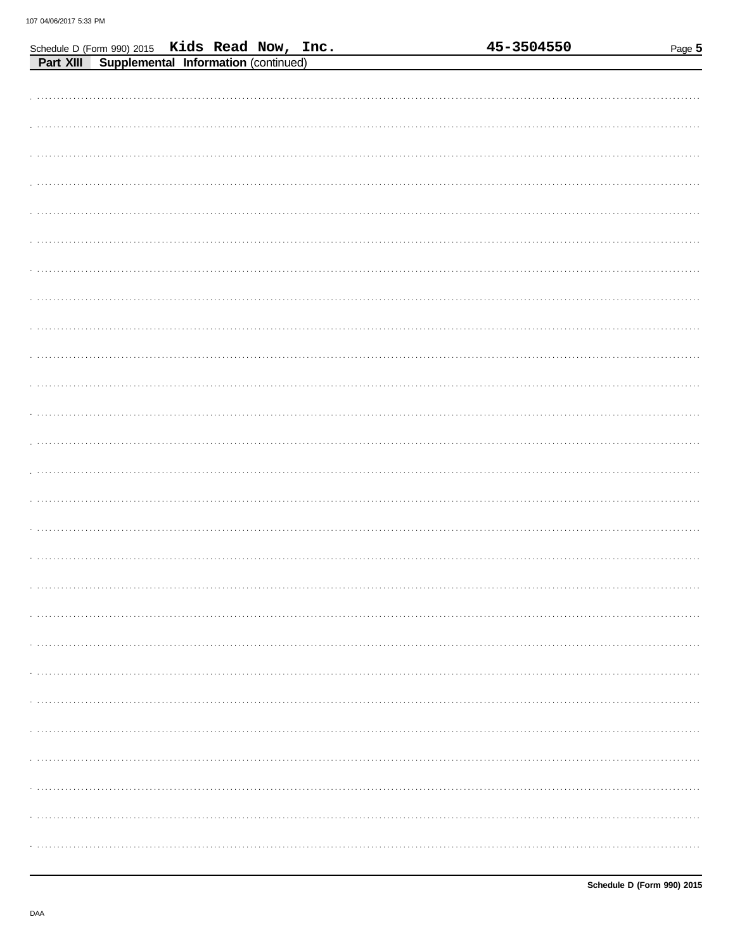|                                                                                                  |  |  | 45-3504550 | Page 5 |
|--------------------------------------------------------------------------------------------------|--|--|------------|--------|
| Schedule D (Form 990) 2015 Kids Read Now, Inc.<br>Part XIII Supplemental Information (continued) |  |  |            |        |
|                                                                                                  |  |  |            |        |
|                                                                                                  |  |  |            |        |
|                                                                                                  |  |  |            |        |
|                                                                                                  |  |  |            |        |
|                                                                                                  |  |  |            |        |
|                                                                                                  |  |  |            |        |
|                                                                                                  |  |  |            |        |
|                                                                                                  |  |  |            |        |
|                                                                                                  |  |  |            |        |
|                                                                                                  |  |  |            |        |
|                                                                                                  |  |  |            |        |
|                                                                                                  |  |  |            |        |
|                                                                                                  |  |  |            |        |
|                                                                                                  |  |  |            |        |
|                                                                                                  |  |  |            |        |
|                                                                                                  |  |  |            |        |
|                                                                                                  |  |  |            |        |
|                                                                                                  |  |  |            |        |
|                                                                                                  |  |  |            |        |
|                                                                                                  |  |  |            |        |
|                                                                                                  |  |  |            |        |
|                                                                                                  |  |  |            |        |
|                                                                                                  |  |  |            |        |
|                                                                                                  |  |  |            |        |
|                                                                                                  |  |  |            |        |
|                                                                                                  |  |  |            |        |
|                                                                                                  |  |  |            |        |
|                                                                                                  |  |  |            |        |
|                                                                                                  |  |  |            |        |
|                                                                                                  |  |  |            |        |
|                                                                                                  |  |  |            |        |
|                                                                                                  |  |  |            |        |
|                                                                                                  |  |  |            |        |
|                                                                                                  |  |  |            |        |
|                                                                                                  |  |  |            |        |
|                                                                                                  |  |  |            |        |
|                                                                                                  |  |  |            |        |
|                                                                                                  |  |  |            |        |
|                                                                                                  |  |  |            |        |
|                                                                                                  |  |  |            |        |
|                                                                                                  |  |  |            |        |
|                                                                                                  |  |  |            |        |
|                                                                                                  |  |  |            |        |
|                                                                                                  |  |  |            |        |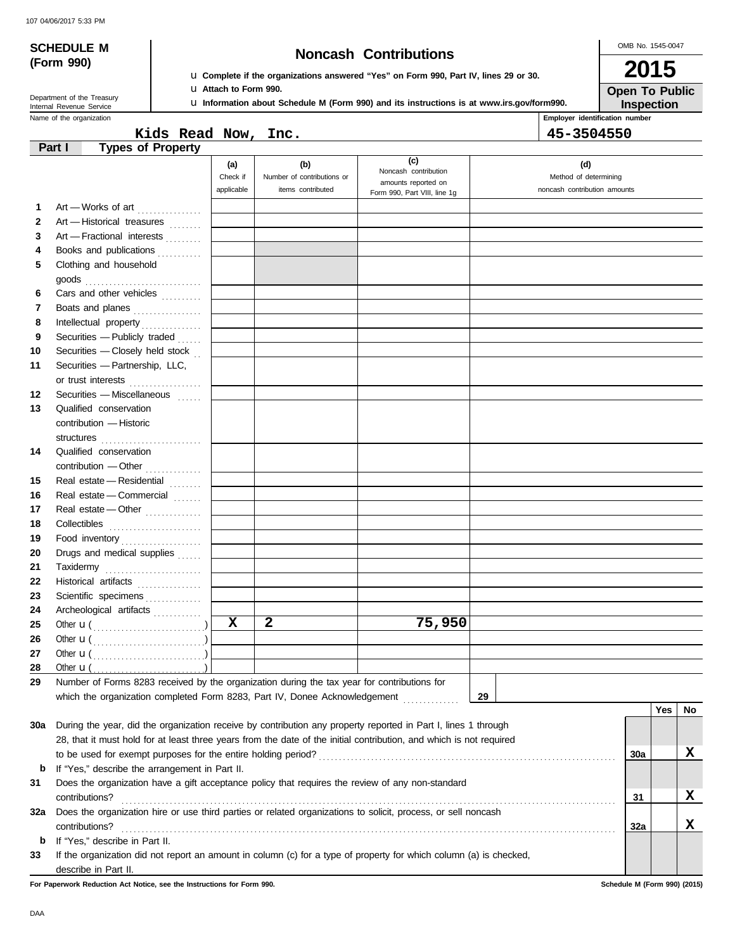# **SCHEDULE M Noncash Contributions**

OMB No. 1545-0047 **2015**

**Open To Public**

| ---------  |  |
|------------|--|
| (Form 990) |  |

Department of the Treasury<br>Internal Revenue Service

u **Complete if the organizations answered "Yes" on Form 990, Part IV, lines 29 or 30.**

u **Attach to Form 990.**

u **Information about Schedule M (Form 990) and its instructions is at www.irs.gov/form990.**

**Inspection**

|  | Employer identification |
|--|-------------------------|
|  |                         |

|            | Name of the organization                                                                                                                                                    |                               |                                                        |                                                    |    | Employer identification number                               |     |     |     |
|------------|-----------------------------------------------------------------------------------------------------------------------------------------------------------------------------|-------------------------------|--------------------------------------------------------|----------------------------------------------------|----|--------------------------------------------------------------|-----|-----|-----|
|            | Kids Read Now, Inc.                                                                                                                                                         |                               |                                                        |                                                    |    | 45-3504550                                                   |     |     |     |
|            | <b>Types of Property</b><br>Part I                                                                                                                                          |                               |                                                        |                                                    |    |                                                              |     |     |     |
|            |                                                                                                                                                                             | (a)<br>Check if<br>applicable | (b)<br>Number of contributions or<br>items contributed | (c)<br>Noncash contribution<br>amounts reported on |    | (d)<br>Method of determining<br>noncash contribution amounts |     |     |     |
|            |                                                                                                                                                                             |                               |                                                        | Form 990, Part VIII, line 1g                       |    |                                                              |     |     |     |
| 1          | Art - Works of art                                                                                                                                                          |                               |                                                        |                                                    |    |                                                              |     |     |     |
| 2          | Art - Historical treasures                                                                                                                                                  |                               |                                                        |                                                    |    |                                                              |     |     |     |
| 3          | Art - Fractional interests                                                                                                                                                  |                               |                                                        |                                                    |    |                                                              |     |     |     |
| 4          | Books and publications                                                                                                                                                      |                               |                                                        |                                                    |    |                                                              |     |     |     |
| 5          | Clothing and household                                                                                                                                                      |                               |                                                        |                                                    |    |                                                              |     |     |     |
|            | $\mathsf{goods}\xrightarrow{\hspace{0.5cm}}$                                                                                                                                |                               |                                                        |                                                    |    |                                                              |     |     |     |
| 6          | Cars and other vehicles                                                                                                                                                     |                               |                                                        |                                                    |    |                                                              |     |     |     |
| 7          | Boats and planes                                                                                                                                                            |                               |                                                        |                                                    |    |                                                              |     |     |     |
| 8          | Intellectual property                                                                                                                                                       |                               |                                                        |                                                    |    |                                                              |     |     |     |
| 9          | Securities - Publicly traded                                                                                                                                                |                               |                                                        |                                                    |    |                                                              |     |     |     |
| 10         | Securities - Closely held stock                                                                                                                                             |                               |                                                        |                                                    |    |                                                              |     |     |     |
| 11         | Securities - Partnership, LLC,                                                                                                                                              |                               |                                                        |                                                    |    |                                                              |     |     |     |
|            | or trust interests                                                                                                                                                          |                               |                                                        |                                                    |    |                                                              |     |     |     |
| 12         | Securities - Miscellaneous                                                                                                                                                  |                               |                                                        |                                                    |    |                                                              |     |     |     |
| 13         | Qualified conservation                                                                                                                                                      |                               |                                                        |                                                    |    |                                                              |     |     |     |
|            | contribution - Historic                                                                                                                                                     |                               |                                                        |                                                    |    |                                                              |     |     |     |
|            |                                                                                                                                                                             |                               |                                                        |                                                    |    |                                                              |     |     |     |
| 14         | Qualified conservation                                                                                                                                                      |                               |                                                        |                                                    |    |                                                              |     |     |     |
|            | contribution - Other                                                                                                                                                        |                               |                                                        |                                                    |    |                                                              |     |     |     |
| 15         | Real estate - Residential                                                                                                                                                   |                               |                                                        |                                                    |    |                                                              |     |     |     |
| 16         | Real estate - Commercial                                                                                                                                                    |                               |                                                        |                                                    |    |                                                              |     |     |     |
| 17         | Real estate - Other                                                                                                                                                         |                               |                                                        |                                                    |    |                                                              |     |     |     |
| 18         |                                                                                                                                                                             |                               |                                                        |                                                    |    |                                                              |     |     |     |
| 19         | Food inventory                                                                                                                                                              |                               |                                                        |                                                    |    |                                                              |     |     |     |
| 20         | Drugs and medical supplies                                                                                                                                                  |                               |                                                        |                                                    |    |                                                              |     |     |     |
| 21         |                                                                                                                                                                             |                               |                                                        |                                                    |    |                                                              |     |     |     |
| 22         | Historical artifacts                                                                                                                                                        |                               |                                                        |                                                    |    |                                                              |     |     |     |
| 23         | Scientific specimens                                                                                                                                                        |                               |                                                        |                                                    |    |                                                              |     |     |     |
| 24         | Archeological artifacts                                                                                                                                                     | $\mathbf x$                   | $\mathbf{2}$                                           | 75,950                                             |    |                                                              |     |     |     |
| 25         | Other $\mathbf{u}(\dots, \dots, \dots, \dots, \dots)$                                                                                                                       |                               |                                                        |                                                    |    |                                                              |     |     |     |
| 26         | Other $\mathbf{u}(\dots, \dots, \dots, \dots, \dots)$                                                                                                                       |                               |                                                        |                                                    |    |                                                              |     |     |     |
| 27         | Other $\mathbf{u}$ (                                                                                                                                                        |                               |                                                        |                                                    |    |                                                              |     |     |     |
| 28         | Other $\mathbf{u}$ (                                                                                                                                                        |                               |                                                        |                                                    |    |                                                              |     |     |     |
| 29         | Number of Forms 8283 received by the organization during the tax year for contributions for<br>which the organization completed Form 8283, Part IV, Donee Acknowledgement [ |                               |                                                        |                                                    |    |                                                              |     |     |     |
|            |                                                                                                                                                                             |                               |                                                        |                                                    | 29 |                                                              |     | Yes | No. |
|            | During the year, did the organization receive by contribution any property reported in Part I, lines 1 through                                                              |                               |                                                        |                                                    |    |                                                              |     |     |     |
| <b>30a</b> | 28, that it must hold for at least three years from the date of the initial contribution, and which is not required                                                         |                               |                                                        |                                                    |    |                                                              |     |     |     |
|            |                                                                                                                                                                             |                               |                                                        |                                                    |    |                                                              |     |     | X   |
|            |                                                                                                                                                                             |                               |                                                        |                                                    |    |                                                              | 30a |     |     |
| b          | If "Yes," describe the arrangement in Part II.<br>Does the organization have a gift acceptance policy that requires the review of any non-standard                          |                               |                                                        |                                                    |    |                                                              |     |     |     |
| 31         |                                                                                                                                                                             |                               |                                                        |                                                    |    |                                                              |     |     | X   |
|            | contributions?<br>Does the organization hire or use third parties or related organizations to solicit, process, or sell noncash                                             |                               |                                                        |                                                    |    |                                                              | 31  |     |     |
| 32a        |                                                                                                                                                                             |                               |                                                        |                                                    |    |                                                              |     |     | X   |
|            | contributions?                                                                                                                                                              |                               |                                                        |                                                    |    |                                                              | 32a |     |     |
| b          | If "Yes," describe in Part II.                                                                                                                                              |                               |                                                        |                                                    |    |                                                              |     |     |     |

**33** If the organization did not report an amount in column (c) for a type of property for which column (a) is checked, describe in Part II.

**For Paperwork Reduction Act Notice, see the Instructions for Form 990. Schedule M (Form 990) (2015)**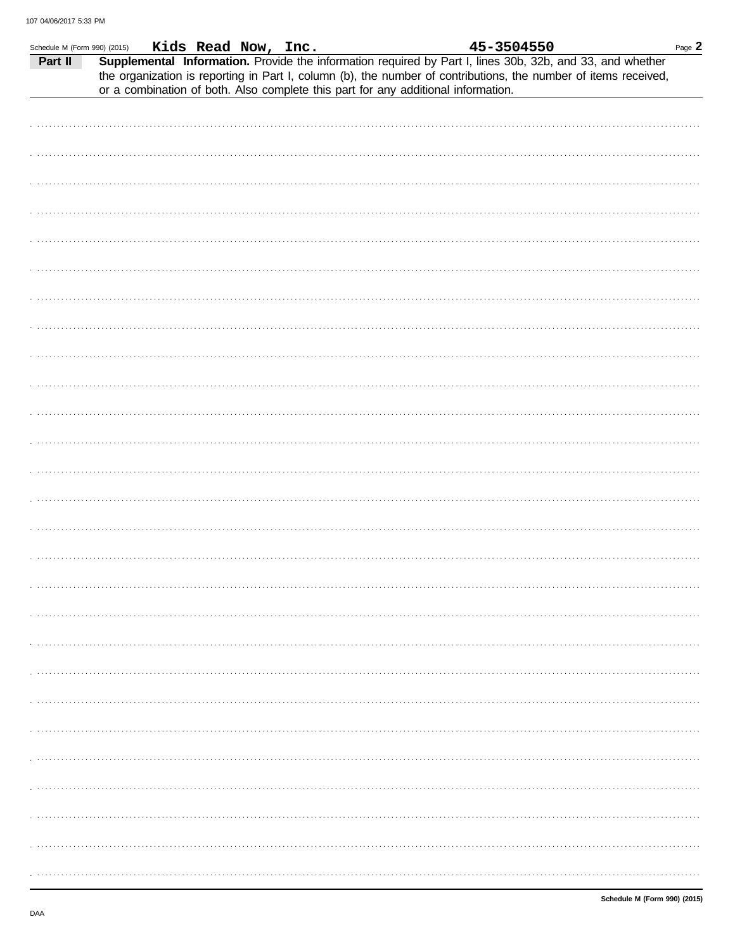| Schedule M (Form 990) (2015) | Kids Read Now, Inc.                                                               |  | 45-3504550 |                                                                                                                                                                                                                              | Page 2 |
|------------------------------|-----------------------------------------------------------------------------------|--|------------|------------------------------------------------------------------------------------------------------------------------------------------------------------------------------------------------------------------------------|--------|
| Part II                      | or a combination of both. Also complete this part for any additional information. |  |            | Supplemental Information. Provide the information required by Part I, lines 30b, 32b, and 33, and whether<br>the organization is reporting in Part I, column (b), the number of contributions, the number of items received, |        |
|                              |                                                                                   |  |            |                                                                                                                                                                                                                              |        |
|                              |                                                                                   |  |            |                                                                                                                                                                                                                              |        |
|                              |                                                                                   |  |            |                                                                                                                                                                                                                              |        |
|                              |                                                                                   |  |            |                                                                                                                                                                                                                              |        |
|                              |                                                                                   |  |            |                                                                                                                                                                                                                              |        |
|                              |                                                                                   |  |            |                                                                                                                                                                                                                              |        |
|                              |                                                                                   |  |            |                                                                                                                                                                                                                              |        |
|                              |                                                                                   |  |            |                                                                                                                                                                                                                              |        |
|                              |                                                                                   |  |            |                                                                                                                                                                                                                              |        |
|                              |                                                                                   |  |            |                                                                                                                                                                                                                              |        |
|                              |                                                                                   |  |            |                                                                                                                                                                                                                              |        |
|                              |                                                                                   |  |            |                                                                                                                                                                                                                              |        |
|                              |                                                                                   |  |            |                                                                                                                                                                                                                              |        |
|                              |                                                                                   |  |            |                                                                                                                                                                                                                              |        |
|                              |                                                                                   |  |            |                                                                                                                                                                                                                              |        |
|                              |                                                                                   |  |            |                                                                                                                                                                                                                              |        |
|                              |                                                                                   |  |            |                                                                                                                                                                                                                              |        |
|                              |                                                                                   |  |            |                                                                                                                                                                                                                              |        |
|                              |                                                                                   |  |            |                                                                                                                                                                                                                              |        |
|                              |                                                                                   |  |            |                                                                                                                                                                                                                              |        |
|                              |                                                                                   |  |            |                                                                                                                                                                                                                              |        |
|                              |                                                                                   |  |            |                                                                                                                                                                                                                              |        |
|                              |                                                                                   |  |            |                                                                                                                                                                                                                              |        |
|                              |                                                                                   |  |            |                                                                                                                                                                                                                              |        |
|                              |                                                                                   |  |            |                                                                                                                                                                                                                              |        |
|                              |                                                                                   |  |            |                                                                                                                                                                                                                              |        |
|                              |                                                                                   |  |            |                                                                                                                                                                                                                              |        |
|                              |                                                                                   |  |            |                                                                                                                                                                                                                              |        |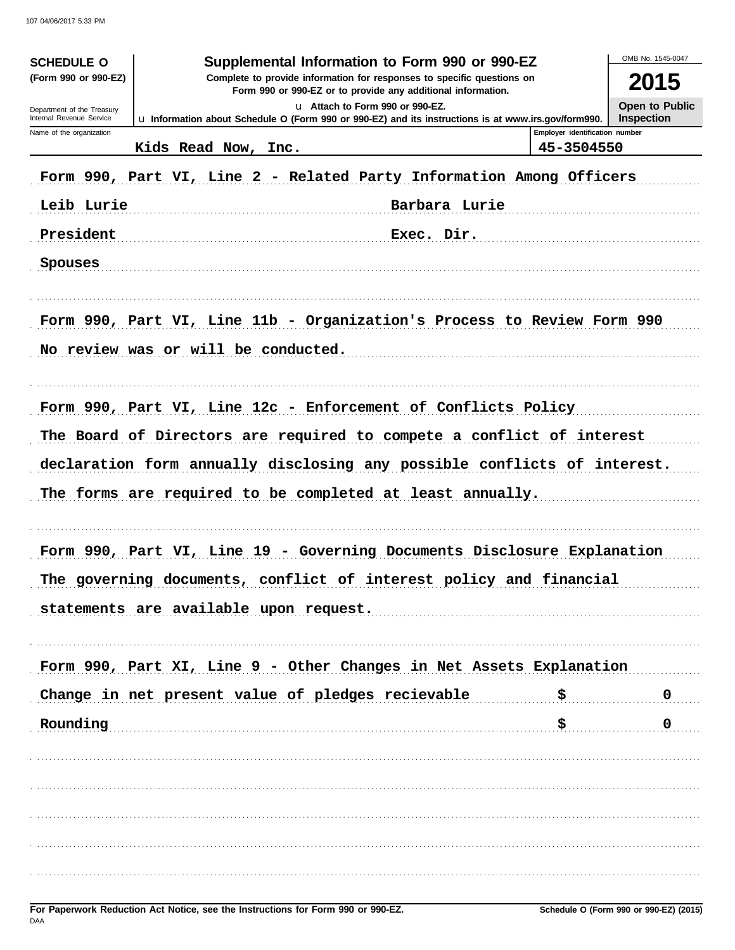| <b>SCHEDULE O</b>                                    | Supplemental Information to Form 990 or 990-EZ                                                       |                                | OMB No. 1545-0047 |
|------------------------------------------------------|------------------------------------------------------------------------------------------------------|--------------------------------|-------------------|
| (Form 990 or 990-EZ)                                 | Complete to provide information for responses to specific questions on                               | 2015                           |                   |
| Department of the Treasury                           | Form 990 or 990-EZ or to provide any additional information.<br>u Attach to Form 990 or 990-EZ.      |                                | Open to Public    |
| Internal Revenue Service<br>Name of the organization | La Information about Schedule O (Form 990 or 990-EZ) and its instructions is at www.irs.gov/form990. | Employer identification number | <b>Inspection</b> |
|                                                      | Kids Read Now, Inc.                                                                                  | 45-3504550                     |                   |
|                                                      | Form 990, Part VI, Line 2 - Related Party Information Among Officers                                 |                                |                   |
| Leib Lurie                                           | Barbara Lurie                                                                                        |                                |                   |
| President                                            | Exec. Dir.                                                                                           |                                |                   |
| Spouses                                              |                                                                                                      |                                |                   |
|                                                      |                                                                                                      |                                |                   |
|                                                      | Form 990, Part VI, Line 11b - Organization's Process to Review Form 990                              |                                |                   |
|                                                      | No review was or will be conducted.                                                                  |                                |                   |
|                                                      | Form 990, Part VI, Line 12c - Enforcement of Conflicts Policy                                        |                                |                   |
|                                                      | The Board of Directors are required to compete a conflict of interest                                |                                |                   |
|                                                      | declaration form annually disclosing any possible conflicts of interest.                             |                                |                   |
|                                                      | The forms are required to be completed at least annually.                                            |                                |                   |
|                                                      |                                                                                                      |                                |                   |
|                                                      | Form 990, Part VI, Line 19 - Governing Documents Disclosure Explanation                              |                                |                   |
|                                                      | The governing documents, conflict of interest policy and financial                                   |                                |                   |
|                                                      | statements are available upon request.                                                               |                                |                   |
|                                                      |                                                                                                      |                                |                   |
|                                                      | Form 990, Part XI, Line 9 - Other Changes in Net Assets Explanation                                  |                                |                   |
|                                                      | Change in net present value of pledges recievable                                                    | \$.                            | $\mathbf 0$       |
| Rounding                                             |                                                                                                      | \$                             | $\mathbf{0}$      |
|                                                      |                                                                                                      |                                |                   |
|                                                      |                                                                                                      |                                |                   |
|                                                      |                                                                                                      |                                |                   |
|                                                      |                                                                                                      |                                |                   |
|                                                      |                                                                                                      |                                |                   |
|                                                      |                                                                                                      |                                |                   |